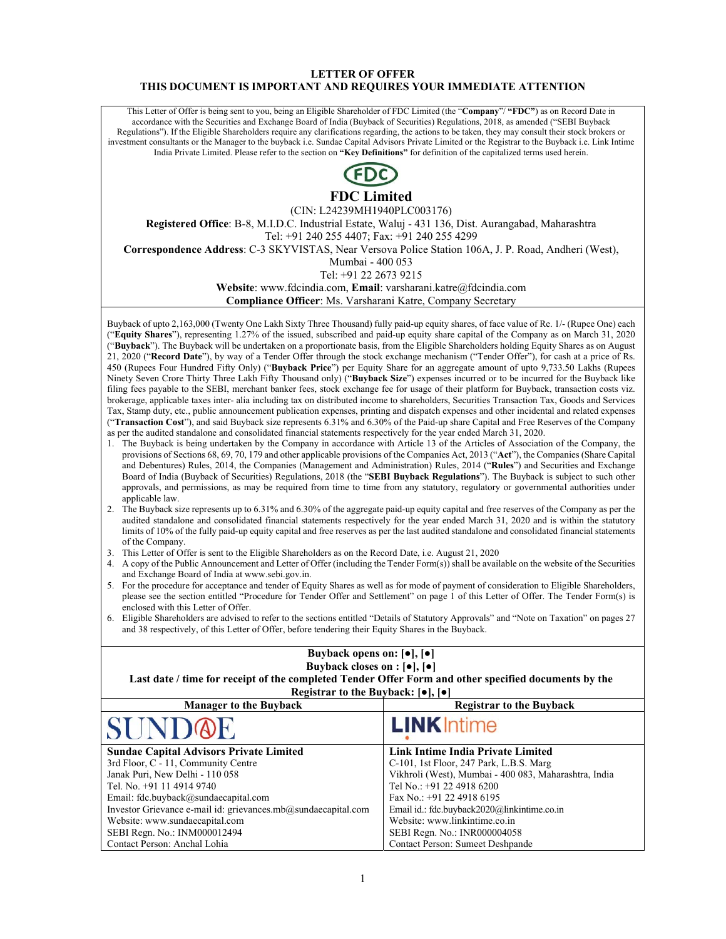### **LETTER OF OFFER THIS DOCUMENT IS IMPORTANT AND REQUIRES YOUR IMMEDIATE ATTENTION**

This Letter of Offer is being sent to you, being an Eligible Shareholder of FDC Limited (the "**Company**"/ **"FDC"**) as on Record Date in accordance with the Securities and Exchange Board of India (Buyback of Securities) Regulations, 2018, as amended ("SEBI Buyback Regulations"). If the Eligible Shareholders require any clarifications regarding, the actions to be taken, they may consult their stock brokers or investment consultants or the Manager to the buyback i.e. Sundae Capital Advisors Private Limited or the Registrar to the Buyback i.e. Link Intime India Private Limited. Please refer to the section on **"Key Definitions"** for definition of the capitalized terms used herein.



**FDC Limited** 

(CIN: L24239MH1940PLC003176)

**Registered Office**: B-8, M.I.D.C. Industrial Estate, Waluj - 431 136, Dist. Aurangabad, Maharashtra Tel: +91 240 255 4407; Fax: +91 240 255 4299

**Correspondence Address**: C-3 SKYVISTAS, Near Versova Police Station 106A, J. P. Road, Andheri (West),

Mumbai - 400 053

Tel: +91 22 2673 9215

**Website**: www.fdcindia.com, **Email**: varsharani.katre@fdcindia.com

**Compliance Officer**: Ms. Varsharani Katre, Company Secretary

Buyback of upto 2,163,000 (Twenty One Lakh Sixty Three Thousand) fully paid-up equity shares, of face value of Re. 1/- (Rupee One) each ("**Equity Shares**"), representing 1.27% of the issued, subscribed and paid-up equity share capital of the Company as on March 31, 2020 ("**Buyback**"). The Buyback will be undertaken on a proportionate basis, from the Eligible Shareholders holding Equity Shares as on August 21, 2020 ("**Record Date**"), by way of a Tender Offer through the stock exchange mechanism ("Tender Offer"), for cash at a price of Rs. 450 (Rupees Four Hundred Fifty Only) ("**Buyback Price**") per Equity Share for an aggregate amount of upto 9,733.50 Lakhs (Rupees Ninety Seven Crore Thirty Three Lakh Fifty Thousand only) ("**Buyback Size**") expenses incurred or to be incurred for the Buyback like filing fees payable to the SEBI, merchant banker fees, stock exchange fee for usage of their platform for Buyback, transaction costs viz. brokerage, applicable taxes inter- alia including tax on distributed income to shareholders, Securities Transaction Tax, Goods and Services Tax, Stamp duty, etc., public announcement publication expenses, printing and dispatch expenses and other incidental and related expenses ("**Transaction Cost**"), and said Buyback size represents 6.31% and 6.30% of the Paid-up share Capital and Free Reserves of the Company as per the audited standalone and consolidated financial statements respectively for the year ended March 31, 2020.

- 1. The Buyback is being undertaken by the Company in accordance with Article 13 of the Articles of Association of the Company, the provisions of Sections 68, 69, 70, 179 and other applicable provisions of the Companies Act, 2013 ("**Act**"), the Companies (Share Capital and Debentures) Rules, 2014, the Companies (Management and Administration) Rules, 2014 ("**Rules**") and Securities and Exchange Board of India (Buyback of Securities) Regulations, 2018 (the "**SEBI Buyback Regulations**"). The Buyback is subject to such other approvals, and permissions, as may be required from time to time from any statutory, regulatory or governmental authorities under applicable law.
- 2. The Buyback size represents up to 6.31% and 6.30% of the aggregate paid-up equity capital and free reserves of the Company as per the audited standalone and consolidated financial statements respectively for the year ended March 31, 2020 and is within the statutory limits of 10% of the fully paid-up equity capital and free reserves as per the last audited standalone and consolidated financial statements of the Company.
- 3. This Letter of Offer is sent to the Eligible Shareholders as on the Record Date, i.e. August 21, 2020
- 4. A copy of the Public Announcement and Letter of Offer (including the Tender Form(s)) shall be available on the website of the Securities and Exchange Board of India at www.sebi.gov.in.
- 5. For the procedure for acceptance and tender of Equity Shares as well as for mode of payment of consideration to Eligible Shareholders, please see the section entitled "Procedure for Tender Offer and Settlement" on page 1 of this Letter of Offer. The Tender Form(s) is enclosed with this Letter of Offer.
- 6. Eligible Shareholders are advised to refer to the sections entitled "Details of Statutory Approvals" and "Note on Taxation" on pages 27 and 38 respectively, of this Letter of Offer, before tendering their Equity Shares in the Buyback.

| Buyback opens on: $[•]$ , $[•]$<br>Buyback closes on : $[•]$ , $[•]$                                                                            |                                                       |  |  |  |
|-------------------------------------------------------------------------------------------------------------------------------------------------|-------------------------------------------------------|--|--|--|
| Last date / time for receipt of the completed Tender Offer Form and other specified documents by the<br>Registrar to the Buyback: $[•]$ , $[•]$ |                                                       |  |  |  |
| <b>Manager to the Buyback</b>                                                                                                                   | <b>Registrar to the Buyback</b>                       |  |  |  |
| SUNDOE                                                                                                                                          | <b>LINK</b> Intime                                    |  |  |  |
| <b>Sundae Capital Advisors Private Limited</b>                                                                                                  | Link Intime India Private Limited                     |  |  |  |
| 3rd Floor, C - 11, Community Centre                                                                                                             | C-101, 1st Floor, 247 Park, L.B.S. Marg               |  |  |  |
| Janak Puri, New Delhi - 110 058                                                                                                                 | Vikhroli (West), Mumbai - 400 083, Maharashtra, India |  |  |  |
| Tel. No. +91 11 4914 9740                                                                                                                       | Tel No.: +91 22 4918 6200                             |  |  |  |
| Email: fdc.buyback@sundaecapital.com                                                                                                            | Fax No.: $+91$ 22 4918 6195                           |  |  |  |
| Investor Grievance e-mail id: grievances.mb@sundaecapital.com                                                                                   | Email id.: fdc.buyback2020@linkintime.co.in           |  |  |  |
| Website: www.sundaecapital.com                                                                                                                  | Website: www.linkintime.co.in                         |  |  |  |
| SEBI Regn. No.: INM000012494                                                                                                                    | SEBI Regn. No.: INR000004058                          |  |  |  |
| Contact Person: Anchal Lohia                                                                                                                    | Contact Person: Sumeet Deshpande                      |  |  |  |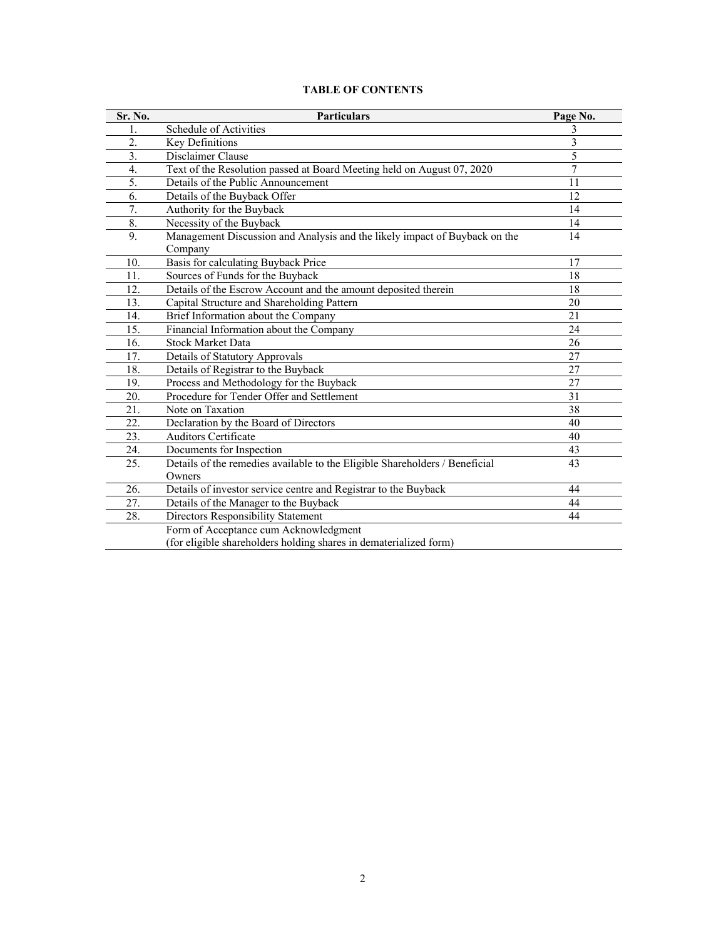| <b>TABLE OF CONTENTS</b> |  |
|--------------------------|--|
|--------------------------|--|

| Sr. No.          | <b>Particulars</b>                                                          | Page No. |
|------------------|-----------------------------------------------------------------------------|----------|
| 1.               | Schedule of Activities                                                      | 3        |
| 2.               | Key Definitions                                                             | 3        |
| $\overline{3}$ . | Disclaimer Clause                                                           | 5        |
| 4.               | Text of the Resolution passed at Board Meeting held on August 07, 2020      | 7        |
| 5.               | Details of the Public Announcement                                          | 11       |
| 6.               | Details of the Buyback Offer                                                | 12       |
| 7.               | Authority for the Buyback                                                   | 14       |
| 8.               | Necessity of the Buyback                                                    | 14       |
| 9.               | Management Discussion and Analysis and the likely impact of Buyback on the  | 14       |
|                  | Company                                                                     |          |
| 10.              | Basis for calculating Buyback Price                                         | 17       |
| 11.              | Sources of Funds for the Buyback                                            | 18       |
| 12.              | Details of the Escrow Account and the amount deposited therein              | 18       |
| 13.              | Capital Structure and Shareholding Pattern                                  | 20       |
| 14.              | Brief Information about the Company                                         | 21       |
| 15.              | Financial Information about the Company                                     | 24       |
| 16.              | <b>Stock Market Data</b>                                                    | 26       |
| 17.              | <b>Details of Statutory Approvals</b>                                       | 27       |
| 18.              | Details of Registrar to the Buyback                                         | 27       |
| 19.              | Process and Methodology for the Buyback                                     | 27       |
| 20.              | Procedure for Tender Offer and Settlement                                   | 31       |
| 21.              | Note on Taxation                                                            | 38       |
| 22.              | Declaration by the Board of Directors                                       | 40       |
| 23.              | <b>Auditors Certificate</b>                                                 | 40       |
| 24.              | Documents for Inspection                                                    | 43       |
| 25.              | Details of the remedies available to the Eligible Shareholders / Beneficial | 43       |
|                  | Owners                                                                      |          |
| 26.              | Details of investor service centre and Registrar to the Buyback             | 44       |
| 27.              | Details of the Manager to the Buyback                                       | 44       |
| 28.              | Directors Responsibility Statement                                          | 44       |
|                  | Form of Acceptance cum Acknowledgment                                       |          |
|                  | (for eligible shareholders holding shares in dematerialized form)           |          |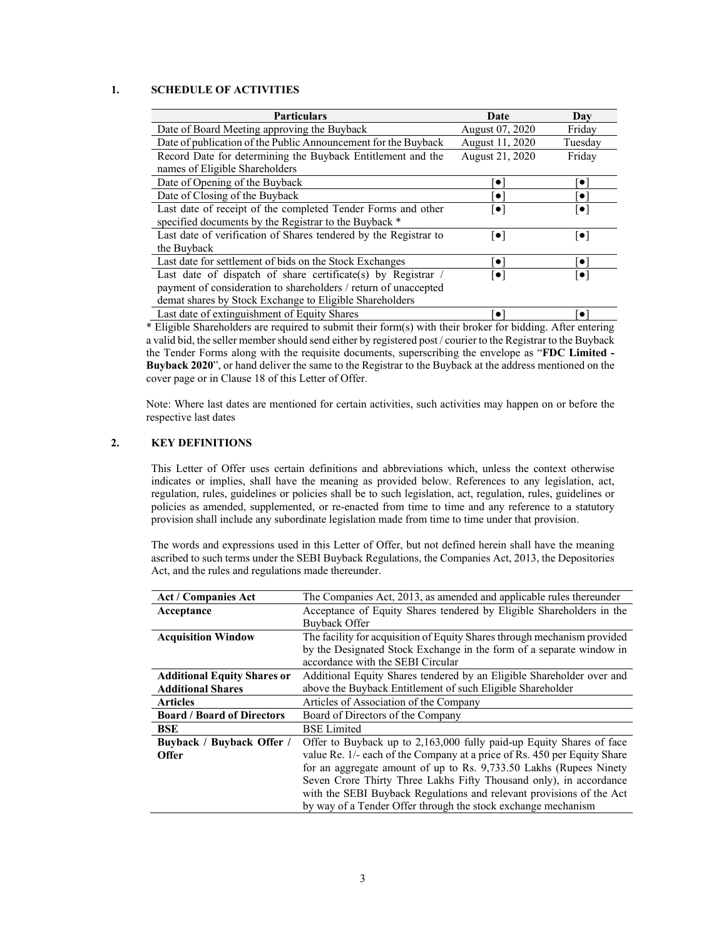# **1. SCHEDULE OF ACTIVITIES**

| <b>Particulars</b>                                               | Date                               | Day                     |
|------------------------------------------------------------------|------------------------------------|-------------------------|
| Date of Board Meeting approving the Buyback                      | August 07, 2020                    | Fridav                  |
| Date of publication of the Public Announcement for the Buyback   | August 11, 2020                    | Tuesday                 |
| Record Date for determining the Buyback Entitlement and the      | August 21, 2020                    | Friday                  |
| names of Eligible Shareholders                                   |                                    |                         |
| Date of Opening of the Buyback                                   | $\bullet$                          | `o`                     |
| Date of Closing of the Buyback                                   | $\bullet$                          | $\bullet$               |
| Last date of receipt of the completed Tender Forms and other     | $\left\lceil \bullet \right\rceil$ | $\lceil \bullet \rceil$ |
| specified documents by the Registrar to the Buyback *            |                                    |                         |
| Last date of verification of Shares tendered by the Registrar to | $\lceil \bullet \rceil$            | $\lceil\bullet\rceil$   |
| the Buyback                                                      |                                    |                         |
| Last date for settlement of bids on the Stock Exchanges          | $\bullet$                          | $\bullet$               |
| Last date of dispatch of share certificate(s) by Registrar /     | $\left[ \bullet \right]$           | $\lceil \bullet \rceil$ |
| payment of consideration to shareholders / return of unaccepted  |                                    |                         |
| demat shares by Stock Exchange to Eligible Shareholders          |                                    |                         |
| Last date of extinguishment of Equity Shares                     | $\bullet$                          | $\bullet$               |

\* Eligible Shareholders are required to submit their form(s) with their broker for bidding. After entering a valid bid, the seller member should send either by registered post / courier to the Registrar to the Buyback the Tender Forms along with the requisite documents, superscribing the envelope as "**FDC Limited - Buyback 2020**", or hand deliver the same to the Registrar to the Buyback at the address mentioned on the cover page or in Clause 18 of this Letter of Offer.

Note: Where last dates are mentioned for certain activities, such activities may happen on or before the respective last dates

# **2. KEY DEFINITIONS**

This Letter of Offer uses certain definitions and abbreviations which, unless the context otherwise indicates or implies, shall have the meaning as provided below. References to any legislation, act, regulation, rules, guidelines or policies shall be to such legislation, act, regulation, rules, guidelines or policies as amended, supplemented, or re-enacted from time to time and any reference to a statutory provision shall include any subordinate legislation made from time to time under that provision.

The words and expressions used in this Letter of Offer, but not defined herein shall have the meaning ascribed to such terms under the SEBI Buyback Regulations, the Companies Act, 2013, the Depositories Act, and the rules and regulations made thereunder.

| <b>Act / Companies Act</b>         | The Companies Act, 2013, as amended and applicable rules thereunder      |  |  |  |
|------------------------------------|--------------------------------------------------------------------------|--|--|--|
| Acceptance                         | Acceptance of Equity Shares tendered by Eligible Shareholders in the     |  |  |  |
|                                    | <b>Buyback Offer</b>                                                     |  |  |  |
| <b>Acquisition Window</b>          | The facility for acquisition of Equity Shares through mechanism provided |  |  |  |
|                                    | by the Designated Stock Exchange in the form of a separate window in     |  |  |  |
|                                    | accordance with the SEBI Circular                                        |  |  |  |
| <b>Additional Equity Shares or</b> | Additional Equity Shares tendered by an Eligible Shareholder over and    |  |  |  |
| <b>Additional Shares</b>           | above the Buyback Entitlement of such Eligible Shareholder               |  |  |  |
| <b>Articles</b>                    | Articles of Association of the Company                                   |  |  |  |
| <b>Board / Board of Directors</b>  | Board of Directors of the Company                                        |  |  |  |
| BSE                                | <b>BSE</b> Limited                                                       |  |  |  |
| Buyback / Buyback Offer /          | Offer to Buyback up to 2,163,000 fully paid-up Equity Shares of face     |  |  |  |
| <b>Offer</b>                       | value Re. 1/- each of the Company at a price of Rs. 450 per Equity Share |  |  |  |
|                                    | for an aggregate amount of up to Rs. 9,733.50 Lakhs (Rupees Ninety       |  |  |  |
|                                    | Seven Crore Thirty Three Lakhs Fifty Thousand only), in accordance       |  |  |  |
|                                    | with the SEBI Buyback Regulations and relevant provisions of the Act     |  |  |  |
|                                    | by way of a Tender Offer through the stock exchange mechanism            |  |  |  |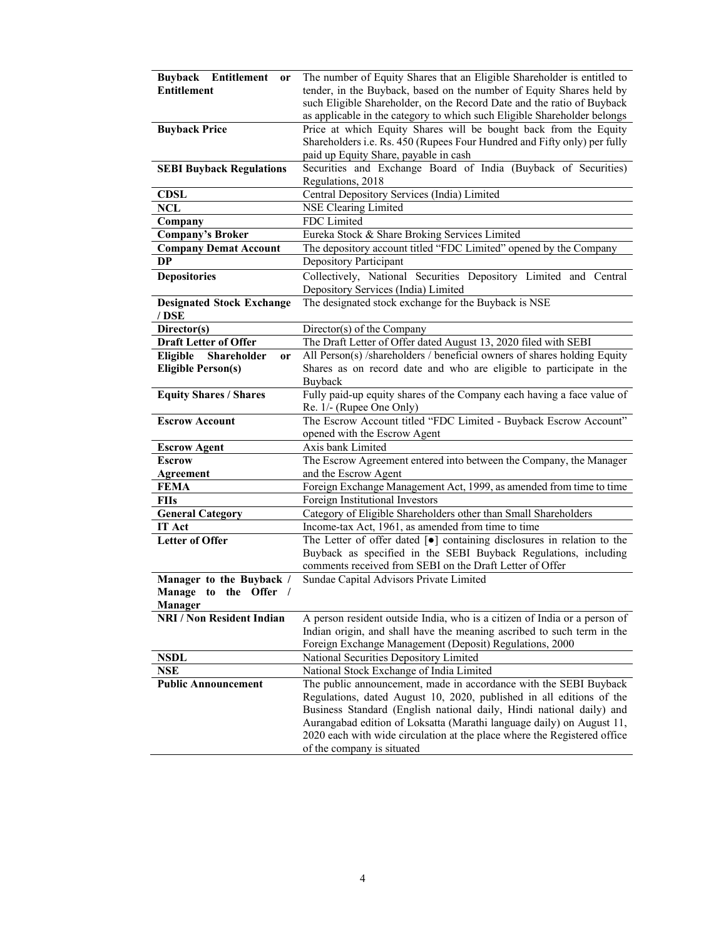| Buyback Entitlement<br><b>or</b> | The number of Equity Shares that an Eligible Shareholder is entitled to                     |
|----------------------------------|---------------------------------------------------------------------------------------------|
| <b>Entitlement</b>               | tender, in the Buyback, based on the number of Equity Shares held by                        |
|                                  | such Eligible Shareholder, on the Record Date and the ratio of Buyback                      |
|                                  | as applicable in the category to which such Eligible Shareholder belongs                    |
| <b>Buyback Price</b>             | Price at which Equity Shares will be bought back from the Equity                            |
|                                  | Shareholders i.e. Rs. 450 (Rupees Four Hundred and Fifty only) per fully                    |
|                                  | paid up Equity Share, payable in cash                                                       |
| <b>SEBI Buyback Regulations</b>  | Securities and Exchange Board of India (Buyback of Securities)                              |
|                                  | Regulations, 2018                                                                           |
| <b>CDSL</b>                      | Central Depository Services (India) Limited                                                 |
| <b>NCL</b>                       | <b>NSE Clearing Limited</b>                                                                 |
| Company                          | FDC Limited                                                                                 |
| <b>Company's Broker</b>          | Eureka Stock & Share Broking Services Limited                                               |
| <b>Company Demat Account</b>     | The depository account titled "FDC Limited" opened by the Company                           |
| <b>DP</b>                        | Depository Participant                                                                      |
| <b>Depositories</b>              | Collectively, National Securities Depository Limited and Central                            |
|                                  | Depository Services (India) Limited                                                         |
| <b>Designated Stock Exchange</b> | The designated stock exchange for the Buyback is NSE                                        |
| / DSE                            |                                                                                             |
| Director(s)                      | Director(s) of the Company                                                                  |
| <b>Draft Letter of Offer</b>     | The Draft Letter of Offer dated August 13, 2020 filed with SEBI                             |
| Eligible Shareholder<br>or       | All Person(s) /shareholders / beneficial owners of shares holding Equity                    |
| <b>Eligible Person(s)</b>        | Shares as on record date and who are eligible to participate in the                         |
|                                  | Buyback                                                                                     |
| <b>Equity Shares / Shares</b>    | Fully paid-up equity shares of the Company each having a face value of                      |
|                                  | Re. 1/- (Rupee One Only)                                                                    |
| <b>Escrow Account</b>            | The Escrow Account titled "FDC Limited - Buyback Escrow Account"                            |
|                                  | opened with the Escrow Agent                                                                |
| <b>Escrow Agent</b>              | Axis bank Limited                                                                           |
| <b>Escrow</b>                    | The Escrow Agreement entered into between the Company, the Manager                          |
| <b>Agreement</b>                 | and the Escrow Agent                                                                        |
| <b>FEMA</b>                      | Foreign Exchange Management Act, 1999, as amended from time to time                         |
| <b>FIIs</b>                      | Foreign Institutional Investors                                                             |
| <b>General Category</b>          | Category of Eligible Shareholders other than Small Shareholders                             |
| <b>IT Act</b>                    | Income-tax Act, 1961, as amended from time to time                                          |
| <b>Letter of Offer</b>           | The Letter of offer dated $\lceil \bullet \rceil$ containing disclosures in relation to the |
|                                  | Buyback as specified in the SEBI Buyback Regulations, including                             |
|                                  | comments received from SEBI on the Draft Letter of Offer                                    |
| Manager to the Buyback /         | Sundae Capital Advisors Private Limited                                                     |
| Manage to the Offer /            |                                                                                             |
| <b>Manager</b>                   |                                                                                             |
| <b>NRI / Non Resident Indian</b> | A person resident outside India, who is a citizen of India or a person of                   |
|                                  | Indian origin, and shall have the meaning ascribed to such term in the                      |
|                                  | Foreign Exchange Management (Deposit) Regulations, 2000                                     |
| <b>NSDL</b>                      | National Securities Depository Limited                                                      |
| <b>NSE</b>                       | National Stock Exchange of India Limited                                                    |
| <b>Public Announcement</b>       | The public announcement, made in accordance with the SEBI Buyback                           |
|                                  | Regulations, dated August 10, 2020, published in all editions of the                        |
|                                  | Business Standard (English national daily, Hindi national daily) and                        |
|                                  | Aurangabad edition of Loksatta (Marathi language daily) on August 11,                       |
|                                  | 2020 each with wide circulation at the place where the Registered office                    |
|                                  | of the company is situated                                                                  |
|                                  |                                                                                             |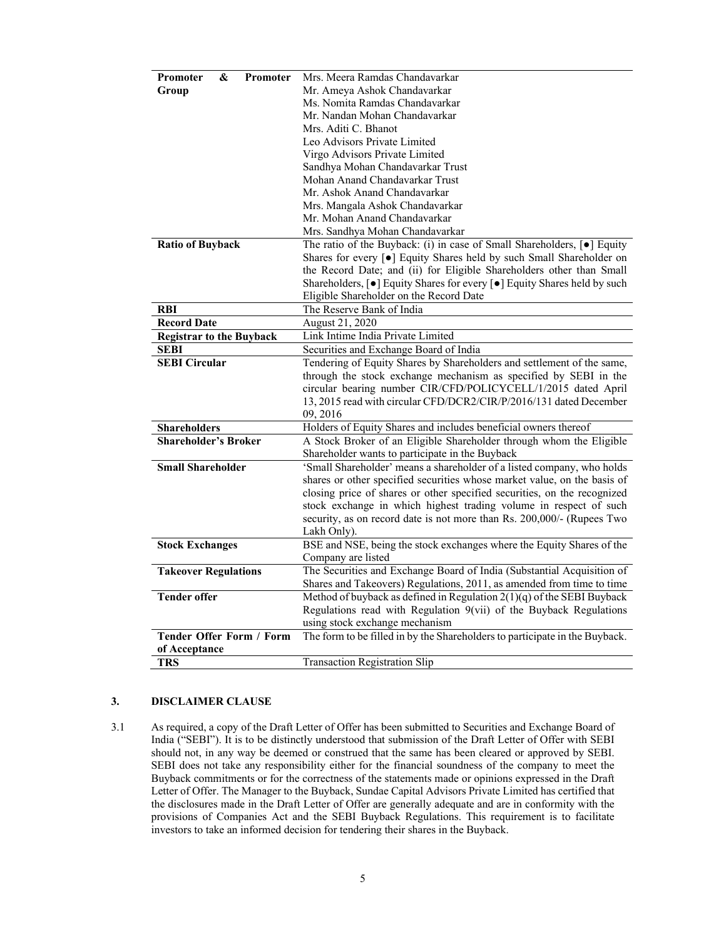| Promoter<br>&<br><b>Promoter</b> | Mrs. Meera Ramdas Chandavarkar                                                               |
|----------------------------------|----------------------------------------------------------------------------------------------|
| Group                            | Mr. Ameya Ashok Chandavarkar                                                                 |
|                                  | Ms. Nomita Ramdas Chandavarkar                                                               |
|                                  | Mr. Nandan Mohan Chandavarkar                                                                |
|                                  | Mrs. Aditi C. Bhanot                                                                         |
|                                  | Leo Advisors Private Limited                                                                 |
|                                  | Virgo Advisors Private Limited                                                               |
|                                  | Sandhya Mohan Chandavarkar Trust                                                             |
|                                  | Mohan Anand Chandavarkar Trust                                                               |
|                                  | Mr. Ashok Anand Chandavarkar                                                                 |
|                                  | Mrs. Mangala Ashok Chandavarkar                                                              |
|                                  | Mr. Mohan Anand Chandavarkar                                                                 |
|                                  | Mrs. Sandhya Mohan Chandavarkar                                                              |
| <b>Ratio of Buyback</b>          | The ratio of the Buyback: (i) in case of Small Shareholders, $\lceil \bullet \rceil$ Equity  |
|                                  | Shares for every [ $\bullet$ ] Equity Shares held by such Small Shareholder on               |
|                                  | the Record Date; and (ii) for Eligible Shareholders other than Small                         |
|                                  | Shareholders, [ $\bullet$ ] Equity Shares for every [ $\bullet$ ] Equity Shares held by such |
|                                  | Eligible Shareholder on the Record Date                                                      |
| <b>RBI</b>                       | The Reserve Bank of India                                                                    |
| <b>Record Date</b>               | August 21, 2020                                                                              |
| <b>Registrar to the Buyback</b>  | Link Intime India Private Limited                                                            |
| <b>SEBI</b>                      | Securities and Exchange Board of India                                                       |
| <b>SEBI Circular</b>             | Tendering of Equity Shares by Shareholders and settlement of the same,                       |
|                                  | through the stock exchange mechanism as specified by SEBI in the                             |
|                                  | circular bearing number CIR/CFD/POLICYCELL/1/2015 dated April                                |
|                                  | 13, 2015 read with circular CFD/DCR2/CIR/P/2016/131 dated December                           |
|                                  | 09, 2016                                                                                     |
| <b>Shareholders</b>              | Holders of Equity Shares and includes beneficial owners thereof                              |
| <b>Shareholder's Broker</b>      | A Stock Broker of an Eligible Shareholder through whom the Eligible                          |
|                                  | Shareholder wants to participate in the Buyback                                              |
| <b>Small Shareholder</b>         | 'Small Shareholder' means a shareholder of a listed company, who holds                       |
|                                  | shares or other specified securities whose market value, on the basis of                     |
|                                  | closing price of shares or other specified securities, on the recognized                     |
|                                  | stock exchange in which highest trading volume in respect of such                            |
|                                  | security, as on record date is not more than Rs. 200,000/- (Rupees Two                       |
|                                  | Lakh Only).                                                                                  |
| <b>Stock Exchanges</b>           | BSE and NSE, being the stock exchanges where the Equity Shares of the                        |
|                                  | Company are listed                                                                           |
| <b>Takeover Regulations</b>      | The Securities and Exchange Board of India (Substantial Acquisition of                       |
|                                  | Shares and Takeovers) Regulations, 2011, as amended from time to time                        |
| <b>Tender offer</b>              | Method of buyback as defined in Regulation $2(1)(q)$ of the SEBI Buyback                     |
|                                  | Regulations read with Regulation 9(vii) of the Buyback Regulations                           |
|                                  | using stock exchange mechanism                                                               |
| <b>Tender Offer Form / Form</b>  | The form to be filled in by the Shareholders to participate in the Buyback.                  |
| of Acceptance                    |                                                                                              |
| TRS                              | <b>Transaction Registration Slip</b>                                                         |

# **3. DISCLAIMER CLAUSE**

3.1 As required, a copy of the Draft Letter of Offer has been submitted to Securities and Exchange Board of India ("SEBI"). It is to be distinctly understood that submission of the Draft Letter of Offer with SEBI should not, in any way be deemed or construed that the same has been cleared or approved by SEBI. SEBI does not take any responsibility either for the financial soundness of the company to meet the Buyback commitments or for the correctness of the statements made or opinions expressed in the Draft Letter of Offer. The Manager to the Buyback, Sundae Capital Advisors Private Limited has certified that the disclosures made in the Draft Letter of Offer are generally adequate and are in conformity with the provisions of Companies Act and the SEBI Buyback Regulations. This requirement is to facilitate investors to take an informed decision for tendering their shares in the Buyback.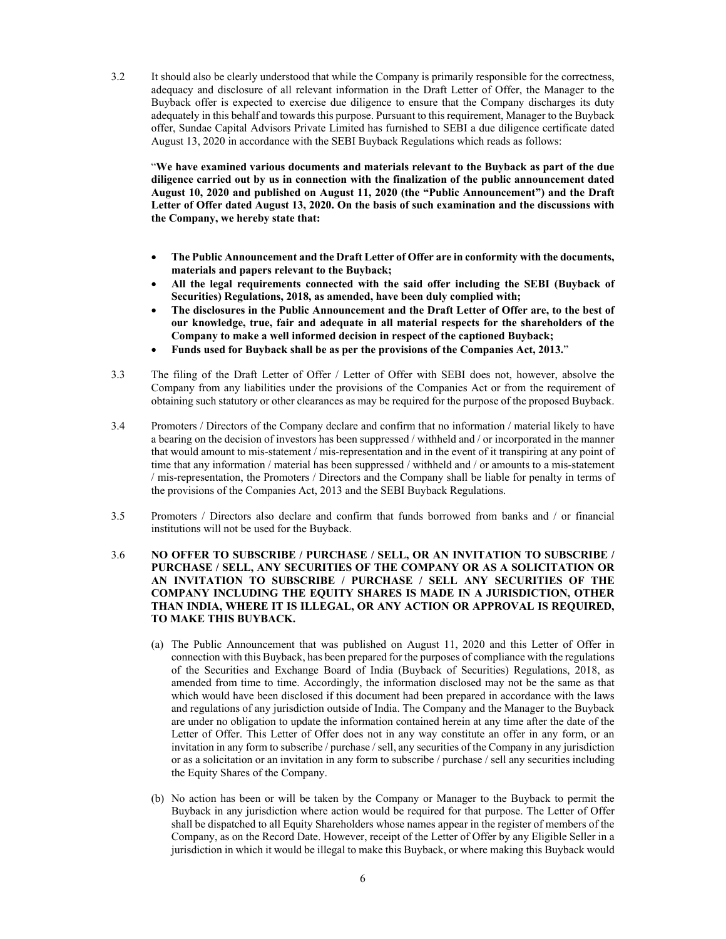3.2 It should also be clearly understood that while the Company is primarily responsible for the correctness, adequacy and disclosure of all relevant information in the Draft Letter of Offer, the Manager to the Buyback offer is expected to exercise due diligence to ensure that the Company discharges its duty adequately in this behalf and towards this purpose. Pursuant to this requirement, Manager to the Buyback offer, Sundae Capital Advisors Private Limited has furnished to SEBI a due diligence certificate dated August 13, 2020 in accordance with the SEBI Buyback Regulations which reads as follows:

"**We have examined various documents and materials relevant to the Buyback as part of the due diligence carried out by us in connection with the finalization of the public announcement dated August 10, 2020 and published on August 11, 2020 (the "Public Announcement") and the Draft Letter of Offer dated August 13, 2020. On the basis of such examination and the discussions with the Company, we hereby state that:** 

- **The Public Announcement and the Draft Letter of Offer are in conformity with the documents, materials and papers relevant to the Buyback;**
- **All the legal requirements connected with the said offer including the SEBI (Buyback of Securities) Regulations, 2018, as amended, have been duly complied with;**
- **The disclosures in the Public Announcement and the Draft Letter of Offer are, to the best of our knowledge, true, fair and adequate in all material respects for the shareholders of the Company to make a well informed decision in respect of the captioned Buyback;**
- **Funds used for Buyback shall be as per the provisions of the Companies Act, 2013.**"
- 3.3 The filing of the Draft Letter of Offer / Letter of Offer with SEBI does not, however, absolve the Company from any liabilities under the provisions of the Companies Act or from the requirement of obtaining such statutory or other clearances as may be required for the purpose of the proposed Buyback.
- 3.4 Promoters / Directors of the Company declare and confirm that no information / material likely to have a bearing on the decision of investors has been suppressed / withheld and / or incorporated in the manner that would amount to mis-statement / mis-representation and in the event of it transpiring at any point of time that any information / material has been suppressed / withheld and / or amounts to a mis-statement / mis-representation, the Promoters / Directors and the Company shall be liable for penalty in terms of the provisions of the Companies Act, 2013 and the SEBI Buyback Regulations.
- 3.5 Promoters / Directors also declare and confirm that funds borrowed from banks and / or financial institutions will not be used for the Buyback.
- 3.6 **NO OFFER TO SUBSCRIBE / PURCHASE / SELL, OR AN INVITATION TO SUBSCRIBE / PURCHASE / SELL, ANY SECURITIES OF THE COMPANY OR AS A SOLICITATION OR AN INVITATION TO SUBSCRIBE / PURCHASE / SELL ANY SECURITIES OF THE COMPANY INCLUDING THE EQUITY SHARES IS MADE IN A JURISDICTION, OTHER THAN INDIA, WHERE IT IS ILLEGAL, OR ANY ACTION OR APPROVAL IS REQUIRED, TO MAKE THIS BUYBACK.**
	- (a) The Public Announcement that was published on August 11, 2020 and this Letter of Offer in connection with this Buyback, has been prepared for the purposes of compliance with the regulations of the Securities and Exchange Board of India (Buyback of Securities) Regulations, 2018, as amended from time to time. Accordingly, the information disclosed may not be the same as that which would have been disclosed if this document had been prepared in accordance with the laws and regulations of any jurisdiction outside of India. The Company and the Manager to the Buyback are under no obligation to update the information contained herein at any time after the date of the Letter of Offer. This Letter of Offer does not in any way constitute an offer in any form, or an invitation in any form to subscribe / purchase / sell, any securities of the Company in any jurisdiction or as a solicitation or an invitation in any form to subscribe / purchase / sell any securities including the Equity Shares of the Company.
	- (b) No action has been or will be taken by the Company or Manager to the Buyback to permit the Buyback in any jurisdiction where action would be required for that purpose. The Letter of Offer shall be dispatched to all Equity Shareholders whose names appear in the register of members of the Company, as on the Record Date. However, receipt of the Letter of Offer by any Eligible Seller in a jurisdiction in which it would be illegal to make this Buyback, or where making this Buyback would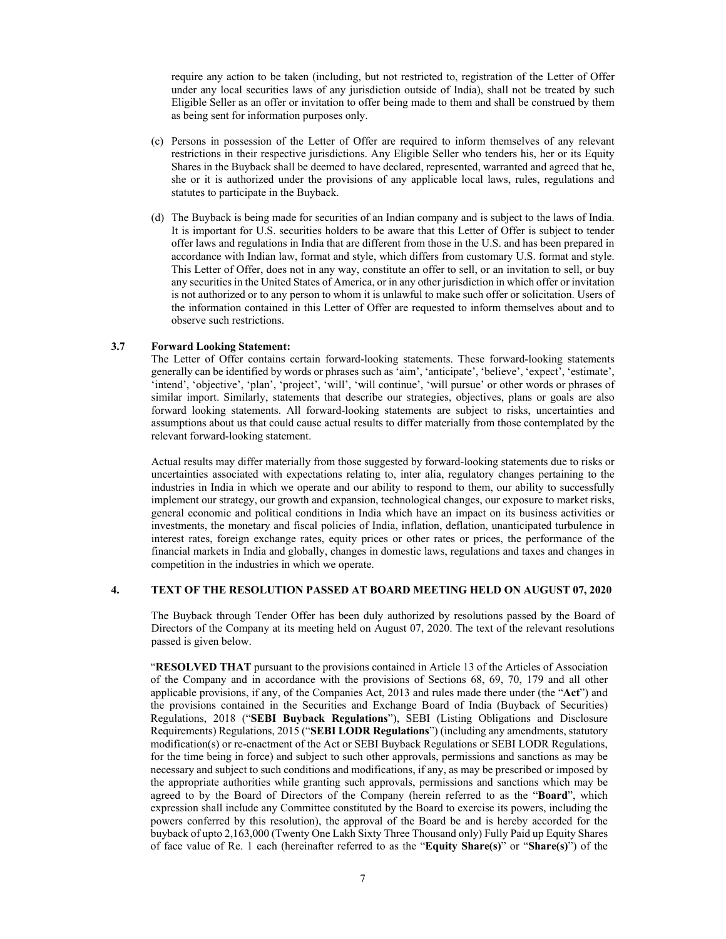require any action to be taken (including, but not restricted to, registration of the Letter of Offer under any local securities laws of any jurisdiction outside of India), shall not be treated by such Eligible Seller as an offer or invitation to offer being made to them and shall be construed by them as being sent for information purposes only.

- (c) Persons in possession of the Letter of Offer are required to inform themselves of any relevant restrictions in their respective jurisdictions. Any Eligible Seller who tenders his, her or its Equity Shares in the Buyback shall be deemed to have declared, represented, warranted and agreed that he, she or it is authorized under the provisions of any applicable local laws, rules, regulations and statutes to participate in the Buyback.
- (d) The Buyback is being made for securities of an Indian company and is subject to the laws of India. It is important for U.S. securities holders to be aware that this Letter of Offer is subject to tender offer laws and regulations in India that are different from those in the U.S. and has been prepared in accordance with Indian law, format and style, which differs from customary U.S. format and style. This Letter of Offer, does not in any way, constitute an offer to sell, or an invitation to sell, or buy any securities in the United States of America, or in any other jurisdiction in which offer or invitation is not authorized or to any person to whom it is unlawful to make such offer or solicitation. Users of the information contained in this Letter of Offer are requested to inform themselves about and to observe such restrictions.

#### **3.7 Forward Looking Statement:**

The Letter of Offer contains certain forward-looking statements. These forward-looking statements generally can be identified by words or phrases such as 'aim', 'anticipate', 'believe', 'expect', 'estimate', 'intend', 'objective', 'plan', 'project', 'will', 'will continue', 'will pursue' or other words or phrases of similar import. Similarly, statements that describe our strategies, objectives, plans or goals are also forward looking statements. All forward-looking statements are subject to risks, uncertainties and assumptions about us that could cause actual results to differ materially from those contemplated by the relevant forward-looking statement.

Actual results may differ materially from those suggested by forward-looking statements due to risks or uncertainties associated with expectations relating to, inter alia, regulatory changes pertaining to the industries in India in which we operate and our ability to respond to them, our ability to successfully implement our strategy, our growth and expansion, technological changes, our exposure to market risks, general economic and political conditions in India which have an impact on its business activities or investments, the monetary and fiscal policies of India, inflation, deflation, unanticipated turbulence in interest rates, foreign exchange rates, equity prices or other rates or prices, the performance of the financial markets in India and globally, changes in domestic laws, regulations and taxes and changes in competition in the industries in which we operate.

#### **4. TEXT OF THE RESOLUTION PASSED AT BOARD MEETING HELD ON AUGUST 07, 2020**

The Buyback through Tender Offer has been duly authorized by resolutions passed by the Board of Directors of the Company at its meeting held on August 07, 2020. The text of the relevant resolutions passed is given below.

"**RESOLVED THAT** pursuant to the provisions contained in Article 13 of the Articles of Association of the Company and in accordance with the provisions of Sections 68, 69, 70, 179 and all other applicable provisions, if any, of the Companies Act, 2013 and rules made there under (the "**Act**") and the provisions contained in the Securities and Exchange Board of India (Buyback of Securities) Regulations, 2018 ("**SEBI Buyback Regulations**"), SEBI (Listing Obligations and Disclosure Requirements) Regulations, 2015 ("**SEBI LODR Regulations**") (including any amendments, statutory modification(s) or re-enactment of the Act or SEBI Buyback Regulations or SEBI LODR Regulations, for the time being in force) and subject to such other approvals, permissions and sanctions as may be necessary and subject to such conditions and modifications, if any, as may be prescribed or imposed by the appropriate authorities while granting such approvals, permissions and sanctions which may be agreed to by the Board of Directors of the Company (herein referred to as the "**Board**", which expression shall include any Committee constituted by the Board to exercise its powers, including the powers conferred by this resolution), the approval of the Board be and is hereby accorded for the buyback of upto 2,163,000 (Twenty One Lakh Sixty Three Thousand only) Fully Paid up Equity Shares of face value of Re. 1 each (hereinafter referred to as the "**Equity Share(s)**" or "**Share(s)**") of the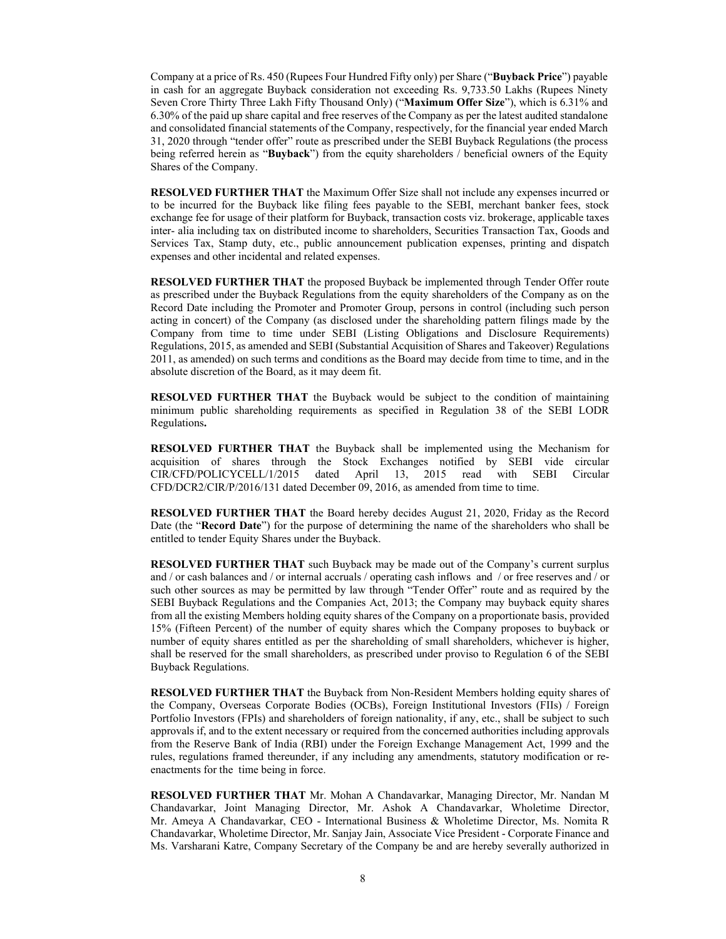Company at a price of Rs. 450 (Rupees Four Hundred Fifty only) per Share ("**Buyback Price**") payable in cash for an aggregate Buyback consideration not exceeding Rs. 9,733.50 Lakhs (Rupees Ninety Seven Crore Thirty Three Lakh Fifty Thousand Only) ("**Maximum Offer Size**"), which is 6.31% and 6.30% of the paid up share capital and free reserves of the Company as per the latest audited standalone and consolidated financial statements of the Company, respectively, for the financial year ended March 31, 2020 through "tender offer" route as prescribed under the SEBI Buyback Regulations (the process being referred herein as "**Buyback**") from the equity shareholders / beneficial owners of the Equity Shares of the Company.

**RESOLVED FURTHER THAT** the Maximum Offer Size shall not include any expenses incurred or to be incurred for the Buyback like filing fees payable to the SEBI, merchant banker fees, stock exchange fee for usage of their platform for Buyback, transaction costs viz. brokerage, applicable taxes inter- alia including tax on distributed income to shareholders, Securities Transaction Tax, Goods and Services Tax, Stamp duty, etc., public announcement publication expenses, printing and dispatch expenses and other incidental and related expenses.

**RESOLVED FURTHER THAT** the proposed Buyback be implemented through Tender Offer route as prescribed under the Buyback Regulations from the equity shareholders of the Company as on the Record Date including the Promoter and Promoter Group, persons in control (including such person acting in concert) of the Company (as disclosed under the shareholding pattern filings made by the Company from time to time under SEBI (Listing Obligations and Disclosure Requirements) Regulations, 2015, as amended and SEBI (Substantial Acquisition of Shares and Takeover) Regulations 2011, as amended) on such terms and conditions as the Board may decide from time to time, and in the absolute discretion of the Board, as it may deem fit.

**RESOLVED FURTHER THAT** the Buyback would be subject to the condition of maintaining minimum public shareholding requirements as specified in Regulation 38 of the SEBI LODR Regulations**.**

**RESOLVED FURTHER THAT** the Buyback shall be implemented using the Mechanism for acquisition of shares through the Stock Exchanges notified by SEBI vide circular CIR/CFD/POLICYCELL/1/2015 dated April 13, 2015 read with SEBI Circular CFD/DCR2/CIR/P/2016/131 dated December 09, 2016, as amended from time to time.

**RESOLVED FURTHER THAT** the Board hereby decides August 21, 2020, Friday as the Record Date (the "**Record Date**") for the purpose of determining the name of the shareholders who shall be entitled to tender Equity Shares under the Buyback.

**RESOLVED FURTHER THAT** such Buyback may be made out of the Company's current surplus and / or cash balances and / or internal accruals / operating cash inflows and / or free reserves and / or such other sources as may be permitted by law through "Tender Offer" route and as required by the SEBI Buyback Regulations and the Companies Act, 2013; the Company may buyback equity shares from all the existing Members holding equity shares of the Company on a proportionate basis, provided 15% (Fifteen Percent) of the number of equity shares which the Company proposes to buyback or number of equity shares entitled as per the shareholding of small shareholders, whichever is higher, shall be reserved for the small shareholders, as prescribed under proviso to Regulation 6 of the SEBI Buyback Regulations.

**RESOLVED FURTHER THAT** the Buyback from Non-Resident Members holding equity shares of the Company, Overseas Corporate Bodies (OCBs), Foreign Institutional Investors (FIIs) / Foreign Portfolio Investors (FPIs) and shareholders of foreign nationality, if any, etc., shall be subject to such approvals if, and to the extent necessary or required from the concerned authorities including approvals from the Reserve Bank of India (RBI) under the Foreign Exchange Management Act, 1999 and the rules, regulations framed thereunder, if any including any amendments, statutory modification or reenactments for the time being in force.

**RESOLVED FURTHER THAT** Mr. Mohan A Chandavarkar, Managing Director, Mr. Nandan M Chandavarkar, Joint Managing Director, Mr. Ashok A Chandavarkar, Wholetime Director, Mr. Ameya A Chandavarkar, CEO - International Business & Wholetime Director, Ms. Nomita R Chandavarkar, Wholetime Director, Mr. Sanjay Jain, Associate Vice President - Corporate Finance and Ms. Varsharani Katre, Company Secretary of the Company be and are hereby severally authorized in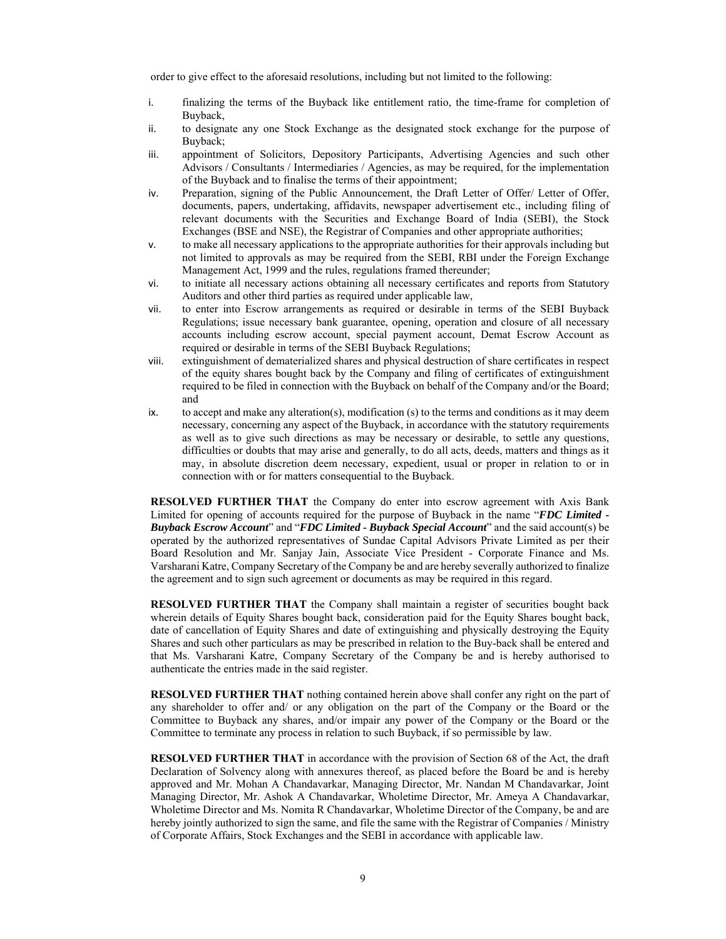order to give effect to the aforesaid resolutions, including but not limited to the following:

- i. finalizing the terms of the Buyback like entitlement ratio, the time-frame for completion of Buyback,
- ii. to designate any one Stock Exchange as the designated stock exchange for the purpose of Buyback;
- iii. appointment of Solicitors, Depository Participants, Advertising Agencies and such other Advisors / Consultants / Intermediaries / Agencies, as may be required, for the implementation of the Buyback and to finalise the terms of their appointment;
- iv. Preparation, signing of the Public Announcement, the Draft Letter of Offer/ Letter of Offer, documents, papers, undertaking, affidavits, newspaper advertisement etc., including filing of relevant documents with the Securities and Exchange Board of India (SEBI), the Stock Exchanges (BSE and NSE), the Registrar of Companies and other appropriate authorities;
- v. to make all necessary applications to the appropriate authorities for their approvals including but not limited to approvals as may be required from the SEBI, RBI under the Foreign Exchange Management Act, 1999 and the rules, regulations framed thereunder;
- vi. to initiate all necessary actions obtaining all necessary certificates and reports from Statutory Auditors and other third parties as required under applicable law,
- vii. to enter into Escrow arrangements as required or desirable in terms of the SEBI Buyback Regulations; issue necessary bank guarantee, opening, operation and closure of all necessary accounts including escrow account, special payment account, Demat Escrow Account as required or desirable in terms of the SEBI Buyback Regulations;
- viii. extinguishment of dematerialized shares and physical destruction of share certificates in respect of the equity shares bought back by the Company and filing of certificates of extinguishment required to be filed in connection with the Buyback on behalf of the Company and/or the Board; and
- ix. to accept and make any alteration(s), modification (s) to the terms and conditions as it may deem necessary, concerning any aspect of the Buyback, in accordance with the statutory requirements as well as to give such directions as may be necessary or desirable, to settle any questions, difficulties or doubts that may arise and generally, to do all acts, deeds, matters and things as it may, in absolute discretion deem necessary, expedient, usual or proper in relation to or in connection with or for matters consequential to the Buyback.

**RESOLVED FURTHER THAT** the Company do enter into escrow agreement with Axis Bank Limited for opening of accounts required for the purpose of Buyback in the name "*FDC Limited - Buyback Escrow Account*" and "*FDC Limited - Buyback Special Account*" and the said account(s) be operated by the authorized representatives of Sundae Capital Advisors Private Limited as per their Board Resolution and Mr. Sanjay Jain, Associate Vice President - Corporate Finance and Ms. Varsharani Katre, Company Secretary of the Company be and are hereby severally authorized to finalize the agreement and to sign such agreement or documents as may be required in this regard.

**RESOLVED FURTHER THAT** the Company shall maintain a register of securities bought back wherein details of Equity Shares bought back, consideration paid for the Equity Shares bought back, date of cancellation of Equity Shares and date of extinguishing and physically destroying the Equity Shares and such other particulars as may be prescribed in relation to the Buy-back shall be entered and that Ms. Varsharani Katre, Company Secretary of the Company be and is hereby authorised to authenticate the entries made in the said register.

**RESOLVED FURTHER THAT** nothing contained herein above shall confer any right on the part of any shareholder to offer and/ or any obligation on the part of the Company or the Board or the Committee to Buyback any shares, and/or impair any power of the Company or the Board or the Committee to terminate any process in relation to such Buyback, if so permissible by law.

**RESOLVED FURTHER THAT** in accordance with the provision of Section 68 of the Act, the draft Declaration of Solvency along with annexures thereof, as placed before the Board be and is hereby approved and Mr. Mohan A Chandavarkar, Managing Director, Mr. Nandan M Chandavarkar, Joint Managing Director, Mr. Ashok A Chandavarkar, Wholetime Director, Mr. Ameya A Chandavarkar, Wholetime Director and Ms. Nomita R Chandavarkar, Wholetime Director of the Company, be and are hereby jointly authorized to sign the same, and file the same with the Registrar of Companies / Ministry of Corporate Affairs, Stock Exchanges and the SEBI in accordance with applicable law.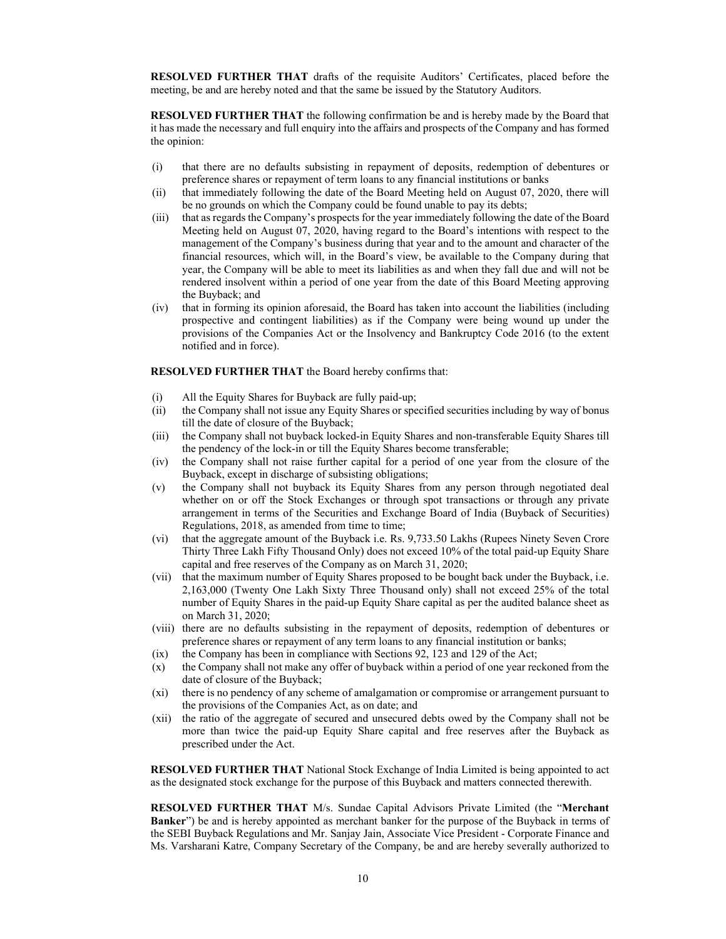**RESOLVED FURTHER THAT** drafts of the requisite Auditors' Certificates, placed before the meeting, be and are hereby noted and that the same be issued by the Statutory Auditors.

**RESOLVED FURTHER THAT** the following confirmation be and is hereby made by the Board that it has made the necessary and full enquiry into the affairs and prospects of the Company and has formed the opinion:

- (i) that there are no defaults subsisting in repayment of deposits, redemption of debentures or preference shares or repayment of term loans to any financial institutions or banks
- (ii) that immediately following the date of the Board Meeting held on August 07, 2020, there will be no grounds on which the Company could be found unable to pay its debts;
- (iii) that as regards the Company's prospects for the year immediately following the date of the Board Meeting held on August 07, 2020, having regard to the Board's intentions with respect to the management of the Company's business during that year and to the amount and character of the financial resources, which will, in the Board's view, be available to the Company during that year, the Company will be able to meet its liabilities as and when they fall due and will not be rendered insolvent within a period of one year from the date of this Board Meeting approving the Buyback; and
- (iv) that in forming its opinion aforesaid, the Board has taken into account the liabilities (including prospective and contingent liabilities) as if the Company were being wound up under the provisions of the Companies Act or the Insolvency and Bankruptcy Code 2016 (to the extent notified and in force).

### **RESOLVED FURTHER THAT** the Board hereby confirms that:

- (i) All the Equity Shares for Buyback are fully paid-up;
- (ii) the Company shall not issue any Equity Shares or specified securities including by way of bonus till the date of closure of the Buyback;
- (iii) the Company shall not buyback locked-in Equity Shares and non-transferable Equity Shares till the pendency of the lock-in or till the Equity Shares become transferable;
- (iv) the Company shall not raise further capital for a period of one year from the closure of the Buyback, except in discharge of subsisting obligations;
- (v) the Company shall not buyback its Equity Shares from any person through negotiated deal whether on or off the Stock Exchanges or through spot transactions or through any private arrangement in terms of the Securities and Exchange Board of India (Buyback of Securities) Regulations, 2018, as amended from time to time;
- (vi) that the aggregate amount of the Buyback i.e. Rs. 9,733.50 Lakhs (Rupees Ninety Seven Crore Thirty Three Lakh Fifty Thousand Only) does not exceed 10% of the total paid-up Equity Share capital and free reserves of the Company as on March 31, 2020;
- (vii) that the maximum number of Equity Shares proposed to be bought back under the Buyback, i.e. 2,163,000 (Twenty One Lakh Sixty Three Thousand only) shall not exceed 25% of the total number of Equity Shares in the paid-up Equity Share capital as per the audited balance sheet as on March 31, 2020;
- (viii) there are no defaults subsisting in the repayment of deposits, redemption of debentures or preference shares or repayment of any term loans to any financial institution or banks;
- (ix) the Company has been in compliance with Sections 92, 123 and 129 of the Act;
- (x) the Company shall not make any offer of buyback within a period of one year reckoned from the date of closure of the Buyback;
- (xi) there is no pendency of any scheme of amalgamation or compromise or arrangement pursuant to the provisions of the Companies Act, as on date; and
- (xii) the ratio of the aggregate of secured and unsecured debts owed by the Company shall not be more than twice the paid-up Equity Share capital and free reserves after the Buyback as prescribed under the Act.

**RESOLVED FURTHER THAT** National Stock Exchange of India Limited is being appointed to act as the designated stock exchange for the purpose of this Buyback and matters connected therewith.

**RESOLVED FURTHER THAT** M/s. Sundae Capital Advisors Private Limited (the "**Merchant Banker**") be and is hereby appointed as merchant banker for the purpose of the Buyback in terms of the SEBI Buyback Regulations and Mr. Sanjay Jain, Associate Vice President - Corporate Finance and Ms. Varsharani Katre, Company Secretary of the Company, be and are hereby severally authorized to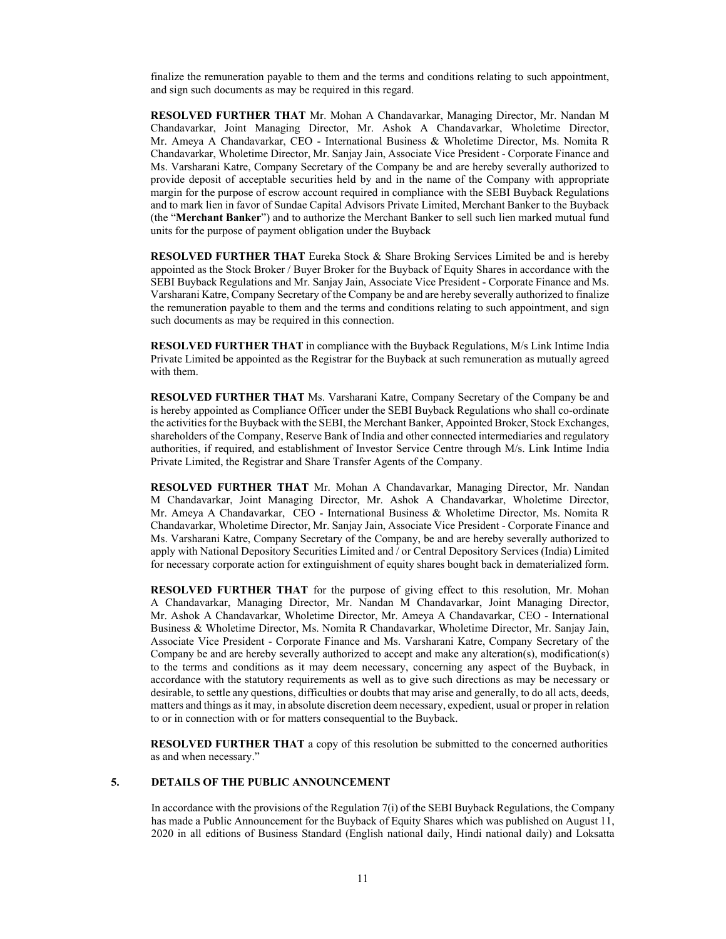finalize the remuneration payable to them and the terms and conditions relating to such appointment, and sign such documents as may be required in this regard.

**RESOLVED FURTHER THAT** Mr. Mohan A Chandavarkar, Managing Director, Mr. Nandan M Chandavarkar, Joint Managing Director, Mr. Ashok A Chandavarkar, Wholetime Director, Mr. Ameya A Chandavarkar, CEO - International Business & Wholetime Director, Ms. Nomita R Chandavarkar, Wholetime Director, Mr. Sanjay Jain, Associate Vice President - Corporate Finance and Ms. Varsharani Katre, Company Secretary of the Company be and are hereby severally authorized to provide deposit of acceptable securities held by and in the name of the Company with appropriate margin for the purpose of escrow account required in compliance with the SEBI Buyback Regulations and to mark lien in favor of Sundae Capital Advisors Private Limited, Merchant Banker to the Buyback (the "**Merchant Banker**") and to authorize the Merchant Banker to sell such lien marked mutual fund units for the purpose of payment obligation under the Buyback

**RESOLVED FURTHER THAT** Eureka Stock & Share Broking Services Limited be and is hereby appointed as the Stock Broker / Buyer Broker for the Buyback of Equity Shares in accordance with the SEBI Buyback Regulations and Mr. Sanjay Jain, Associate Vice President - Corporate Finance and Ms. Varsharani Katre, Company Secretary of the Company be and are hereby severally authorized to finalize the remuneration payable to them and the terms and conditions relating to such appointment, and sign such documents as may be required in this connection.

**RESOLVED FURTHER THAT** in compliance with the Buyback Regulations, M/s Link Intime India Private Limited be appointed as the Registrar for the Buyback at such remuneration as mutually agreed with them.

**RESOLVED FURTHER THAT** Ms. Varsharani Katre, Company Secretary of the Company be and is hereby appointed as Compliance Officer under the SEBI Buyback Regulations who shall co-ordinate the activities for the Buyback with the SEBI, the Merchant Banker, Appointed Broker, Stock Exchanges, shareholders of the Company, Reserve Bank of India and other connected intermediaries and regulatory authorities, if required, and establishment of Investor Service Centre through M/s. Link Intime India Private Limited, the Registrar and Share Transfer Agents of the Company.

**RESOLVED FURTHER THAT** Mr. Mohan A Chandavarkar, Managing Director, Mr. Nandan M Chandavarkar, Joint Managing Director, Mr. Ashok A Chandavarkar, Wholetime Director, Mr. Ameya A Chandavarkar, CEO - International Business & Wholetime Director, Ms. Nomita R Chandavarkar, Wholetime Director, Mr. Sanjay Jain, Associate Vice President - Corporate Finance and Ms. Varsharani Katre, Company Secretary of the Company, be and are hereby severally authorized to apply with National Depository Securities Limited and / or Central Depository Services (India) Limited for necessary corporate action for extinguishment of equity shares bought back in dematerialized form.

**RESOLVED FURTHER THAT** for the purpose of giving effect to this resolution, Mr. Mohan A Chandavarkar, Managing Director, Mr. Nandan M Chandavarkar, Joint Managing Director, Mr. Ashok A Chandavarkar, Wholetime Director, Mr. Ameya A Chandavarkar, CEO - International Business & Wholetime Director, Ms. Nomita R Chandavarkar, Wholetime Director, Mr. Sanjay Jain, Associate Vice President - Corporate Finance and Ms. Varsharani Katre, Company Secretary of the Company be and are hereby severally authorized to accept and make any alteration(s), modification(s) to the terms and conditions as it may deem necessary, concerning any aspect of the Buyback, in accordance with the statutory requirements as well as to give such directions as may be necessary or desirable, to settle any questions, difficulties or doubts that may arise and generally, to do all acts, deeds, matters and things as it may, in absolute discretion deem necessary, expedient, usual or proper in relation to or in connection with or for matters consequential to the Buyback.

**RESOLVED FURTHER THAT** a copy of this resolution be submitted to the concerned authorities as and when necessary."

### **5. DETAILS OF THE PUBLIC ANNOUNCEMENT**

In accordance with the provisions of the Regulation 7(i) of the SEBI Buyback Regulations, the Company has made a Public Announcement for the Buyback of Equity Shares which was published on August 11, 2020 in all editions of Business Standard (English national daily, Hindi national daily) and Loksatta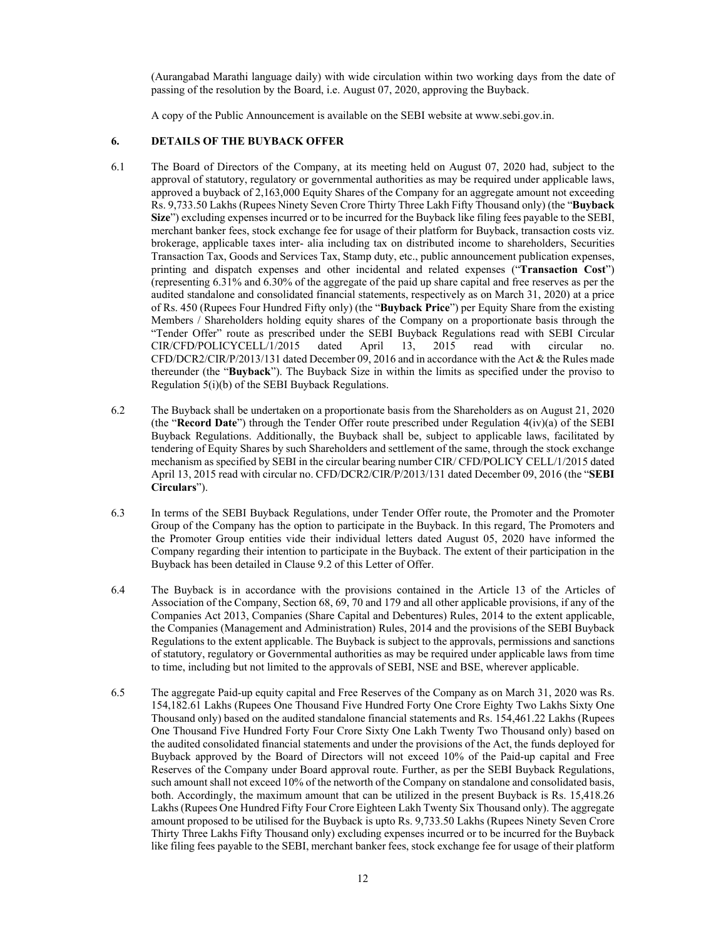(Aurangabad Marathi language daily) with wide circulation within two working days from the date of passing of the resolution by the Board, i.e. August 07, 2020, approving the Buyback.

A copy of the Public Announcement is available on the SEBI website at www.sebi.gov.in.

### **6. DETAILS OF THE BUYBACK OFFER**

- 6.1 The Board of Directors of the Company, at its meeting held on August 07, 2020 had, subject to the approval of statutory, regulatory or governmental authorities as may be required under applicable laws, approved a buyback of 2,163,000 Equity Shares of the Company for an aggregate amount not exceeding Rs. 9,733.50 Lakhs (Rupees Ninety Seven Crore Thirty Three Lakh Fifty Thousand only) (the "**Buyback Size**") excluding expenses incurred or to be incurred for the Buyback like filing fees payable to the SEBI, merchant banker fees, stock exchange fee for usage of their platform for Buyback, transaction costs viz. brokerage, applicable taxes inter- alia including tax on distributed income to shareholders, Securities Transaction Tax, Goods and Services Tax, Stamp duty, etc., public announcement publication expenses, printing and dispatch expenses and other incidental and related expenses ("**Transaction Cost**") (representing 6.31% and 6.30% of the aggregate of the paid up share capital and free reserves as per the audited standalone and consolidated financial statements, respectively as on March 31, 2020) at a price of Rs. 450 (Rupees Four Hundred Fifty only) (the "**Buyback Price**") per Equity Share from the existing Members / Shareholders holding equity shares of the Company on a proportionate basis through the "Tender Offer" route as prescribed under the SEBI Buyback Regulations read with SEBI Circular CIR/CFD/POLICYCELL/1/2015 dated April 13, 2015 read with circular no. CFD/DCR2/CIR/P/2013/131 dated December 09, 2016 and in accordance with the Act & the Rules made thereunder (the "**Buyback**"). The Buyback Size in within the limits as specified under the proviso to Regulation 5(i)(b) of the SEBI Buyback Regulations.
- 6.2 The Buyback shall be undertaken on a proportionate basis from the Shareholders as on August 21, 2020 (the "**Record Date**") through the Tender Offer route prescribed under Regulation 4(iv)(a) of the SEBI Buyback Regulations. Additionally, the Buyback shall be, subject to applicable laws, facilitated by tendering of Equity Shares by such Shareholders and settlement of the same, through the stock exchange mechanism as specified by SEBI in the circular bearing number CIR/ CFD/POLICY CELL/1/2015 dated April 13, 2015 read with circular no. CFD/DCR2/CIR/P/2013/131 dated December 09, 2016 (the "**SEBI Circulars**").
- 6.3 In terms of the SEBI Buyback Regulations, under Tender Offer route, the Promoter and the Promoter Group of the Company has the option to participate in the Buyback. In this regard, The Promoters and the Promoter Group entities vide their individual letters dated August 05, 2020 have informed the Company regarding their intention to participate in the Buyback. The extent of their participation in the Buyback has been detailed in Clause 9.2 of this Letter of Offer.
- 6.4 The Buyback is in accordance with the provisions contained in the Article 13 of the Articles of Association of the Company, Section 68, 69, 70 and 179 and all other applicable provisions, if any of the Companies Act 2013, Companies (Share Capital and Debentures) Rules, 2014 to the extent applicable, the Companies (Management and Administration) Rules, 2014 and the provisions of the SEBI Buyback Regulations to the extent applicable. The Buyback is subject to the approvals, permissions and sanctions of statutory, regulatory or Governmental authorities as may be required under applicable laws from time to time, including but not limited to the approvals of SEBI, NSE and BSE, wherever applicable.
- 6.5 The aggregate Paid-up equity capital and Free Reserves of the Company as on March 31, 2020 was Rs. 154,182.61 Lakhs (Rupees One Thousand Five Hundred Forty One Crore Eighty Two Lakhs Sixty One Thousand only) based on the audited standalone financial statements and Rs. 154,461.22 Lakhs (Rupees One Thousand Five Hundred Forty Four Crore Sixty One Lakh Twenty Two Thousand only) based on the audited consolidated financial statements and under the provisions of the Act, the funds deployed for Buyback approved by the Board of Directors will not exceed 10% of the Paid-up capital and Free Reserves of the Company under Board approval route. Further, as per the SEBI Buyback Regulations, such amount shall not exceed 10% of the networth of the Company on standalone and consolidated basis, both. Accordingly, the maximum amount that can be utilized in the present Buyback is Rs. 15,418.26 Lakhs (Rupees One Hundred Fifty Four Crore Eighteen Lakh Twenty Six Thousand only). The aggregate amount proposed to be utilised for the Buyback is upto Rs. 9,733.50 Lakhs (Rupees Ninety Seven Crore Thirty Three Lakhs Fifty Thousand only) excluding expenses incurred or to be incurred for the Buyback like filing fees payable to the SEBI, merchant banker fees, stock exchange fee for usage of their platform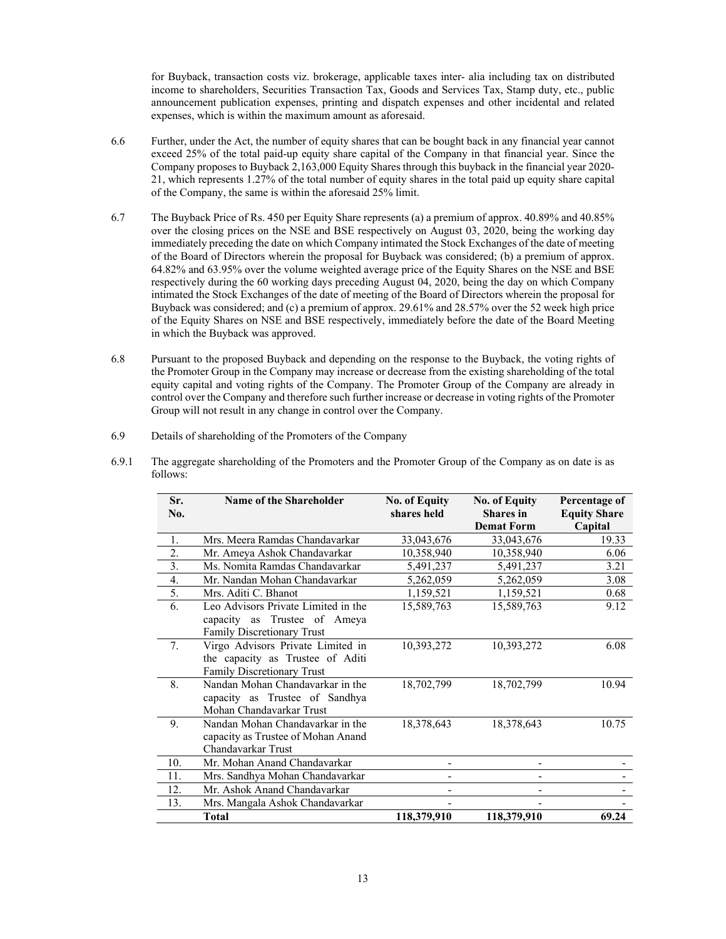for Buyback, transaction costs viz. brokerage, applicable taxes inter- alia including tax on distributed income to shareholders, Securities Transaction Tax, Goods and Services Tax, Stamp duty, etc., public announcement publication expenses, printing and dispatch expenses and other incidental and related expenses, which is within the maximum amount as aforesaid.

- 6.6 Further, under the Act, the number of equity shares that can be bought back in any financial year cannot exceed 25% of the total paid-up equity share capital of the Company in that financial year. Since the Company proposes to Buyback 2,163,000 Equity Shares through this buyback in the financial year 2020- 21, which represents 1.27% of the total number of equity shares in the total paid up equity share capital of the Company, the same is within the aforesaid 25% limit.
- 6.7 The Buyback Price of Rs. 450 per Equity Share represents (a) a premium of approx. 40.89% and 40.85% over the closing prices on the NSE and BSE respectively on August 03, 2020, being the working day immediately preceding the date on which Company intimated the Stock Exchanges of the date of meeting of the Board of Directors wherein the proposal for Buyback was considered; (b) a premium of approx. 64.82% and 63.95% over the volume weighted average price of the Equity Shares on the NSE and BSE respectively during the 60 working days preceding August 04, 2020, being the day on which Company intimated the Stock Exchanges of the date of meeting of the Board of Directors wherein the proposal for Buyback was considered; and (c) a premium of approx. 29.61% and 28.57% over the 52 week high price of the Equity Shares on NSE and BSE respectively, immediately before the date of the Board Meeting in which the Buyback was approved.
- 6.8 Pursuant to the proposed Buyback and depending on the response to the Buyback, the voting rights of the Promoter Group in the Company may increase or decrease from the existing shareholding of the total equity capital and voting rights of the Company. The Promoter Group of the Company are already in control over the Company and therefore such further increase or decrease in voting rights of the Promoter Group will not result in any change in control over the Company.
- 6.9 Details of shareholding of the Promoters of the Company

| Sr.              | <b>Name of the Shareholder</b>      | <b>No. of Equity</b> | <b>No. of Equity</b> | Percentage of       |
|------------------|-------------------------------------|----------------------|----------------------|---------------------|
| No.              |                                     | shares held          | <b>Shares</b> in     | <b>Equity Share</b> |
|                  |                                     |                      | <b>Demat Form</b>    | Capital             |
| 1.               | Mrs. Meera Ramdas Chandavarkar      | 33,043,676           | 33,043,676           | 19.33               |
| $\overline{2}$ . | Mr. Ameya Ashok Chandavarkar        | 10,358,940           | 10,358,940           | 6.06                |
| 3.               | Ms. Nomita Ramdas Chandavarkar      | 5,491,237            | 5,491,237            | 3.21                |
| 4.               | Mr. Nandan Mohan Chandavarkar       | 5,262,059            | 5,262,059            | 3.08                |
| 5.               | Mrs. Aditi C. Bhanot                | 1,159,521            | 1,159,521            | 0.68                |
| 6.               | Leo Advisors Private Limited in the | 15,589,763           | 15,589,763           | 9.12                |
|                  | capacity as Trustee of Ameya        |                      |                      |                     |
|                  | Family Discretionary Trust          |                      |                      |                     |
| 7.               | Virgo Advisors Private Limited in   | 10,393,272           | 10,393,272           | 6.08                |
|                  | the capacity as Trustee of Aditi    |                      |                      |                     |
|                  | <b>Family Discretionary Trust</b>   |                      |                      |                     |
| 8.               | Nandan Mohan Chandavarkar in the    | 18,702,799           | 18,702,799           | 10.94               |
|                  | capacity as Trustee of Sandhya      |                      |                      |                     |
|                  | Mohan Chandavarkar Trust            |                      |                      |                     |
| 9.               | Nandan Mohan Chandavarkar in the    | 18,378,643           | 18,378,643           | 10.75               |
|                  | capacity as Trustee of Mohan Anand  |                      |                      |                     |
|                  | Chandavarkar Trust                  |                      |                      |                     |
| 10.              | Mr. Mohan Anand Chandavarkar        |                      |                      |                     |
| 11.              | Mrs. Sandhya Mohan Chandavarkar     |                      |                      |                     |
| 12.              | Mr. Ashok Anand Chandavarkar        |                      |                      |                     |
| 13.              | Mrs. Mangala Ashok Chandavarkar     |                      |                      |                     |
|                  | Total                               | 118,379,910          | 118,379,910          | 69.24               |

6.9.1 The aggregate shareholding of the Promoters and the Promoter Group of the Company as on date is as follows: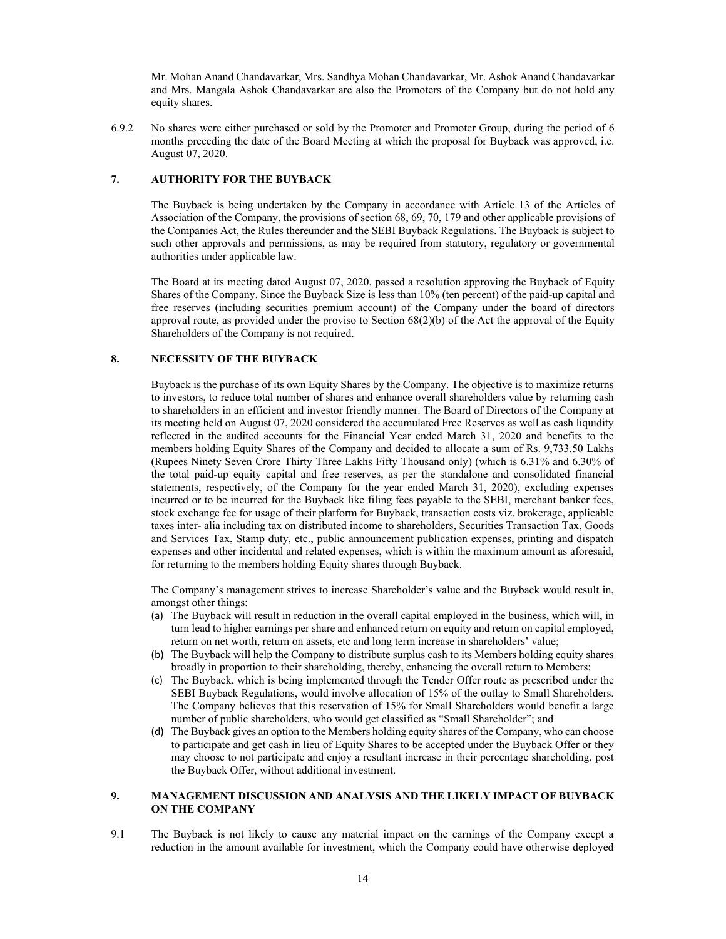Mr. Mohan Anand Chandavarkar, Mrs. Sandhya Mohan Chandavarkar, Mr. Ashok Anand Chandavarkar and Mrs. Mangala Ashok Chandavarkar are also the Promoters of the Company but do not hold any equity shares.

6.9.2 No shares were either purchased or sold by the Promoter and Promoter Group, during the period of 6 months preceding the date of the Board Meeting at which the proposal for Buyback was approved, i.e. August 07, 2020.

# **7. AUTHORITY FOR THE BUYBACK**

The Buyback is being undertaken by the Company in accordance with Article 13 of the Articles of Association of the Company, the provisions of section 68, 69, 70, 179 and other applicable provisions of the Companies Act, the Rules thereunder and the SEBI Buyback Regulations. The Buyback is subject to such other approvals and permissions, as may be required from statutory, regulatory or governmental authorities under applicable law.

The Board at its meeting dated August 07, 2020, passed a resolution approving the Buyback of Equity Shares of the Company. Since the Buyback Size is less than 10% (ten percent) of the paid-up capital and free reserves (including securities premium account) of the Company under the board of directors approval route, as provided under the proviso to Section  $68(2)(b)$  of the Act the approval of the Equity Shareholders of the Company is not required.

# **8. NECESSITY OF THE BUYBACK**

Buyback is the purchase of its own Equity Shares by the Company. The objective is to maximize returns to investors, to reduce total number of shares and enhance overall shareholders value by returning cash to shareholders in an efficient and investor friendly manner. The Board of Directors of the Company at its meeting held on August 07, 2020 considered the accumulated Free Reserves as well as cash liquidity reflected in the audited accounts for the Financial Year ended March 31, 2020 and benefits to the members holding Equity Shares of the Company and decided to allocate a sum of Rs. 9,733.50 Lakhs (Rupees Ninety Seven Crore Thirty Three Lakhs Fifty Thousand only) (which is 6.31% and 6.30% of the total paid-up equity capital and free reserves, as per the standalone and consolidated financial statements, respectively, of the Company for the year ended March 31, 2020), excluding expenses incurred or to be incurred for the Buyback like filing fees payable to the SEBI, merchant banker fees, stock exchange fee for usage of their platform for Buyback, transaction costs viz. brokerage, applicable taxes inter- alia including tax on distributed income to shareholders, Securities Transaction Tax, Goods and Services Tax, Stamp duty, etc., public announcement publication expenses, printing and dispatch expenses and other incidental and related expenses, which is within the maximum amount as aforesaid, for returning to the members holding Equity shares through Buyback.

The Company's management strives to increase Shareholder's value and the Buyback would result in, amongst other things:

- (a) The Buyback will result in reduction in the overall capital employed in the business, which will, in turn lead to higher earnings per share and enhanced return on equity and return on capital employed, return on net worth, return on assets, etc and long term increase in shareholders' value;
- (b) The Buyback will help the Company to distribute surplus cash to its Members holding equity shares broadly in proportion to their shareholding, thereby, enhancing the overall return to Members;
- (c) The Buyback, which is being implemented through the Tender Offer route as prescribed under the SEBI Buyback Regulations, would involve allocation of 15% of the outlay to Small Shareholders. The Company believes that this reservation of 15% for Small Shareholders would benefit a large number of public shareholders, who would get classified as "Small Shareholder"; and
- (d) The Buyback gives an option to the Members holding equity shares of the Company, who can choose to participate and get cash in lieu of Equity Shares to be accepted under the Buyback Offer or they may choose to not participate and enjoy a resultant increase in their percentage shareholding, post the Buyback Offer, without additional investment.

# **9. MANAGEMENT DISCUSSION AND ANALYSIS AND THE LIKELY IMPACT OF BUYBACK ON THE COMPANY**

9.1 The Buyback is not likely to cause any material impact on the earnings of the Company except a reduction in the amount available for investment, which the Company could have otherwise deployed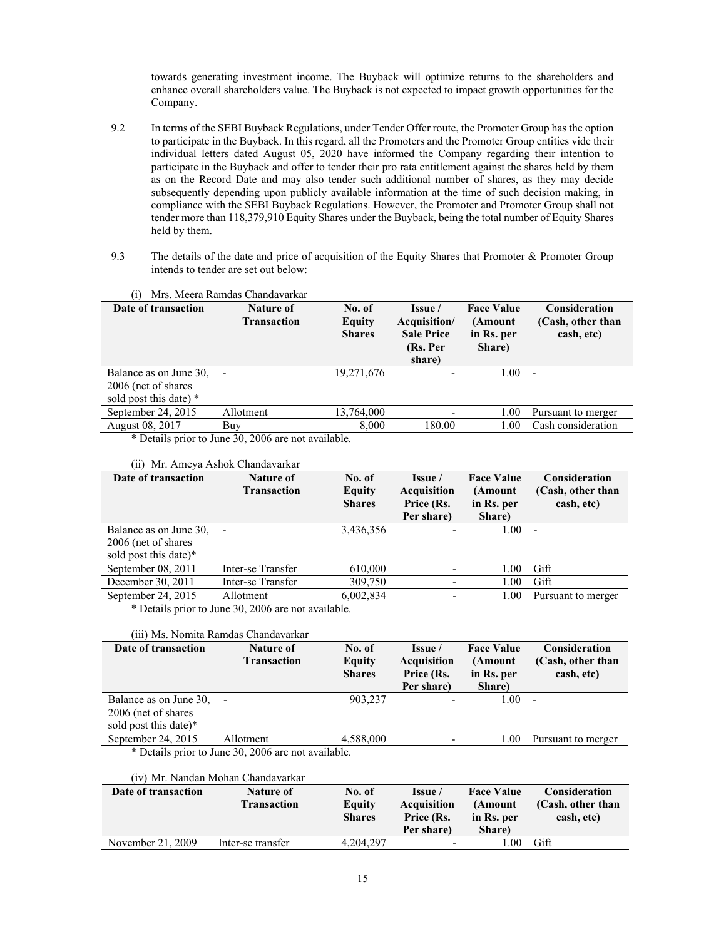towards generating investment income. The Buyback will optimize returns to the shareholders and enhance overall shareholders value. The Buyback is not expected to impact growth opportunities for the Company.

- 9.2 In terms of the SEBI Buyback Regulations, under Tender Offer route, the Promoter Group has the option to participate in the Buyback. In this regard, all the Promoters and the Promoter Group entities vide their individual letters dated August 05, 2020 have informed the Company regarding their intention to participate in the Buyback and offer to tender their pro rata entitlement against the shares held by them as on the Record Date and may also tender such additional number of shares, as they may decide subsequently depending upon publicly available information at the time of such decision making, in compliance with the SEBI Buyback Regulations. However, the Promoter and Promoter Group shall not tender more than 118,379,910 Equity Shares under the Buyback, being the total number of Equity Shares held by them.
- 9.3 The details of the date and price of acquisition of the Equity Shares that Promoter & Promoter Group intends to tender are set out below:

| (1)                                                                      | Mrs. Meera Ramdas Chandavarkar                             |                                   |                                                                    |                                                      |                                                         |
|--------------------------------------------------------------------------|------------------------------------------------------------|-----------------------------------|--------------------------------------------------------------------|------------------------------------------------------|---------------------------------------------------------|
| Date of transaction                                                      | Nature of<br><b>Transaction</b>                            | No. of<br>Equity<br><b>Shares</b> | Issue /<br>Acquisition/<br><b>Sale Price</b><br>(Rs. Per<br>share) | <b>Face Value</b><br>(Amount<br>in Rs. per<br>Share) | <b>Consideration</b><br>(Cash, other than<br>cash, etc) |
| Balance as on June 30,<br>2006 (net of shares)<br>sold post this date) * |                                                            | 19,271,676                        | -                                                                  | 1.00                                                 | $\qquad \qquad -$                                       |
| September 24, 2015                                                       | Allotment                                                  | 13,764,000                        |                                                                    | 1.00                                                 | Pursuant to merger                                      |
| August 08, 2017                                                          | Buy                                                        | 8,000                             | 180.00                                                             | 1.00                                                 | Cash consideration                                      |
|                                                                          | $\mathbf{a} \mathbf{a}$ $\mathbf{a} \mathbf{a} \mathbf{a}$ | $\cdot$ $\cdot$ $\cdot$ $\cdot$   |                                                                    |                                                      |                                                         |

\* Details prior to June 30, 2006 are not available.

#### (ii) Mr. Ameya Ashok Chandavarkar

| Date of transaction    | Nature of<br><b>Transaction</b> | No. of<br>Equity<br><b>Shares</b> | Issue /<br><b>Acquisition</b><br>Price (Rs.<br>Per share) | <b>Face Value</b><br>(Amount<br>in Rs. per<br>Share) | <b>Consideration</b><br>(Cash, other than<br>cash, etc) |
|------------------------|---------------------------------|-----------------------------------|-----------------------------------------------------------|------------------------------------------------------|---------------------------------------------------------|
| Balance as on June 30, | $\overline{\phantom{a}}$        | 3,436,356                         | $\overline{\phantom{a}}$                                  | 1.00                                                 | $\overline{\phantom{a}}$                                |
| 2006 (net of shares)   |                                 |                                   |                                                           |                                                      |                                                         |
| sold post this date)*  |                                 |                                   |                                                           |                                                      |                                                         |
| September 08, 2011     | Inter-se Transfer               | 610,000                           |                                                           | 1.00                                                 | Gift                                                    |
| December 30, 2011      | Inter-se Transfer               | 309,750                           |                                                           | 1.00                                                 | Gift                                                    |
| September 24, 2015     | Allotment                       | 6,002,834                         |                                                           | 1.00                                                 | Pursuant to merger                                      |

\* Details prior to June 30, 2006 are not available.

#### (iii) Ms. Nomita Ramdas Chandavarkar

| Date of transaction    | Nature of<br><b>Transaction</b>                    | No. of<br>Equity<br><b>Shares</b> | Issue /<br><b>Acquisition</b><br>Price (Rs.<br>Per share) | <b>Face Value</b><br>(Amount<br>in Rs. per<br>Share) | Consideration<br>(Cash, other than<br>cash, etc) |
|------------------------|----------------------------------------------------|-----------------------------------|-----------------------------------------------------------|------------------------------------------------------|--------------------------------------------------|
| Balance as on June 30, |                                                    | 903,237                           |                                                           | 1.00                                                 | $\overline{\phantom{a}}$                         |
| 2006 (net of shares)   |                                                    |                                   |                                                           |                                                      |                                                  |
| sold post this date)*  |                                                    |                                   |                                                           |                                                      |                                                  |
| September 24, 2015     | Allotment                                          | 4,588,000                         |                                                           | 1.00                                                 | Pursuant to merger                               |
|                        | * Details prior to June 30, 2006 are not available |                                   |                                                           |                                                      |                                                  |

etails prior to June 30, 2006 are not availab

### (iv) Mr. Nandan Mohan Chandavarkar

| Date of transaction | Nature of          | No. of        | <b>Issue</b>             | <b>Face Value</b> | <b>Consideration</b> |
|---------------------|--------------------|---------------|--------------------------|-------------------|----------------------|
|                     | <b>Transaction</b> | Equity        | <b>Acquisition</b>       | (Amount           | (Cash, other than    |
|                     |                    | <b>Shares</b> | Price (Rs.               | in Rs. per        | cash, etc)           |
|                     |                    |               | Per share)               | Share)            |                      |
| November 21, 2009   | Inter-se transfer  | 4.204.297     | $\overline{\phantom{0}}$ | . 00              | Gift                 |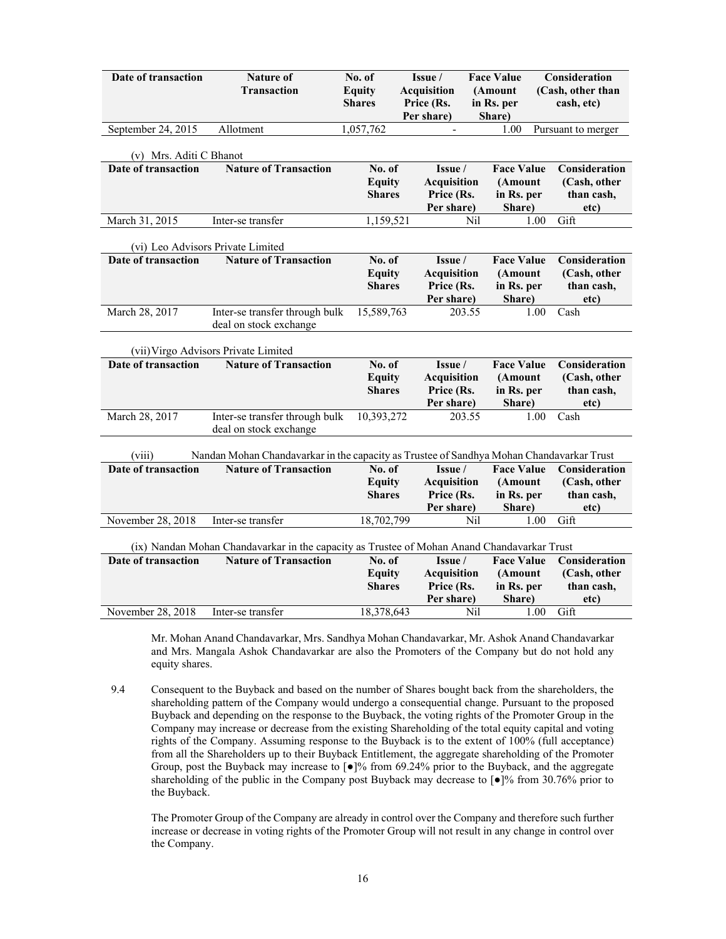| Date of transaction     | <b>Nature of</b><br><b>Transaction</b>                                                      | No. of<br><b>Equity</b><br><b>Shares</b> | Issue /<br><b>Acquisition</b><br>Price (Rs.<br>Per share) | <b>Face Value</b><br>(Amount<br>in Rs. per<br>Share) | Consideration<br>(Cash, other than<br>cash, etc)    |
|-------------------------|---------------------------------------------------------------------------------------------|------------------------------------------|-----------------------------------------------------------|------------------------------------------------------|-----------------------------------------------------|
| September 24, 2015      | Allotment                                                                                   | 1,057,762                                |                                                           | 1.00                                                 | Pursuant to merger                                  |
| (v) Mrs. Aditi C Bhanot |                                                                                             |                                          |                                                           |                                                      |                                                     |
| Date of transaction     | <b>Nature of Transaction</b>                                                                | No. of<br><b>Equity</b><br><b>Shares</b> | Issue /<br><b>Acquisition</b><br>Price (Rs.<br>Per share) | <b>Face Value</b><br>(Amount<br>in Rs. per<br>Share) | Consideration<br>(Cash, other<br>than cash,<br>etc) |
| March 31, 2015          | Inter-se transfer                                                                           | 1,159,521                                |                                                           | Nil                                                  | Gift<br>1.00                                        |
|                         | (vi) Leo Advisors Private Limited                                                           |                                          |                                                           |                                                      |                                                     |
| Date of transaction     | <b>Nature of Transaction</b>                                                                | No. of<br><b>Equity</b><br><b>Shares</b> | Issue /<br><b>Acquisition</b><br>Price (Rs.<br>Per share) | <b>Face Value</b><br>(Amount<br>in Rs. per<br>Share) | Consideration<br>(Cash, other<br>than cash,<br>etc) |
| March 28, 2017          | Inter-se transfer through bulk<br>deal on stock exchange                                    | 15,589,763                               |                                                           | 203.55                                               | 1.00<br>Cash                                        |
|                         | (vii) Virgo Advisors Private Limited                                                        |                                          |                                                           |                                                      |                                                     |
| Date of transaction     | <b>Nature of Transaction</b>                                                                | No. of<br><b>Equity</b><br><b>Shares</b> | Issue /<br><b>Acquisition</b><br>Price (Rs.<br>Per share) | <b>Face Value</b><br>(Amount<br>in Rs. per<br>Share) | Consideration<br>(Cash, other<br>than cash,<br>etc) |
| March 28, 2017          | Inter-se transfer through bulk<br>deal on stock exchange                                    | 10,393,272                               |                                                           | 203.55                                               | 1.00<br>Cash                                        |
| (viii)                  | Nandan Mohan Chandavarkar in the capacity as Trustee of Sandhya Mohan Chandavarkar Trust    |                                          |                                                           |                                                      |                                                     |
| Date of transaction     | <b>Nature of Transaction</b>                                                                | No. of<br><b>Equity</b><br><b>Shares</b> | Issue /<br><b>Acquisition</b><br>Price (Rs.<br>Per share) | <b>Face Value</b><br>(Amount<br>in Rs. per<br>Share) | Consideration<br>(Cash, other<br>than cash,<br>etc) |
| November 28, 2018       | Inter-se transfer                                                                           | 18,702,799                               |                                                           | Nil                                                  | Gift<br>1.00                                        |
|                         | (ix) Nandan Mohan Chandavarkar in the capacity as Trustee of Mohan Anand Chandavarkar Trust |                                          |                                                           |                                                      |                                                     |
| Date of transaction     | <b>Nature of Transaction</b>                                                                | No. of<br><b>Equity</b><br><b>Shares</b> | Issue /<br><b>Acquisition</b><br>Price (Rs.<br>Per share) | <b>Face Value</b><br>(Amount<br>in Rs. per<br>Share) | Consideration<br>(Cash, other<br>than cash,<br>etc) |
| November 28, 2018       | Inter-se transfer                                                                           | 18,378,643                               |                                                           | Nil                                                  | Gift<br>1.00                                        |

Mr. Mohan Anand Chandavarkar, Mrs. Sandhya Mohan Chandavarkar, Mr. Ashok Anand Chandavarkar and Mrs. Mangala Ashok Chandavarkar are also the Promoters of the Company but do not hold any equity shares.

9.4 Consequent to the Buyback and based on the number of Shares bought back from the shareholders, the shareholding pattern of the Company would undergo a consequential change. Pursuant to the proposed Buyback and depending on the response to the Buyback, the voting rights of the Promoter Group in the Company may increase or decrease from the existing Shareholding of the total equity capital and voting rights of the Company. Assuming response to the Buyback is to the extent of 100% (full acceptance) from all the Shareholders up to their Buyback Entitlement, the aggregate shareholding of the Promoter Group, post the Buyback may increase to  $\lceil \bullet \rceil\%$  from 69.24% prior to the Buyback, and the aggregate shareholding of the public in the Company post Buyback may decrease to  $\lceil \cdot \cdot \rceil$ % from 30.76% prior to the Buyback.

The Promoter Group of the Company are already in control over the Company and therefore such further increase or decrease in voting rights of the Promoter Group will not result in any change in control over the Company.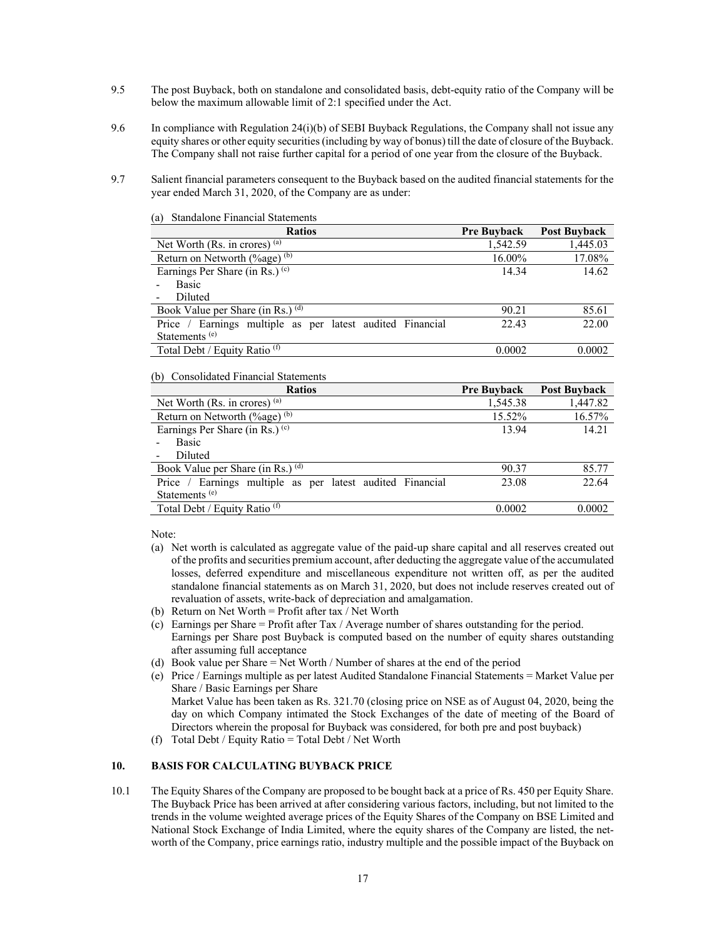- 9.5 The post Buyback, both on standalone and consolidated basis, debt-equity ratio of the Company will be below the maximum allowable limit of 2:1 specified under the Act.
- 9.6 In compliance with Regulation 24(i)(b) of SEBI Buyback Regulations, the Company shall not issue any equity shares or other equity securities (including by way of bonus) till the date of closure of the Buyback. The Company shall not raise further capital for a period of one year from the closure of the Buyback.
- 9.7 Salient financial parameters consequent to the Buyback based on the audited financial statements for the year ended March 31, 2020, of the Company are as under:

| <b>Ratios</b>                                             | <b>Pre Buyback</b> | <b>Post Buyback</b> |
|-----------------------------------------------------------|--------------------|---------------------|
| Net Worth $(Rs.$ in crores) $(a)$                         | 1,542.59           | 1,445.03            |
| Return on Networth $(\%$ age) (b)                         | 16.00%             | 17.08%              |
| Earnings Per Share (in Rs.) $(c)$                         | 14.34              | 14.62               |
| <b>Basic</b>                                              |                    |                     |
| Diluted                                                   |                    |                     |
| Book Value per Share (in Rs.) (d)                         | 90.21              | 85.61               |
| Price / Earnings multiple as per latest audited Financial | 22.43              | 22.00               |
| Statements <sup>(e)</sup>                                 |                    |                     |
| Total Debt / Equity Ratio <sup>(f)</sup>                  | 0.0002             | 0.0002              |

#### (a) Standalone Financial Statements

### (b) Consolidated Financial Statements

| $\sqrt{2}$<br><b>Ratios</b>                               | <b>Pre Buyback</b> | <b>Post Buyback</b> |
|-----------------------------------------------------------|--------------------|---------------------|
| Net Worth $(Rs.$ in crores) $(a)$                         | 1,545.38           | 1,447.82            |
| Return on Networth $(\%$ age) $(b)$                       | 15.52%             | 16.57%              |
| Earnings Per Share (in Rs.) $(c)$                         | 13.94              | 14.21               |
| <b>Basic</b>                                              |                    |                     |
| Diluted                                                   |                    |                     |
| Book Value per Share (in Rs.) (d)                         | 90.37              | 85.77               |
| Price / Earnings multiple as per latest audited Financial | 23.08              | 22.64               |
| Statements <sup>(e)</sup>                                 |                    |                     |
| Total Debt / Equity Ratio <sup>(f)</sup>                  | 0.0002             | 0.0002              |

Note:

- (a) Net worth is calculated as aggregate value of the paid-up share capital and all reserves created out of the profits and securities premium account, after deducting the aggregate value of the accumulated losses, deferred expenditure and miscellaneous expenditure not written off, as per the audited standalone financial statements as on March 31, 2020, but does not include reserves created out of revaluation of assets, write-back of depreciation and amalgamation.
- (b) Return on Net Worth = Profit after tax / Net Worth
- (c) Earnings per Share = Profit after Tax / Average number of shares outstanding for the period. Earnings per Share post Buyback is computed based on the number of equity shares outstanding after assuming full acceptance
- (d) Book value per Share = Net Worth / Number of shares at the end of the period
- (e) Price / Earnings multiple as per latest Audited Standalone Financial Statements = Market Value per Share / Basic Earnings per Share Market Value has been taken as Rs. 321.70 (closing price on NSE as of August 04, 2020, being the day on which Company intimated the Stock Exchanges of the date of meeting of the Board of Directors wherein the proposal for Buyback was considered, for both pre and post buyback)
- (f) Total Debt / Equity Ratio = Total Debt / Net Worth

# **10. BASIS FOR CALCULATING BUYBACK PRICE**

10.1 The Equity Shares of the Company are proposed to be bought back at a price of Rs. 450 per Equity Share. The Buyback Price has been arrived at after considering various factors, including, but not limited to the trends in the volume weighted average prices of the Equity Shares of the Company on BSE Limited and National Stock Exchange of India Limited, where the equity shares of the Company are listed, the networth of the Company, price earnings ratio, industry multiple and the possible impact of the Buyback on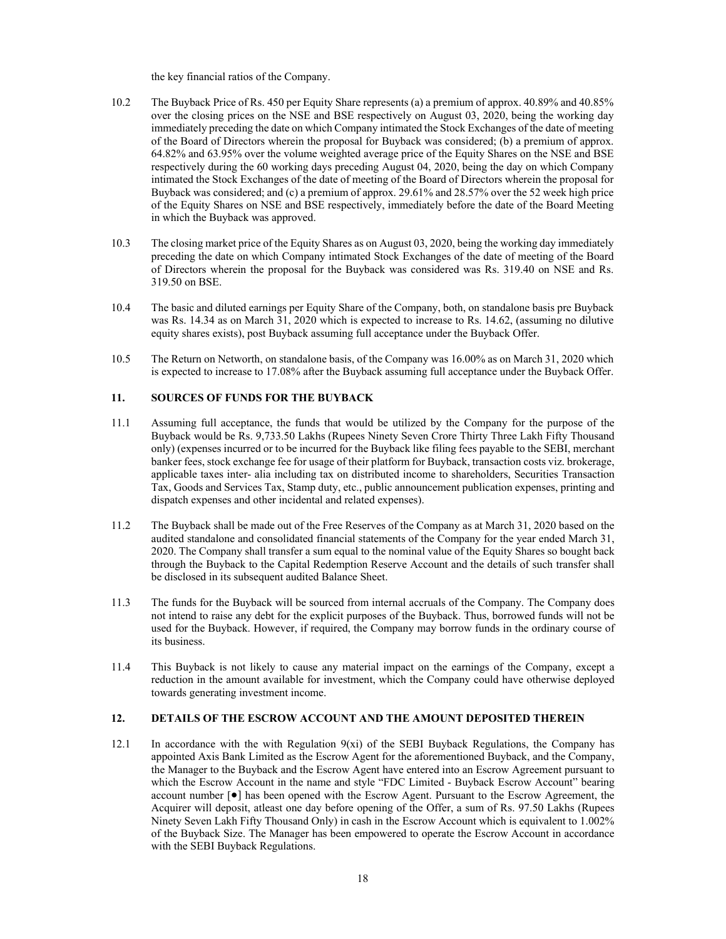the key financial ratios of the Company.

- 10.2 The Buyback Price of Rs. 450 per Equity Share represents (a) a premium of approx. 40.89% and 40.85% over the closing prices on the NSE and BSE respectively on August 03, 2020, being the working day immediately preceding the date on which Company intimated the Stock Exchanges of the date of meeting of the Board of Directors wherein the proposal for Buyback was considered; (b) a premium of approx. 64.82% and 63.95% over the volume weighted average price of the Equity Shares on the NSE and BSE respectively during the 60 working days preceding August 04, 2020, being the day on which Company intimated the Stock Exchanges of the date of meeting of the Board of Directors wherein the proposal for Buyback was considered; and (c) a premium of approx. 29.61% and 28.57% over the 52 week high price of the Equity Shares on NSE and BSE respectively, immediately before the date of the Board Meeting in which the Buyback was approved.
- 10.3 The closing market price of the Equity Shares as on August 03, 2020, being the working day immediately preceding the date on which Company intimated Stock Exchanges of the date of meeting of the Board of Directors wherein the proposal for the Buyback was considered was Rs. 319.40 on NSE and Rs. 319.50 on BSE.
- 10.4 The basic and diluted earnings per Equity Share of the Company, both, on standalone basis pre Buyback was Rs. 14.34 as on March 31, 2020 which is expected to increase to Rs. 14.62, (assuming no dilutive equity shares exists), post Buyback assuming full acceptance under the Buyback Offer.
- 10.5 The Return on Networth, on standalone basis, of the Company was 16.00% as on March 31, 2020 which is expected to increase to 17.08% after the Buyback assuming full acceptance under the Buyback Offer.

# **11. SOURCES OF FUNDS FOR THE BUYBACK**

- 11.1 Assuming full acceptance, the funds that would be utilized by the Company for the purpose of the Buyback would be Rs. 9,733.50 Lakhs (Rupees Ninety Seven Crore Thirty Three Lakh Fifty Thousand only) (expenses incurred or to be incurred for the Buyback like filing fees payable to the SEBI, merchant banker fees, stock exchange fee for usage of their platform for Buyback, transaction costs viz. brokerage, applicable taxes inter- alia including tax on distributed income to shareholders, Securities Transaction Tax, Goods and Services Tax, Stamp duty, etc., public announcement publication expenses, printing and dispatch expenses and other incidental and related expenses).
- 11.2 The Buyback shall be made out of the Free Reserves of the Company as at March 31, 2020 based on the audited standalone and consolidated financial statements of the Company for the year ended March 31, 2020. The Company shall transfer a sum equal to the nominal value of the Equity Shares so bought back through the Buyback to the Capital Redemption Reserve Account and the details of such transfer shall be disclosed in its subsequent audited Balance Sheet.
- 11.3 The funds for the Buyback will be sourced from internal accruals of the Company. The Company does not intend to raise any debt for the explicit purposes of the Buyback. Thus, borrowed funds will not be used for the Buyback. However, if required, the Company may borrow funds in the ordinary course of its business.
- 11.4 This Buyback is not likely to cause any material impact on the earnings of the Company, except a reduction in the amount available for investment, which the Company could have otherwise deployed towards generating investment income.

# **12. DETAILS OF THE ESCROW ACCOUNT AND THE AMOUNT DEPOSITED THEREIN**

12.1 In accordance with the with Regulation 9(xi) of the SEBI Buyback Regulations, the Company has appointed Axis Bank Limited as the Escrow Agent for the aforementioned Buyback, and the Company, the Manager to the Buyback and the Escrow Agent have entered into an Escrow Agreement pursuant to which the Escrow Account in the name and style "FDC Limited - Buyback Escrow Account" bearing account number [●] has been opened with the Escrow Agent. Pursuant to the Escrow Agreement, the Acquirer will deposit, atleast one day before opening of the Offer, a sum of Rs. 97.50 Lakhs (Rupees Ninety Seven Lakh Fifty Thousand Only) in cash in the Escrow Account which is equivalent to 1.002% of the Buyback Size. The Manager has been empowered to operate the Escrow Account in accordance with the SEBI Buyback Regulations.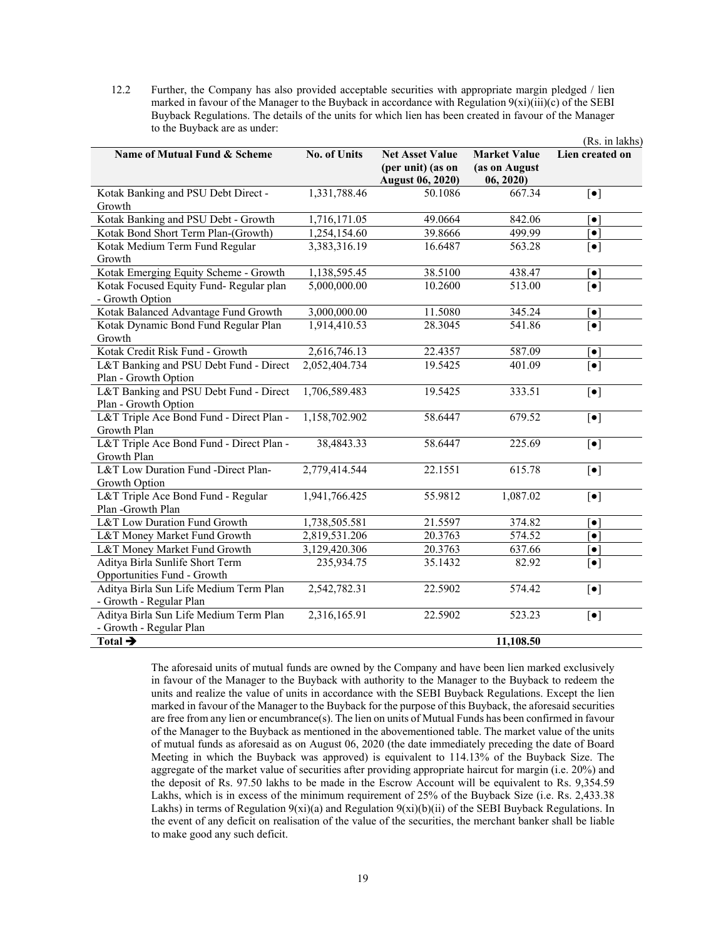12.2 Further, the Company has also provided acceptable securities with appropriate margin pledged / lien marked in favour of the Manager to the Buyback in accordance with Regulation  $9(xi)(iii)(c)$  of the SEBI Buyback Regulations. The details of the units for which lien has been created in favour of the Manager to the Buyback are as under:  $\mathcal{L}$  in lakhs).

|                                                         |               |                                                                        |                                                   | (Rs. in lakhs)                     |  |
|---------------------------------------------------------|---------------|------------------------------------------------------------------------|---------------------------------------------------|------------------------------------|--|
| Name of Mutual Fund & Scheme                            | No. of Units  | <b>Net Asset Value</b><br>(per unit) (as on<br><b>August 06, 2020)</b> | <b>Market Value</b><br>(as on August<br>06, 2020) | Lien created on                    |  |
| Kotak Banking and PSU Debt Direct -                     | 1,331,788.46  | 50.1086                                                                | 667.34                                            | $\lceil \bullet \rceil$            |  |
| Growth                                                  |               |                                                                        |                                                   |                                    |  |
| Kotak Banking and PSU Debt - Growth                     | 1,716,171.05  | 49.0664                                                                | 842.06                                            | $\lceil \bullet \rceil$            |  |
| Kotak Bond Short Term Plan-(Growth)                     | 1,254,154.60  | 39.8666                                                                | 499.99                                            | $\bullet$ $\vdash$                 |  |
| Kotak Medium Term Fund Regular                          | 3,383,316.19  | 16.6487                                                                | 563.28                                            | $\lceil \bullet \rceil$            |  |
| Growth                                                  |               |                                                                        |                                                   |                                    |  |
| Kotak Emerging Equity Scheme - Growth                   | 1,138,595.45  | 38.5100                                                                | 438.47                                            | $\left\lceil \bullet \right\rceil$ |  |
| Kotak Focused Equity Fund-Regular plan                  | 5,000,000.00  | 10.2600                                                                | 513.00                                            | $\lceil \bullet \rceil$            |  |
| - Growth Option                                         |               |                                                                        |                                                   |                                    |  |
| Kotak Balanced Advantage Fund Growth                    | 3,000,000.00  | 11.5080                                                                | 345.24                                            | $\left[ \bullet \right]$           |  |
| Kotak Dynamic Bond Fund Regular Plan                    | 1,914,410.53  | 28.3045                                                                | 541.86                                            | $\lceil \bullet \rceil$            |  |
| Growth                                                  |               |                                                                        |                                                   |                                    |  |
| Kotak Credit Risk Fund - Growth                         | 2,616,746.13  | 22.4357                                                                | 587.09                                            | $\left[\bullet\right]$             |  |
| L&T Banking and PSU Debt Fund - Direct                  | 2,052,404.734 | 19.5425                                                                | 401.09                                            | $\overline{[\bullet]}$             |  |
| Plan - Growth Option                                    |               |                                                                        |                                                   |                                    |  |
| L&T Banking and PSU Debt Fund - Direct                  | 1,706,589.483 | 19.5425                                                                | 333.51                                            | $\lceil \bullet \rceil$            |  |
| Plan - Growth Option                                    |               |                                                                        |                                                   |                                    |  |
| L&T Triple Ace Bond Fund - Direct Plan -<br>Growth Plan | 1,158,702.902 | 58.6447                                                                | 679.52                                            | $\lceil \bullet \rceil$            |  |
| L&T Triple Ace Bond Fund - Direct Plan -                | 38,4843.33    | 58.6447                                                                | 225.69                                            | $\lceil \bullet \rceil$            |  |
| Growth Plan                                             |               |                                                                        |                                                   |                                    |  |
| L&T Low Duration Fund -Direct Plan-                     | 2,779,414.544 | 22.1551                                                                | 615.78                                            | $\lceil \bullet \rceil$            |  |
| Growth Option                                           |               |                                                                        |                                                   |                                    |  |
| L&T Triple Ace Bond Fund - Regular                      | 1,941,766.425 | 55.9812                                                                | 1,087.02                                          | $\left[\bullet\right]$             |  |
| Plan -Growth Plan                                       |               |                                                                        |                                                   |                                    |  |
| <b>L&amp;T</b> Low Duration Fund Growth                 | 1,738,505.581 | 21.5597                                                                | 374.82                                            | $\left\lceil \bullet \right\rceil$ |  |
| L&T Money Market Fund Growth                            | 2,819,531.206 | 20.3763                                                                | 574.52                                            | $\bullet$ $\vdash$                 |  |
| L&T Money Market Fund Growth                            | 3,129,420.306 | 20.3763                                                                | 637.66                                            | $\left[ \bullet \right]$           |  |
| Aditya Birla Sunlife Short Term                         | 235,934.75    | 35.1432                                                                | 82.92                                             | $\left[\bullet\right]$             |  |
| Opportunities Fund - Growth                             |               |                                                                        |                                                   |                                    |  |
| Aditya Birla Sun Life Medium Term Plan                  | 2,542,782.31  | 22.5902                                                                | 574.42                                            | $\lbrack \bullet \rbrack$          |  |
| - Growth - Regular Plan                                 |               |                                                                        |                                                   |                                    |  |
| Aditya Birla Sun Life Medium Term Plan                  | 2,316,165.91  | 22.5902                                                                | 523.23                                            | $\lbrack \bullet \rbrack$          |  |
| - Growth - Regular Plan                                 |               |                                                                        |                                                   |                                    |  |
| Total $\rightarrow$                                     |               |                                                                        | 11,108.50                                         |                                    |  |

The aforesaid units of mutual funds are owned by the Company and have been lien marked exclusively in favour of the Manager to the Buyback with authority to the Manager to the Buyback to redeem the units and realize the value of units in accordance with the SEBI Buyback Regulations. Except the lien marked in favour of the Manager to the Buyback for the purpose of this Buyback, the aforesaid securities are free from any lien or encumbrance(s). The lien on units of Mutual Funds has been confirmed in favour of the Manager to the Buyback as mentioned in the abovementioned table. The market value of the units of mutual funds as aforesaid as on August 06, 2020 (the date immediately preceding the date of Board Meeting in which the Buyback was approved) is equivalent to 114.13% of the Buyback Size. The aggregate of the market value of securities after providing appropriate haircut for margin (i.e. 20%) and the deposit of Rs. 97.50 lakhs to be made in the Escrow Account will be equivalent to Rs. 9,354.59 Lakhs, which is in excess of the minimum requirement of 25% of the Buyback Size (i.e. Rs. 2,433.38 Lakhs) in terms of Regulation 9(xi)(a) and Regulation 9(xi)(b)(ii) of the SEBI Buyback Regulations. In the event of any deficit on realisation of the value of the securities, the merchant banker shall be liable to make good any such deficit.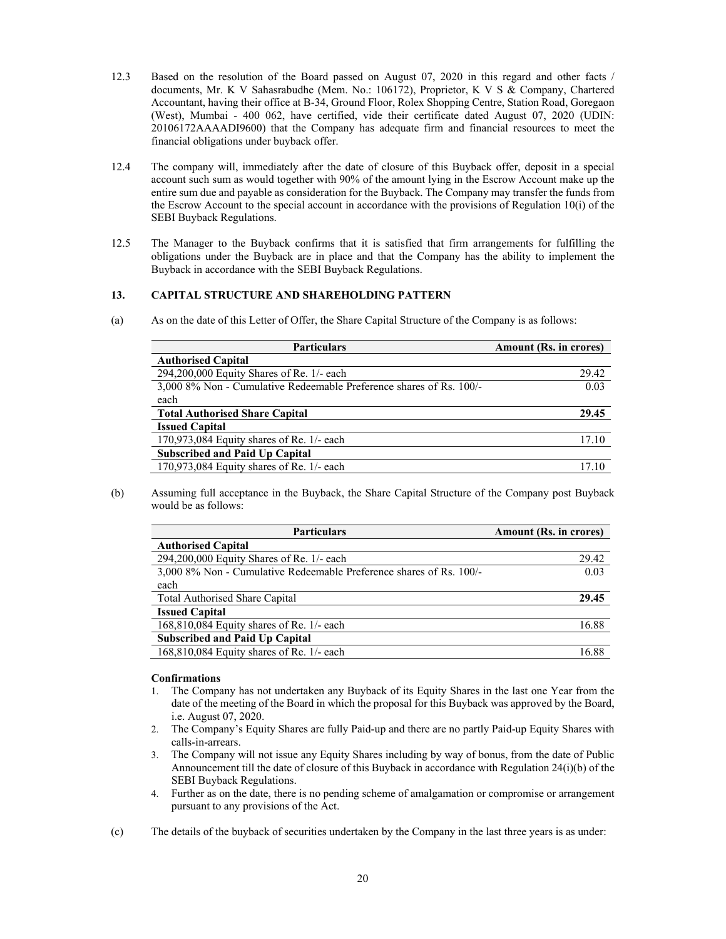- 12.3 Based on the resolution of the Board passed on August 07, 2020 in this regard and other facts / documents, Mr. K V Sahasrabudhe (Mem. No.: 106172), Proprietor, K V S & Company, Chartered Accountant, having their office at B-34, Ground Floor, Rolex Shopping Centre, Station Road, Goregaon (West), Mumbai - 400 062, have certified, vide their certificate dated August 07, 2020 (UDIN: 20106172AAAADI9600) that the Company has adequate firm and financial resources to meet the financial obligations under buyback offer.
- 12.4 The company will, immediately after the date of closure of this Buyback offer, deposit in a special account such sum as would together with 90% of the amount lying in the Escrow Account make up the entire sum due and payable as consideration for the Buyback. The Company may transfer the funds from the Escrow Account to the special account in accordance with the provisions of Regulation 10(i) of the SEBI Buyback Regulations.
- 12.5 The Manager to the Buyback confirms that it is satisfied that firm arrangements for fulfilling the obligations under the Buyback are in place and that the Company has the ability to implement the Buyback in accordance with the SEBI Buyback Regulations.

# **13. CAPITAL STRUCTURE AND SHAREHOLDING PATTERN**

(a) As on the date of this Letter of Offer, the Share Capital Structure of the Company is as follows:

| <b>Particulars</b>                                                  | Amount (Rs. in crores) |
|---------------------------------------------------------------------|------------------------|
| <b>Authorised Capital</b>                                           |                        |
| 294,200,000 Equity Shares of Re. 1/- each                           | 29.42                  |
| 3,000 8% Non - Cumulative Redeemable Preference shares of Rs. 100/- | 0.03                   |
| each                                                                |                        |
| <b>Total Authorised Share Capital</b>                               | 29.45                  |
| <b>Issued Capital</b>                                               |                        |
| $170.973.084$ Equity shares of Re. $1/-$ each                       | 17.10                  |
| <b>Subscribed and Paid Up Capital</b>                               |                        |
| $170,973,084$ Equity shares of Re. $1/-$ each                       | 17 16                  |

(b) Assuming full acceptance in the Buyback, the Share Capital Structure of the Company post Buyback would be as follows:

| <b>Particulars</b>                                                  | Amount (Rs. in crores) |
|---------------------------------------------------------------------|------------------------|
| <b>Authorised Capital</b>                                           |                        |
| $294,200,000$ Equity Shares of Re. 1/- each                         | 29.42                  |
| 3,000 8% Non - Cumulative Redeemable Preference shares of Rs. 100/- | 0.03                   |
| each                                                                |                        |
| <b>Total Authorised Share Capital</b>                               | 29.45                  |
| <b>Issued Capital</b>                                               |                        |
| 168,810,084 Equity shares of Re. 1/- each                           | 16.88                  |
| <b>Subscribed and Paid Up Capital</b>                               |                        |
| 168,810,084 Equity shares of Re. 1/- each                           | 16.88                  |

## **Confirmations**

- 1. The Company has not undertaken any Buyback of its Equity Shares in the last one Year from the date of the meeting of the Board in which the proposal for this Buyback was approved by the Board, i.e. August 07, 2020.
- 2. The Company's Equity Shares are fully Paid-up and there are no partly Paid-up Equity Shares with calls-in-arrears.
- 3. The Company will not issue any Equity Shares including by way of bonus, from the date of Public Announcement till the date of closure of this Buyback in accordance with Regulation 24(i)(b) of the SEBI Buyback Regulations.
- 4. Further as on the date, there is no pending scheme of amalgamation or compromise or arrangement pursuant to any provisions of the Act.
- (c) The details of the buyback of securities undertaken by the Company in the last three years is as under: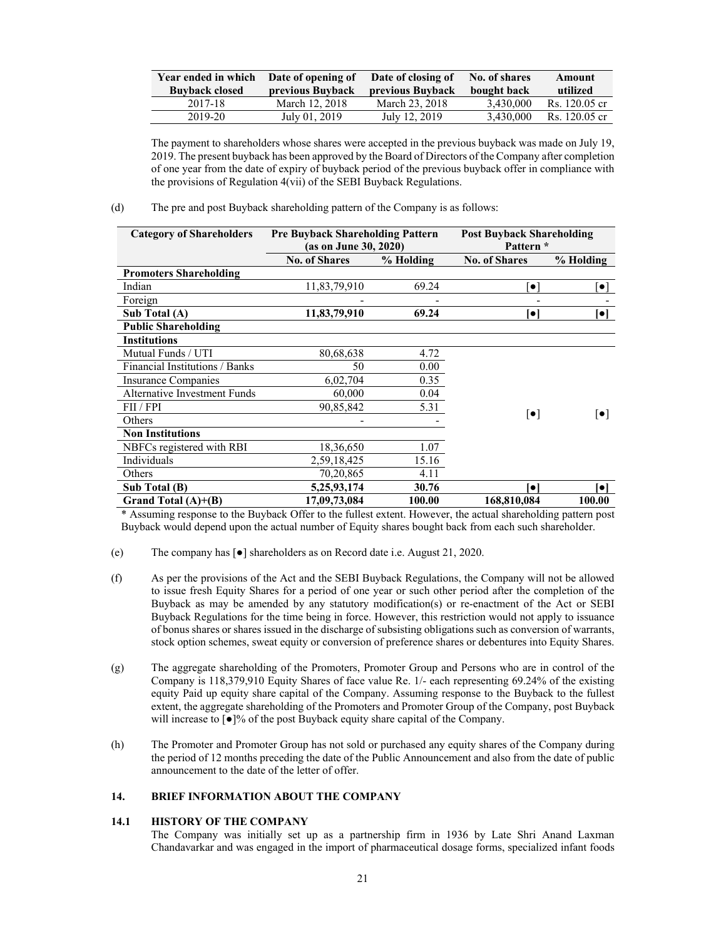| Year ended in which<br><b>Buyback closed</b> | Date of opening of<br>previous Buyback | Date of closing of<br>previous Buyback | No. of shares<br>bought back | Amount<br>utilized |
|----------------------------------------------|----------------------------------------|----------------------------------------|------------------------------|--------------------|
| 2017-18                                      | March 12, 2018                         | March 23, 2018                         | 3,430,000                    | Rs. 120.05 cr      |
| 2019-20                                      | July 01, 2019                          | July 12, 2019                          | 3.430.000                    | Rs. 120.05 cr      |

The payment to shareholders whose shares were accepted in the previous buyback was made on July 19, 2019. The present buyback has been approved by the Board of Directors of the Company after completion of one year from the date of expiry of buyback period of the previous buyback offer in compliance with the provisions of Regulation 4(vii) of the SEBI Buyback Regulations.

(d) The pre and post Buyback shareholding pattern of the Company is as follows:

| <b>Category of Shareholders</b>     | <b>Pre Buyback Shareholding Pattern</b><br>(as on June 30, 2020) |           | <b>Post Buyback Shareholding</b><br>Pattern * |                          |
|-------------------------------------|------------------------------------------------------------------|-----------|-----------------------------------------------|--------------------------|
|                                     | <b>No. of Shares</b>                                             | % Holding |                                               | % Holding                |
| <b>Promoters Shareholding</b>       |                                                                  |           |                                               |                          |
| Indian                              | 11,83,79,910                                                     | 69.24     | $\bullet$                                     | $\bullet$                |
| Foreign                             |                                                                  |           |                                               |                          |
| Sub Total (A)                       | 11,83,79,910                                                     | 69.24     | $\bullet$                                     | $\lceil \bullet \rceil$  |
| <b>Public Shareholding</b>          |                                                                  |           |                                               |                          |
| <b>Institutions</b>                 |                                                                  |           |                                               |                          |
| Mutual Funds / UTI                  | 80,68,638                                                        | 4.72      |                                               |                          |
| Financial Institutions / Banks      | 50                                                               | 0.00      |                                               |                          |
| <b>Insurance Companies</b>          | 6,02,704                                                         | 0.35      |                                               |                          |
| <b>Alternative Investment Funds</b> | 60,000                                                           | 0.04      |                                               |                          |
| FII/FPI                             | 90,85,842                                                        | 5.31      |                                               |                          |
| Others                              |                                                                  |           | $\lceil \bullet \rceil$                       | $\lceil \bullet \rceil$  |
| <b>Non Institutions</b>             |                                                                  |           |                                               |                          |
| NBFCs registered with RBI           | 18,36,650                                                        | 1.07      |                                               |                          |
| Individuals                         | 2,59,18,425                                                      | 15.16     |                                               |                          |
| Others                              | 70,20,865                                                        | 4.11      |                                               |                          |
| Sub Total (B)                       | 5,25,93,174                                                      | 30.76     | $\bullet$                                     | $\left[ \bullet \right]$ |
| Grand Total (A)+(B)                 | 17,09,73,084                                                     | 100.00    | 168,810,084                                   | 100.00                   |

\* Assuming response to the Buyback Offer to the fullest extent. However, the actual shareholding pattern post Buyback would depend upon the actual number of Equity shares bought back from each such shareholder.

- (e) The company has [●] shareholders as on Record date i.e. August 21, 2020.
- (f) As per the provisions of the Act and the SEBI Buyback Regulations, the Company will not be allowed to issue fresh Equity Shares for a period of one year or such other period after the completion of the Buyback as may be amended by any statutory modification(s) or re-enactment of the Act or SEBI Buyback Regulations for the time being in force. However, this restriction would not apply to issuance of bonus shares or shares issued in the discharge of subsisting obligations such as conversion of warrants, stock option schemes, sweat equity or conversion of preference shares or debentures into Equity Shares.
- (g) The aggregate shareholding of the Promoters, Promoter Group and Persons who are in control of the Company is 118,379,910 Equity Shares of face value Re. 1/- each representing 69.24% of the existing equity Paid up equity share capital of the Company. Assuming response to the Buyback to the fullest extent, the aggregate shareholding of the Promoters and Promoter Group of the Company, post Buyback will increase to  $\lceil \bullet \rceil$ % of the post Buyback equity share capital of the Company.
- (h) The Promoter and Promoter Group has not sold or purchased any equity shares of the Company during the period of 12 months preceding the date of the Public Announcement and also from the date of public announcement to the date of the letter of offer.

# **14. BRIEF INFORMATION ABOUT THE COMPANY**

# **14.1 HISTORY OF THE COMPANY**

The Company was initially set up as a partnership firm in 1936 by Late Shri Anand Laxman Chandavarkar and was engaged in the import of pharmaceutical dosage forms, specialized infant foods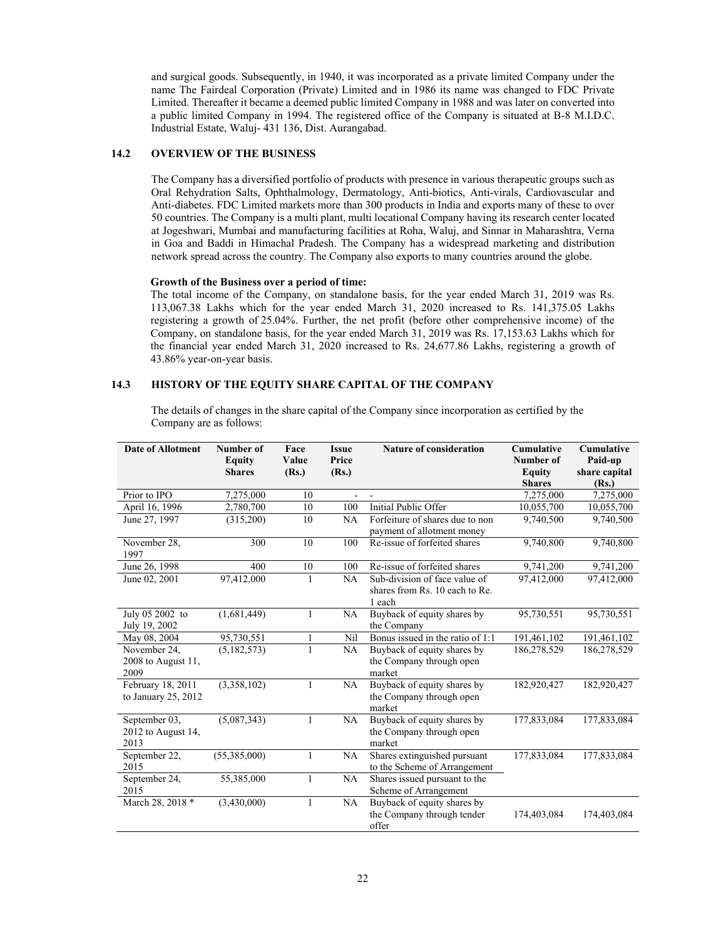and surgical goods. Subsequently, in 1940, it was incorporated as a private limited Company under the name The Fairdeal Corporation (Private) Limited and in 1986 its name was changed to FDC Private Limited. Thereafter it became a deemed public limited Company in 1988 and was later on converted into a public limited Company in 1994. The registered office of the Company is situated at B-8 M.I.D.C. Industrial Estate, Waluj- 431 136, Dist. Aurangabad.

### **14.2 OVERVIEW OF THE BUSINESS**

The Company has a diversified portfolio of products with presence in various therapeutic groups such as Oral Rehydration Salts, Ophthalmology, Dermatology, Anti-biotics, Anti-virals, Cardiovascular and Anti-diabetes. FDC Limited markets more than 300 products in India and exports many of these to over 50 countries. The Company is a multi plant, multi locational Company having its research center located at Jogeshwari, Mumbai and manufacturing facilities at Roha, Waluj, and Sinnar in Maharashtra, Verna in Goa and Baddi in Himachal Pradesh. The Company has a widespread marketing and distribution network spread across the country. The Company also exports to many countries around the globe.

#### **Growth of the Business over a period of time:**

The total income of the Company, on standalone basis, for the year ended March 31, 2019 was Rs. 113,067.38 Lakhs which for the year ended March 31, 2020 increased to Rs. 141,375.05 Lakhs registering a growth of 25.04%. Further, the net profit (before other comprehensive income) of the Company, on standalone basis, for the year ended March 31, 2019 was Rs. 17,153.63 Lakhs which for the financial year ended March 31, 2020 increased to Rs. 24,677.86 Lakhs, registering a growth of 43.86% year-on-year basis.

# **14.3 HISTORY OF THE EQUITY SHARE CAPITAL OF THE COMPANY**

The details of changes in the share capital of the Company since incorporation as certified by the Company are as follows:

| <b>Date of Allotment</b>                    | Number of<br><b>Equity</b><br><b>Shares</b> | Face<br>Value<br>(Rs.) | <b>Issue</b><br>Price<br>(Rs.) | <b>Nature of consideration</b>                                            | <b>Cumulative</b><br>Number of<br><b>Equity</b><br><b>Shares</b> | <b>Cumulative</b><br>Paid-up<br>share capital<br>(Rs.) |
|---------------------------------------------|---------------------------------------------|------------------------|--------------------------------|---------------------------------------------------------------------------|------------------------------------------------------------------|--------------------------------------------------------|
| Prior to IPO                                | 7,275,000                                   | 10                     | ÷.                             |                                                                           | 7,275,000                                                        | 7,275,000                                              |
| April 16, 1996                              | 2,780,700                                   | 10                     | 100                            | Initial Public Offer                                                      | 10,055,700                                                       | 10,055,700                                             |
| June 27, 1997                               | (315,200)                                   | 10                     | NA                             | Forfeiture of shares due to non<br>payment of allotment money             | 9,740,500                                                        | 9,740,500                                              |
| November 28,<br>1997                        | 300                                         | 10                     | 100                            | Re-issue of forfeited shares                                              | 9,740,800                                                        | $\overline{9,740,800}$                                 |
| June 26, 1998                               | 400                                         | 10                     | 100                            | Re-issue of forfeited shares                                              | 9,741,200                                                        | 9,741,200                                              |
| June 02, 2001                               | 97,412,000                                  | $\mathbf{1}$           | NA                             | Sub-division of face value of<br>shares from Rs. 10 each to Re.<br>1 each | 97,412,000                                                       | 97,412,000                                             |
| July 05 2002 to<br>July 19, 2002            | (1,681,449)                                 | 1                      | NA                             | Buyback of equity shares by<br>the Company                                | 95,730,551                                                       | 95,730,551                                             |
| May 08, 2004                                | 95,730,551                                  | 1                      | Nil                            | Bonus issued in the ratio of 1:1                                          | 191,461,102                                                      | 191,461,102                                            |
| November 24,<br>2008 to August 11,<br>2009  | (5, 182, 573)                               |                        | NA                             | Buyback of equity shares by<br>the Company through open<br>market         | 186,278,529                                                      | 186,278,529                                            |
| February 18, 2011<br>to January $25, 2012$  | (3,358,102)                                 | $\mathbf{1}$           | NA                             | Buyback of equity shares by<br>the Company through open<br>market         | 182,920,427                                                      | 182,920,427                                            |
| September 03,<br>2012 to August 14,<br>2013 | (5,087,343)                                 | $\mathbf{1}$           | NA                             | Buyback of equity shares by<br>the Company through open<br>market         | 177,833,084                                                      | 177,833,084                                            |
| September 22,<br>2015                       | (55,385,000)                                | $\mathbf{1}$           | NA                             | Shares extinguished pursuant<br>to the Scheme of Arrangement              | 177,833,084                                                      | 177,833,084                                            |
| September 24,<br>2015                       | 55,385,000                                  | 1                      | NA                             | Shares issued pursuant to the<br>Scheme of Arrangement                    |                                                                  |                                                        |
| March 28, 2018 *                            | (3,430,000)                                 | 1                      | NA                             | Buyback of equity shares by<br>the Company through tender<br>offer        | 174,403,084                                                      | 174,403,084                                            |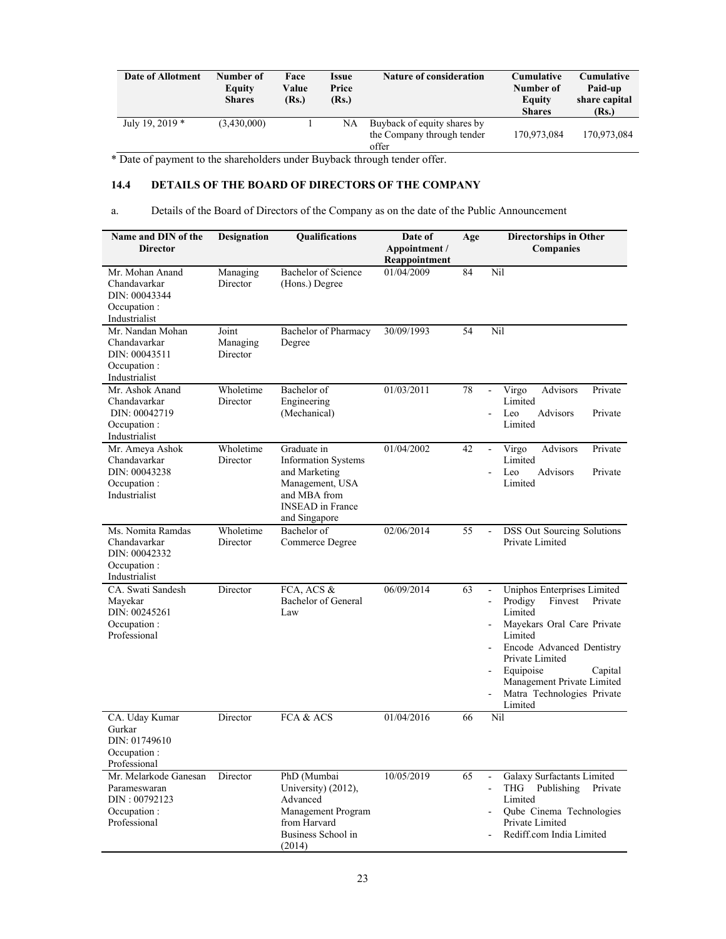| Date of Allotment | Number of<br>Equity<br><b>Shares</b> | Face<br>Value<br>(Rs.) | Issue<br>Price<br>(Rs.) | <b>Nature of consideration</b>                                     | <b>Cumulative</b><br>Number of<br>Equity<br><b>Shares</b> | <b>Cumulative</b><br>Paid-up<br>share capital<br>(Rs.) |
|-------------------|--------------------------------------|------------------------|-------------------------|--------------------------------------------------------------------|-----------------------------------------------------------|--------------------------------------------------------|
| July 19, 2019 *   | (3,430,000)                          |                        | NA                      | Buyback of equity shares by<br>the Company through tender<br>offer | 170.973.084                                               | 170.973.084                                            |

\* Date of payment to the shareholders under Buyback through tender offer.

# **14.4 DETAILS OF THE BOARD OF DIRECTORS OF THE COMPANY**

a. Details of the Board of Directors of the Company as on the date of the Public Announcement

| Name and DIN of the<br><b>Director</b>                                                 | <b>Designation</b>            | <b>Oualifications</b>                                                                                                                     | Date of<br>Appointment /<br>Reappointment | Age | <b>Directorships in Other</b><br>Companies                                                                                                                                                                                                                                                    |
|----------------------------------------------------------------------------------------|-------------------------------|-------------------------------------------------------------------------------------------------------------------------------------------|-------------------------------------------|-----|-----------------------------------------------------------------------------------------------------------------------------------------------------------------------------------------------------------------------------------------------------------------------------------------------|
| Mr. Mohan Anand<br>Chandavarkar<br>DIN: 00043344<br>Occupation :<br>Industrialist      | Managing<br>Director          | <b>Bachelor</b> of Science<br>(Hons.) Degree                                                                                              | 01/04/2009                                | 84  | Nil                                                                                                                                                                                                                                                                                           |
| Mr. Nandan Mohan<br>Chandavarkar<br>DIN: 00043511<br>Occupation:<br>Industrialist      | Joint<br>Managing<br>Director | Bachelor of Pharmacy<br>Degree                                                                                                            | 30/09/1993                                | 54  | Nil                                                                                                                                                                                                                                                                                           |
| Mr. Ashok Anand<br>Chandavarkar<br>DIN: 00042719<br>Occupation :<br>Industrialist      | Wholetime<br>Director         | Bachelor of<br>Engineering<br>(Mechanical)                                                                                                | 01/03/2011                                | 78  | Virgo<br><b>Advisors</b><br>Private<br>ä,<br>Limited<br>Leo<br><b>Advisors</b><br>Private<br>ä,<br>Limited                                                                                                                                                                                    |
| Mr. Ameya Ashok<br>Chandavarkar<br>DIN: 00043238<br>Occupation:<br>Industrialist       | Wholetime<br>Director         | Graduate in<br><b>Information Systems</b><br>and Marketing<br>Management, USA<br>and MBA from<br><b>INSEAD</b> in France<br>and Singapore | 01/04/2002                                | 42  | Virgo<br><b>Advisors</b><br>Private<br>Ξ<br>Limited<br>Leo<br><b>Advisors</b><br>Private<br>Limited                                                                                                                                                                                           |
| Ms. Nomita Ramdas<br>Chandavarkar<br>DIN: 00042332<br>Occupation:<br>Industrialist     | Wholetime<br>Director         | Bachelor of<br>Commerce Degree                                                                                                            | 02/06/2014                                | 55  | <b>DSS Out Sourcing Solutions</b><br>$\overline{a}$<br>Private Limited                                                                                                                                                                                                                        |
| CA. Swati Sandesh<br>Mayekar<br>DIN: 00245261<br>Occupation:<br>Professional           | Director                      | FCA, ACS &<br><b>Bachelor</b> of General<br>Law                                                                                           | 06/09/2014                                | 63  | Uniphos Enterprises Limited<br>ä,<br>Prodigy<br>Finvest<br>Private<br>ä,<br>Limited<br>Mayekars Oral Care Private<br>$\blacksquare$<br>Limited<br>Encode Advanced Dentistry<br>Private Limited<br>Equipoise<br>Capital<br>Management Private Limited<br>Matra Technologies Private<br>Limited |
| CA. Uday Kumar<br>Gurkar<br>DIN: 01749610<br>Occupation :<br>Professional              | Director                      | FCA & ACS                                                                                                                                 | 01/04/2016                                | 66  | Nil                                                                                                                                                                                                                                                                                           |
| Mr. Melarkode Ganesan<br>Parameswaran<br>DIN: 00792123<br>Occupation :<br>Professional | Director                      | PhD (Mumbai<br>University) (2012),<br>Advanced<br>Management Program<br>from Harvard<br>Business School in<br>(2014)                      | 10/05/2019                                | 65  | Galaxy Surfactants Limited<br>$\Box$<br><b>THG</b><br>Publishing<br>Private<br>ä,<br>Limited<br>Qube Cinema Technologies<br>Private Limited<br>Rediff.com India Limited                                                                                                                       |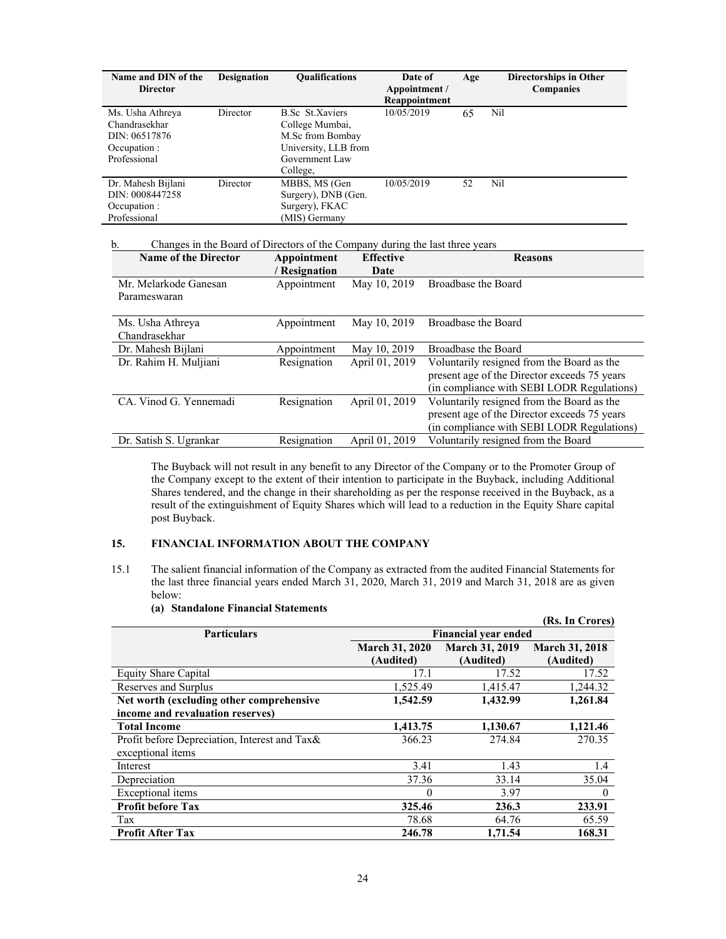| Name and DIN of the<br><b>Director</b>                                             | <b>Designation</b> | <b>Qualifications</b>                                                                                               | Date of<br>Appointment /<br>Reappointment | Age | <b>Directorships in Other</b><br><b>Companies</b> |
|------------------------------------------------------------------------------------|--------------------|---------------------------------------------------------------------------------------------------------------------|-------------------------------------------|-----|---------------------------------------------------|
| Ms. Usha Athreya<br>Chandrasekhar<br>DIN: 06517876<br>Occupation :<br>Professional | Director           | <b>B.Sc</b> St.Xaviers<br>College Mumbai,<br>M.Sc from Bombay<br>University, LLB from<br>Government Law<br>College. | 10/05/2019                                | 65  | Nil                                               |
| Dr. Mahesh Bijlani<br>DIN: 0008447258<br>Occupation :<br>Professional              | Director           | MBBS, MS (Gen<br>Surgery), DNB (Gen.<br>Surgery), FKAC<br>(MIS) Germany                                             | 10/05/2019                                | 52  | Nil                                               |

# b. Changes in the Board of Directors of the Company during the last three years

| <b>Name of the Director</b> | Appointment   | <b>Effective</b> | <b>Reasons</b>                               |
|-----------------------------|---------------|------------------|----------------------------------------------|
|                             | / Resignation | Date             |                                              |
| Mr. Melarkode Ganesan       | Appointment   | May 10, 2019     | Broadbase the Board                          |
| Parameswaran                |               |                  |                                              |
|                             |               |                  |                                              |
| Ms. Usha Athreya            | Appointment   | May 10, 2019     | Broadbase the Board                          |
| Chandrasekhar               |               |                  |                                              |
| Dr. Mahesh Bijlani          | Appointment   | May 10, 2019     | Broadbase the Board                          |
| Dr. Rahim H. Muljiani       | Resignation   | April 01, 2019   | Voluntarily resigned from the Board as the   |
|                             |               |                  | present age of the Director exceeds 75 years |
|                             |               |                  | (in compliance with SEBI LODR Regulations)   |
| CA. Vinod G. Yennemadi      | Resignation   | April 01, 2019   | Voluntarily resigned from the Board as the   |
|                             |               |                  | present age of the Director exceeds 75 years |
|                             |               |                  | (in compliance with SEBI LODR Regulations)   |
| Dr. Satish S. Ugrankar      | Resignation   | April 01, 2019   | Voluntarily resigned from the Board          |

The Buyback will not result in any benefit to any Director of the Company or to the Promoter Group of the Company except to the extent of their intention to participate in the Buyback, including Additional Shares tendered, and the change in their shareholding as per the response received in the Buyback, as a result of the extinguishment of Equity Shares which will lead to a reduction in the Equity Share capital post Buyback.

# **15. FINANCIAL INFORMATION ABOUT THE COMPANY**

15.1 The salient financial information of the Company as extracted from the audited Financial Statements for the last three financial years ended March 31, 2020, March 31, 2019 and March 31, 2018 are as given below:

|                                               |                             |                       | (Rs. In Crores)       |
|-----------------------------------------------|-----------------------------|-----------------------|-----------------------|
| <b>Particulars</b>                            | <b>Financial year ended</b> |                       |                       |
|                                               | <b>March 31, 2020</b>       | <b>March 31, 2019</b> | <b>March 31, 2018</b> |
|                                               | (Audited)                   | (Audited)             | (Audited)             |
| <b>Equity Share Capital</b>                   | 17.1                        | 17.52                 | 17.52                 |
| Reserves and Surplus                          | 1,525.49                    | 1,415.47              | 1,244.32              |
| Net worth (excluding other comprehensive      | 1,542.59                    | 1,432.99              | 1,261.84              |
| income and revaluation reserves)              |                             |                       |                       |
| <b>Total Income</b>                           | 1,413.75                    | 1,130.67              | 1,121.46              |
| Profit before Depreciation, Interest and Tax& | 366.23                      | 274.84                | 270.35                |
| exceptional items                             |                             |                       |                       |
| Interest                                      | 3.41                        | 1.43                  | 1.4                   |
| Depreciation                                  | 37.36                       | 33.14                 | 35.04                 |
| Exceptional items                             | $\theta$                    | 3.97                  | $\mathbf{0}$          |
| <b>Profit before Tax</b>                      | 325.46                      | 236.3                 | 233.91                |
| Tax                                           | 78.68                       | 64.76                 | 65.59                 |
| <b>Profit After Tax</b>                       | 246.78                      | 1.71.54               | 168.31                |

## **(a) Standalone Financial Statements**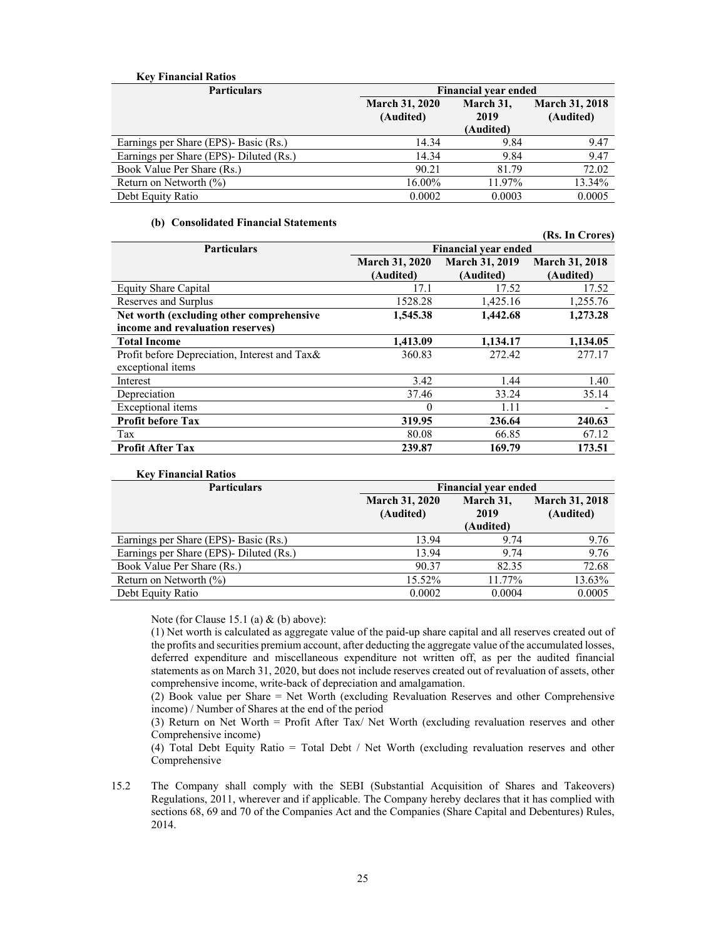# **Key Financial Ratios**

| <b>Particulars</b>                      | <b>Financial year ended</b>        |                                |                                    |  |
|-----------------------------------------|------------------------------------|--------------------------------|------------------------------------|--|
|                                         | <b>March 31, 2020</b><br>(Audited) | March 31,<br>2019<br>(Audited) | <b>March 31, 2018</b><br>(Audited) |  |
| Earnings per Share (EPS)- Basic (Rs.)   | 14.34                              | 9.84                           | 9.47                               |  |
| Earnings per Share (EPS)- Diluted (Rs.) | 14.34                              | 9.84                           | 9.47                               |  |
| Book Value Per Share (Rs.)              | 90.21                              | 81.79                          | 72.02                              |  |
| Return on Networth $(\% )$              | 16.00%                             | 11.97%                         | 13.34%                             |  |
| Debt Equity Ratio                       | 0.0002                             | 0.0003                         | 0.0005                             |  |

### **(b) Consolidated Financial Statements**

|                                               |                             |                       | (Rs. In Crores)       |  |  |
|-----------------------------------------------|-----------------------------|-----------------------|-----------------------|--|--|
| <b>Particulars</b>                            | <b>Financial year ended</b> |                       |                       |  |  |
|                                               | <b>March 31, 2020</b>       | <b>March 31, 2019</b> | <b>March 31, 2018</b> |  |  |
|                                               | (Audited)                   | (Audited)             | (Audited)             |  |  |
| <b>Equity Share Capital</b>                   | 17.1                        | 17.52                 | 17.52                 |  |  |
| Reserves and Surplus                          | 1528.28                     | 1,425.16              | 1,255.76              |  |  |
| Net worth (excluding other comprehensive      | 1,545.38                    | 1,442.68              | 1,273.28              |  |  |
| income and revaluation reserves)              |                             |                       |                       |  |  |
| <b>Total Income</b>                           | 1,413.09                    | 1,134.17              | 1,134.05              |  |  |
| Profit before Depreciation, Interest and Tax& | 360.83                      | 272.42                | 277.17                |  |  |
| exceptional items                             |                             |                       |                       |  |  |
| Interest                                      | 3.42                        | 1.44                  | 1.40                  |  |  |
| Depreciation                                  | 37.46                       | 33.24                 | 35.14                 |  |  |
| Exceptional items                             | 0                           | 1.11                  |                       |  |  |
| <b>Profit before Tax</b>                      | 319.95                      | 236.64                | 240.63                |  |  |
| Tax                                           | 80.08                       | 66.85                 | 67.12                 |  |  |
| <b>Profit After Tax</b>                       | 239.87                      | 169.79                | 173.51                |  |  |

| <b>Key Financial Ratios</b>             |                                    |                                |                                    |  |  |
|-----------------------------------------|------------------------------------|--------------------------------|------------------------------------|--|--|
| <b>Particulars</b>                      | <b>Financial year ended</b>        |                                |                                    |  |  |
|                                         | <b>March 31, 2020</b><br>(Audited) | March 31,<br>2019<br>(Audited) | <b>March 31, 2018</b><br>(Audited) |  |  |
| Earnings per Share (EPS)- Basic (Rs.)   | 13.94                              | 9.74                           | 9.76                               |  |  |
| Earnings per Share (EPS)- Diluted (Rs.) | 13.94                              | 9.74                           | 9.76                               |  |  |
| Book Value Per Share (Rs.)              | 90.37                              | 82.35                          | 72.68                              |  |  |
| Return on Networth $(\% )$              | 15.52%                             | 11.77%                         | 13.63%                             |  |  |
| Debt Equity Ratio                       | 0.0002                             | 0.0004                         | 0.0005                             |  |  |

Note (for Clause 15.1 (a) & (b) above):

(1) Net worth is calculated as aggregate value of the paid-up share capital and all reserves created out of the profits and securities premium account, after deducting the aggregate value of the accumulated losses, deferred expenditure and miscellaneous expenditure not written off, as per the audited financial statements as on March 31, 2020, but does not include reserves created out of revaluation of assets, other comprehensive income, write-back of depreciation and amalgamation.

(2) Book value per Share = Net Worth (excluding Revaluation Reserves and other Comprehensive income) / Number of Shares at the end of the period

(3) Return on Net Worth = Profit After Tax/ Net Worth (excluding revaluation reserves and other Comprehensive income)

(4) Total Debt Equity Ratio = Total Debt / Net Worth (excluding revaluation reserves and other Comprehensive

15.2 The Company shall comply with the SEBI (Substantial Acquisition of Shares and Takeovers) Regulations, 2011, wherever and if applicable. The Company hereby declares that it has complied with sections 68, 69 and 70 of the Companies Act and the Companies (Share Capital and Debentures) Rules, 2014.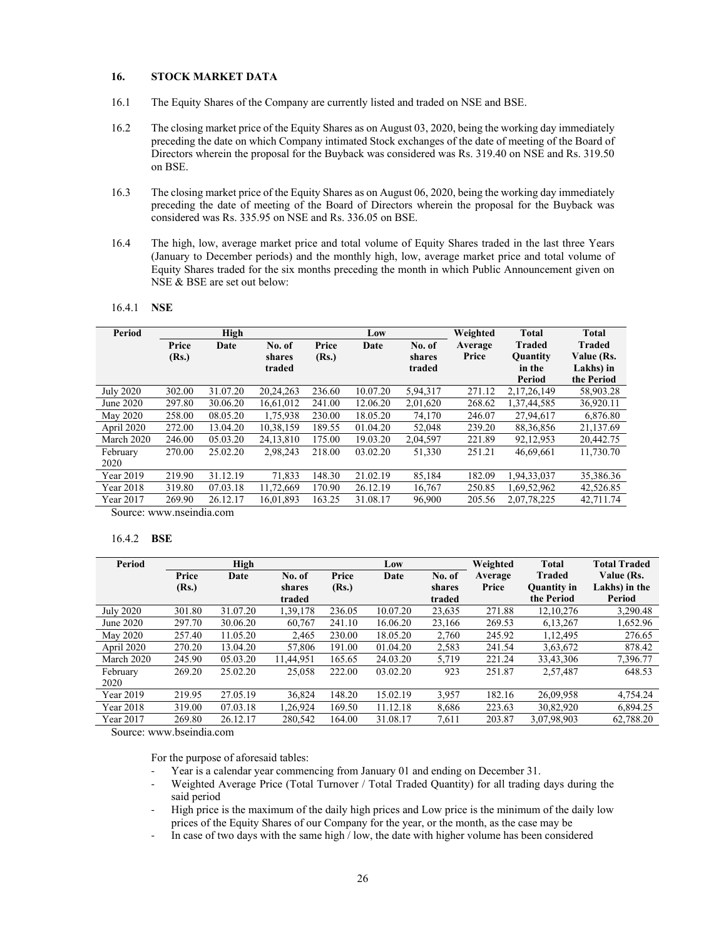# **16. STOCK MARKET DATA**

- 16.1 The Equity Shares of the Company are currently listed and traded on NSE and BSE.
- 16.2 The closing market price of the Equity Shares as on August 03, 2020, being the working day immediately preceding the date on which Company intimated Stock exchanges of the date of meeting of the Board of Directors wherein the proposal for the Buyback was considered was Rs. 319.40 on NSE and Rs. 319.50 on BSE.
- 16.3 The closing market price of the Equity Shares as on August 06, 2020, being the working day immediately preceding the date of meeting of the Board of Directors wherein the proposal for the Buyback was considered was Rs. 335.95 on NSE and Rs. 336.05 on BSE.
- 16.4 The high, low, average market price and total volume of Equity Shares traded in the last three Years (January to December periods) and the monthly high, low, average market price and total volume of Equity Shares traded for the six months preceding the month in which Public Announcement given on NSE & BSE are set out below:

| 16.4.1 | NSE |
|--------|-----|
|        |     |

| Period           |        | High     |           |        | Low      |          | Weighted | <b>Total</b>    | <b>Total</b> |
|------------------|--------|----------|-----------|--------|----------|----------|----------|-----------------|--------------|
|                  | Price  | Date     | No. of    | Price  | Date     | No. of   | Average  | <b>Traded</b>   | Traded       |
|                  | (Rs.)  |          | shares    | (Rs.)  |          | shares   | Price    | <b>Quantity</b> | Value (Rs.   |
|                  |        |          | traded    |        |          | traded   |          | in the          | Lakhs) in    |
|                  |        |          |           |        |          |          |          | Period          | the Period   |
| <b>July 2020</b> | 302.00 | 31.07.20 | 20,24,263 | 236.60 | 10.07.20 | 5,94,317 | 271.12   | 2.17.26.149     | 58,903.28    |
| June 2020        | 297.80 | 30.06.20 | 16,61,012 | 241.00 | 12.06.20 | 2,01,620 | 268.62   | 1,37,44,585     | 36,920.11    |
| May 2020         | 258.00 | 08.05.20 | 1,75,938  | 230.00 | 18.05.20 | 74,170   | 246.07   | 27,94,617       | 6,876.80     |
| April 2020       | 272.00 | 13.04.20 | 10,38,159 | 189.55 | 01.04.20 | 52,048   | 239.20   | 88, 36, 856     | 21,137.69    |
| March 2020       | 246.00 | 05.03.20 | 24.13.810 | 175.00 | 19.03.20 | 2,04,597 | 221.89   | 92,12,953       | 20.442.75    |
| February         | 270.00 | 25.02.20 | 2,98,243  | 218.00 | 03.02.20 | 51,330   | 251.21   | 46,69,661       | 11,730.70    |
| 2020             |        |          |           |        |          |          |          |                 |              |
| Year 2019        | 219.90 | 31.12.19 | 71.833    | 148.30 | 21.02.19 | 85.184   | 182.09   | 1.94.33.037     | 35,386.36    |
| Year 2018        | 319.80 | 07.03.18 | 11,72,669 | 170.90 | 26.12.19 | 16,767   | 250.85   | 1,69,52,962     | 42,526.85    |
| Year 2017        | 269.90 | 26.12.17 | 16,01,893 | 163.25 | 31.08.17 | 96,900   | 205.56   | 2,07,78,225     | 42,711.74    |
|                  |        |          |           |        |          |          |          |                 |              |

Source: www.nseindia.com

#### 16.4.2 **BSE**

| Period           |        | High     |           |        | Low      |        | Weighted | <b>Total</b>       | <b>Total Traded</b> |
|------------------|--------|----------|-----------|--------|----------|--------|----------|--------------------|---------------------|
|                  | Price  | Date     | No. of    | Price  | Date     | No. of | Average  | <b>Traded</b>      | Value (Rs.          |
|                  | (Rs.)  |          | shares    | (Rs.)  |          | shares | Price    | <b>Ouantity</b> in | Lakhs) in the       |
|                  |        |          | traded    |        |          | traded |          | the Period         | Period              |
| <b>July 2020</b> | 301.80 | 31.07.20 | 1,39,178  | 236.05 | 10.07.20 | 23,635 | 271.88   | 12.10.276          | 3,290.48            |
| June 2020        | 297.70 | 30.06.20 | 60,767    | 241.10 | 16.06.20 | 23,166 | 269.53   | 6,13,267           | 1,652.96            |
| May 2020         | 257.40 | 11.05.20 | 2.465     | 230.00 | 18.05.20 | 2,760  | 245.92   | 1, 12, 495         | 276.65              |
| April 2020       | 270.20 | 13.04.20 | 57.806    | 191.00 | 01.04.20 | 2,583  | 241.54   | 3,63,672           | 878.42              |
| March 2020       | 245.90 | 05.03.20 | 11,44,951 | 165.65 | 24.03.20 | 5,719  | 221.24   | 33,43,306          | 7,396.77            |
| February         | 269.20 | 25.02.20 | 25,058    | 222.00 | 03.02.20 | 923    | 251.87   | 2,57,487           | 648.53              |
| 2020             |        |          |           |        |          |        |          |                    |                     |
| Year 2019        | 219.95 | 27.05.19 | 36,824    | 148.20 | 15.02.19 | 3,957  | 182.16   | 26,09,958          | 4,754.24            |
| Year 2018        | 319.00 | 07.03.18 | 1.26.924  | 169.50 | 11.12.18 | 8,686  | 223.63   | 30,82,920          | 6.894.25            |
| Year 2017        | 269.80 | 26.12.17 | 280,542   | 164.00 | 31.08.17 | 7,611  | 203.87   | 3,07,98,903        | 62,788.20           |

Source: www.bseindia.com

For the purpose of aforesaid tables:

- Year is a calendar year commencing from January 01 and ending on December 31.
- Weighted Average Price (Total Turnover / Total Traded Quantity) for all trading days during the said period
- ‐ High price is the maximum of the daily high prices and Low price is the minimum of the daily low prices of the Equity Shares of our Company for the year, or the month, as the case may be
- ‐ In case of two days with the same high / low, the date with higher volume has been considered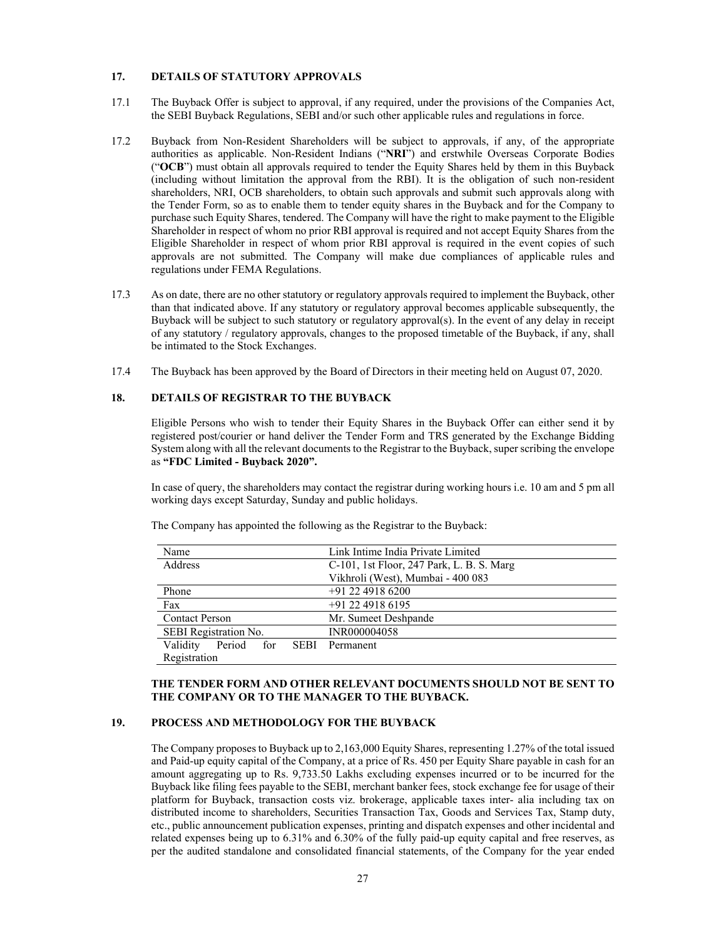# **17. DETAILS OF STATUTORY APPROVALS**

- 17.1 The Buyback Offer is subject to approval, if any required, under the provisions of the Companies Act, the SEBI Buyback Regulations, SEBI and/or such other applicable rules and regulations in force.
- 17.2 Buyback from Non-Resident Shareholders will be subject to approvals, if any, of the appropriate authorities as applicable. Non-Resident Indians ("**NRI**") and erstwhile Overseas Corporate Bodies ("**OCB**") must obtain all approvals required to tender the Equity Shares held by them in this Buyback (including without limitation the approval from the RBI). It is the obligation of such non-resident shareholders, NRI, OCB shareholders, to obtain such approvals and submit such approvals along with the Tender Form, so as to enable them to tender equity shares in the Buyback and for the Company to purchase such Equity Shares, tendered. The Company will have the right to make payment to the Eligible Shareholder in respect of whom no prior RBI approval is required and not accept Equity Shares from the Eligible Shareholder in respect of whom prior RBI approval is required in the event copies of such approvals are not submitted. The Company will make due compliances of applicable rules and regulations under FEMA Regulations.
- 17.3 As on date, there are no other statutory or regulatory approvals required to implement the Buyback, other than that indicated above. If any statutory or regulatory approval becomes applicable subsequently, the Buyback will be subject to such statutory or regulatory approval(s). In the event of any delay in receipt of any statutory / regulatory approvals, changes to the proposed timetable of the Buyback, if any, shall be intimated to the Stock Exchanges.
- 17.4 The Buyback has been approved by the Board of Directors in their meeting held on August 07, 2020.

### **18. DETAILS OF REGISTRAR TO THE BUYBACK**

Eligible Persons who wish to tender their Equity Shares in the Buyback Offer can either send it by registered post/courier or hand deliver the Tender Form and TRS generated by the Exchange Bidding System along with all the relevant documents to the Registrar to the Buyback, super scribing the envelope as **"FDC Limited - Buyback 2020".** 

In case of query, the shareholders may contact the registrar during working hours i.e. 10 am and 5 pm all working days except Saturday, Sunday and public holidays.

| Name                                  | Link Intime India Private Limited         |
|---------------------------------------|-------------------------------------------|
| Address                               | C-101, 1st Floor, 247 Park, L. B. S. Marg |
|                                       | Vikhroli (West), Mumbai - 400 083         |
| Phone                                 | +91 22 4918 6200                          |
| Fax                                   | $+91$ 22 4918 6195                        |
| <b>Contact Person</b>                 | Mr. Sumeet Deshpande                      |
| SEBI Registration No.                 | INR000004058                              |
| Period for<br>Validity<br><b>SEBI</b> | Permanent                                 |
| Registration                          |                                           |

The Company has appointed the following as the Registrar to the Buyback:

**THE TENDER FORM AND OTHER RELEVANT DOCUMENTS SHOULD NOT BE SENT TO THE COMPANY OR TO THE MANAGER TO THE BUYBACK.**

# **19. PROCESS AND METHODOLOGY FOR THE BUYBACK**

The Company proposes to Buyback up to 2,163,000 Equity Shares, representing 1.27% of the total issued and Paid-up equity capital of the Company, at a price of Rs. 450 per Equity Share payable in cash for an amount aggregating up to Rs. 9,733.50 Lakhs excluding expenses incurred or to be incurred for the Buyback like filing fees payable to the SEBI, merchant banker fees, stock exchange fee for usage of their platform for Buyback, transaction costs viz. brokerage, applicable taxes inter- alia including tax on distributed income to shareholders, Securities Transaction Tax, Goods and Services Tax, Stamp duty, etc., public announcement publication expenses, printing and dispatch expenses and other incidental and related expenses being up to 6.31% and 6.30% of the fully paid-up equity capital and free reserves, as per the audited standalone and consolidated financial statements, of the Company for the year ended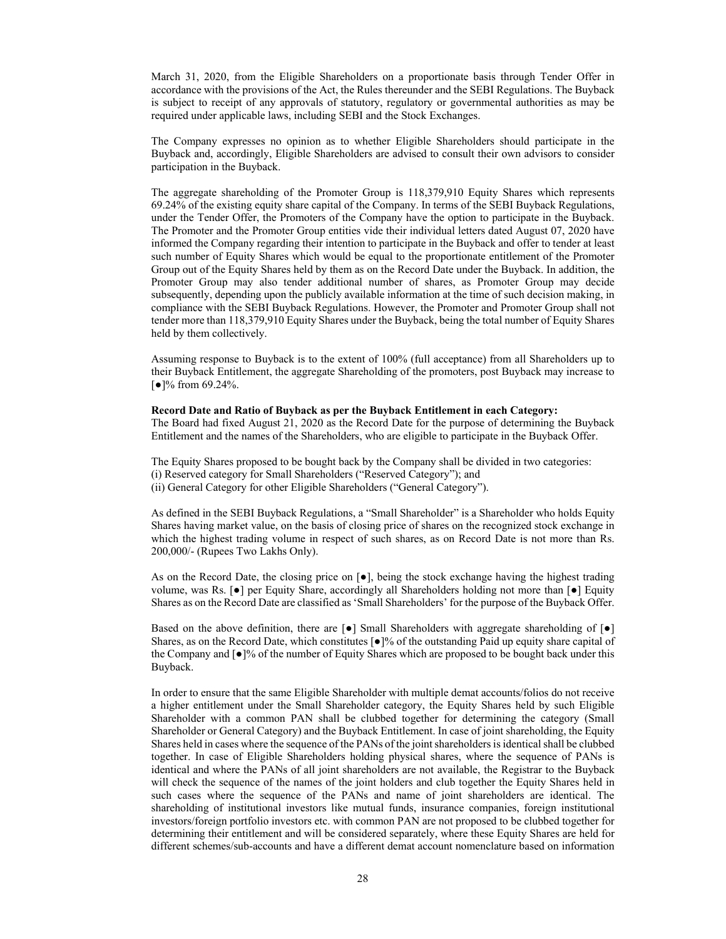March 31, 2020, from the Eligible Shareholders on a proportionate basis through Tender Offer in accordance with the provisions of the Act, the Rules thereunder and the SEBI Regulations. The Buyback is subject to receipt of any approvals of statutory, regulatory or governmental authorities as may be required under applicable laws, including SEBI and the Stock Exchanges.

The Company expresses no opinion as to whether Eligible Shareholders should participate in the Buyback and, accordingly, Eligible Shareholders are advised to consult their own advisors to consider participation in the Buyback.

The aggregate shareholding of the Promoter Group is 118,379,910 Equity Shares which represents 69.24% of the existing equity share capital of the Company. In terms of the SEBI Buyback Regulations, under the Tender Offer, the Promoters of the Company have the option to participate in the Buyback. The Promoter and the Promoter Group entities vide their individual letters dated August 07, 2020 have informed the Company regarding their intention to participate in the Buyback and offer to tender at least such number of Equity Shares which would be equal to the proportionate entitlement of the Promoter Group out of the Equity Shares held by them as on the Record Date under the Buyback. In addition, the Promoter Group may also tender additional number of shares, as Promoter Group may decide subsequently, depending upon the publicly available information at the time of such decision making, in compliance with the SEBI Buyback Regulations. However, the Promoter and Promoter Group shall not tender more than 118,379,910 Equity Shares under the Buyback, being the total number of Equity Shares held by them collectively.

Assuming response to Buyback is to the extent of 100% (full acceptance) from all Shareholders up to their Buyback Entitlement, the aggregate Shareholding of the promoters, post Buyback may increase to [●]% from 69.24%.

### **Record Date and Ratio of Buyback as per the Buyback Entitlement in each Category:**

The Board had fixed August 21, 2020 as the Record Date for the purpose of determining the Buyback Entitlement and the names of the Shareholders, who are eligible to participate in the Buyback Offer.

The Equity Shares proposed to be bought back by the Company shall be divided in two categories: (i) Reserved category for Small Shareholders ("Reserved Category"); and (ii) General Category for other Eligible Shareholders ("General Category").

As defined in the SEBI Buyback Regulations, a "Small Shareholder" is a Shareholder who holds Equity Shares having market value, on the basis of closing price of shares on the recognized stock exchange in which the highest trading volume in respect of such shares, as on Record Date is not more than Rs. 200,000/- (Rupees Two Lakhs Only).

As on the Record Date, the closing price on  $\lceil \bullet \rceil$ , being the stock exchange having the highest trading volume, was Rs. [•] per Equity Share, accordingly all Shareholders holding not more than [•] Equity Shares as on the Record Date are classified as 'Small Shareholders' for the purpose of the Buyback Offer.

Based on the above definition, there are  $\lceil \bullet \rceil$  Small Shareholders with aggregate shareholding of  $\lceil \bullet \rceil$ Shares, as on the Record Date, which constitutes [●]% of the outstanding Paid up equity share capital of the Company and [●]% of the number of Equity Shares which are proposed to be bought back under this Buyback.

In order to ensure that the same Eligible Shareholder with multiple demat accounts/folios do not receive a higher entitlement under the Small Shareholder category, the Equity Shares held by such Eligible Shareholder with a common PAN shall be clubbed together for determining the category (Small Shareholder or General Category) and the Buyback Entitlement. In case of joint shareholding, the Equity Shares held in cases where the sequence of the PANs of the joint shareholders is identical shall be clubbed together. In case of Eligible Shareholders holding physical shares, where the sequence of PANs is identical and where the PANs of all joint shareholders are not available, the Registrar to the Buyback will check the sequence of the names of the joint holders and club together the Equity Shares held in such cases where the sequence of the PANs and name of joint shareholders are identical. The shareholding of institutional investors like mutual funds, insurance companies, foreign institutional investors/foreign portfolio investors etc. with common PAN are not proposed to be clubbed together for determining their entitlement and will be considered separately, where these Equity Shares are held for different schemes/sub-accounts and have a different demat account nomenclature based on information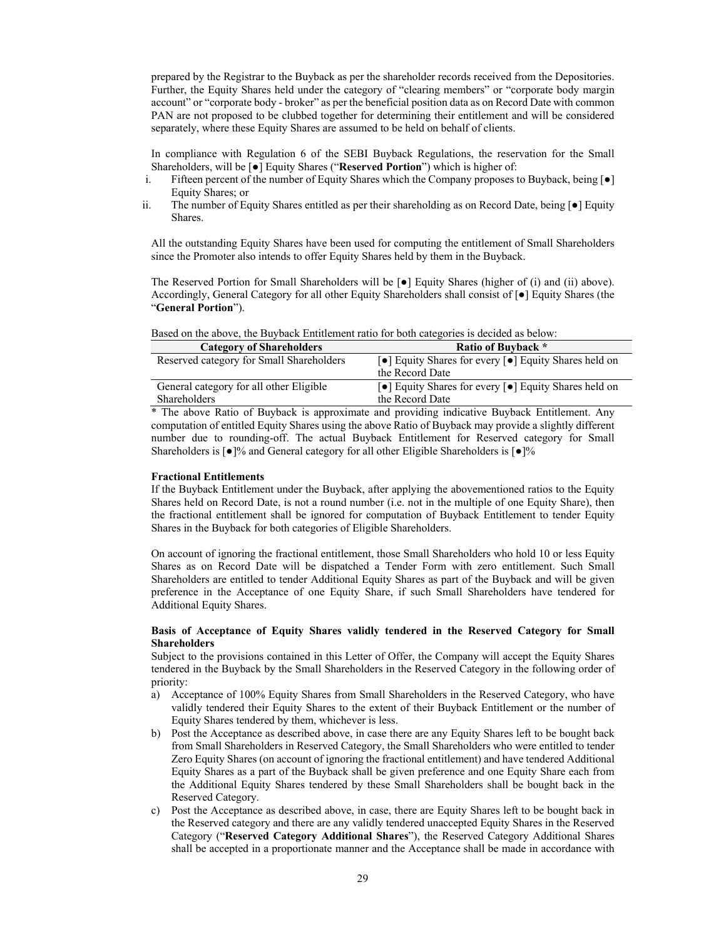prepared by the Registrar to the Buyback as per the shareholder records received from the Depositories. Further, the Equity Shares held under the category of "clearing members" or "corporate body margin account" or "corporate body - broker" as per the beneficial position data as on Record Date with common PAN are not proposed to be clubbed together for determining their entitlement and will be considered separately, where these Equity Shares are assumed to be held on behalf of clients.

In compliance with Regulation 6 of the SEBI Buyback Regulations, the reservation for the Small Shareholders, will be [●] Equity Shares ("**Reserved Portion**") which is higher of:

- i. Fifteen percent of the number of Equity Shares which the Company proposes to Buyback, being [●] Equity Shares; or
- ii. The number of Equity Shares entitled as per their shareholding as on Record Date, being [●] Equity Shares.

All the outstanding Equity Shares have been used for computing the entitlement of Small Shareholders since the Promoter also intends to offer Equity Shares held by them in the Buyback.

The Reserved Portion for Small Shareholders will be [●] Equity Shares (higher of (i) and (ii) above). Accordingly, General Category for all other Equity Shareholders shall consist of [●] Equity Shares (the "**General Portion**").

| <b>Category of Shareholders</b>          | <b>Ratio of Buyback</b> *                                                                     |
|------------------------------------------|-----------------------------------------------------------------------------------------------|
| Reserved category for Small Shareholders | $\lceil \bullet \rceil$ Equity Shares for every $\lceil \bullet \rceil$ Equity Shares held on |
|                                          | the Record Date                                                                               |
| General category for all other Eligible  | $\lceil \bullet \rceil$ Equity Shares for every $\lceil \bullet \rceil$ Equity Shares held on |
| Shareholders                             | the Record Date                                                                               |

Based on the above, the Buyback Entitlement ratio for both categories is decided as below:

\* The above Ratio of Buyback is approximate and providing indicative Buyback Entitlement. Any computation of entitled Equity Shares using the above Ratio of Buyback may provide a slightly different number due to rounding-off. The actual Buyback Entitlement for Reserved category for Small Shareholders is [●]% and General category for all other Eligible Shareholders is [●]%

### **Fractional Entitlements**

If the Buyback Entitlement under the Buyback, after applying the abovementioned ratios to the Equity Shares held on Record Date, is not a round number (i.e. not in the multiple of one Equity Share), then the fractional entitlement shall be ignored for computation of Buyback Entitlement to tender Equity Shares in the Buyback for both categories of Eligible Shareholders.

On account of ignoring the fractional entitlement, those Small Shareholders who hold 10 or less Equity Shares as on Record Date will be dispatched a Tender Form with zero entitlement. Such Small Shareholders are entitled to tender Additional Equity Shares as part of the Buyback and will be given preference in the Acceptance of one Equity Share, if such Small Shareholders have tendered for Additional Equity Shares.

### **Basis of Acceptance of Equity Shares validly tendered in the Reserved Category for Small Shareholders**

Subject to the provisions contained in this Letter of Offer, the Company will accept the Equity Shares tendered in the Buyback by the Small Shareholders in the Reserved Category in the following order of priority:

- a) Acceptance of 100% Equity Shares from Small Shareholders in the Reserved Category, who have validly tendered their Equity Shares to the extent of their Buyback Entitlement or the number of Equity Shares tendered by them, whichever is less.
- b) Post the Acceptance as described above, in case there are any Equity Shares left to be bought back from Small Shareholders in Reserved Category, the Small Shareholders who were entitled to tender Zero Equity Shares (on account of ignoring the fractional entitlement) and have tendered Additional Equity Shares as a part of the Buyback shall be given preference and one Equity Share each from the Additional Equity Shares tendered by these Small Shareholders shall be bought back in the Reserved Category.
- Post the Acceptance as described above, in case, there are Equity Shares left to be bought back in the Reserved category and there are any validly tendered unaccepted Equity Shares in the Reserved Category ("**Reserved Category Additional Shares**"), the Reserved Category Additional Shares shall be accepted in a proportionate manner and the Acceptance shall be made in accordance with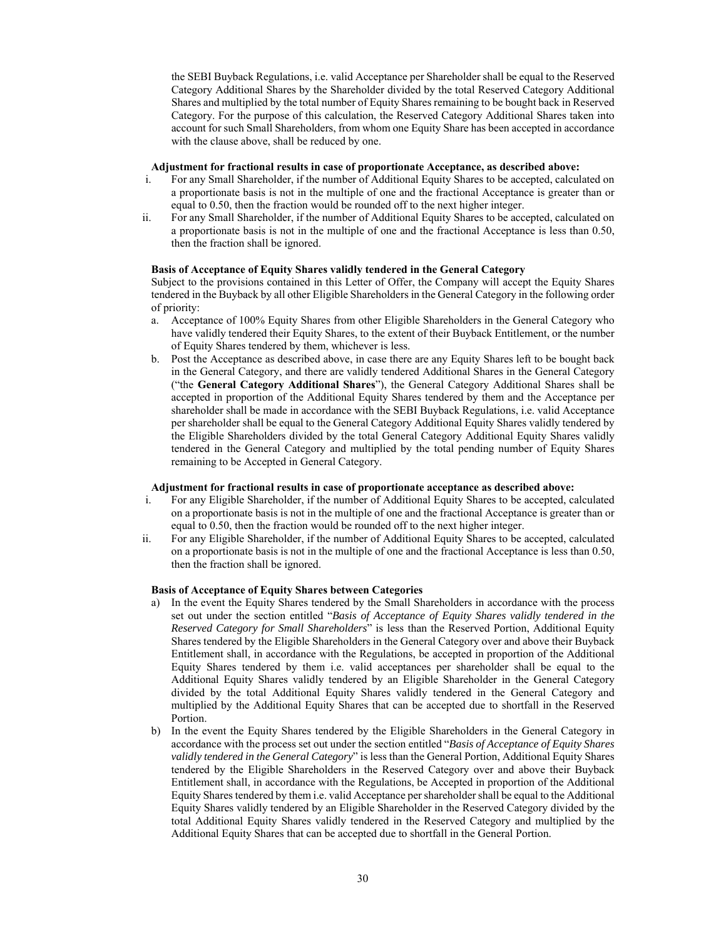the SEBI Buyback Regulations, i.e. valid Acceptance per Shareholder shall be equal to the Reserved Category Additional Shares by the Shareholder divided by the total Reserved Category Additional Shares and multiplied by the total number of Equity Shares remaining to be bought back in Reserved Category. For the purpose of this calculation, the Reserved Category Additional Shares taken into account for such Small Shareholders, from whom one Equity Share has been accepted in accordance with the clause above, shall be reduced by one.

#### **Adjustment for fractional results in case of proportionate Acceptance, as described above:**

- i. For any Small Shareholder, if the number of Additional Equity Shares to be accepted, calculated on a proportionate basis is not in the multiple of one and the fractional Acceptance is greater than or equal to 0.50, then the fraction would be rounded off to the next higher integer.
- ii. For any Small Shareholder, if the number of Additional Equity Shares to be accepted, calculated on a proportionate basis is not in the multiple of one and the fractional Acceptance is less than 0.50, then the fraction shall be ignored.

## **Basis of Acceptance of Equity Shares validly tendered in the General Category**

Subject to the provisions contained in this Letter of Offer, the Company will accept the Equity Shares tendered in the Buyback by all other Eligible Shareholders in the General Category in the following order of priority:

- a. Acceptance of 100% Equity Shares from other Eligible Shareholders in the General Category who have validly tendered their Equity Shares, to the extent of their Buyback Entitlement, or the number of Equity Shares tendered by them, whichever is less.
- b. Post the Acceptance as described above, in case there are any Equity Shares left to be bought back in the General Category, and there are validly tendered Additional Shares in the General Category ("the **General Category Additional Shares**"), the General Category Additional Shares shall be accepted in proportion of the Additional Equity Shares tendered by them and the Acceptance per shareholder shall be made in accordance with the SEBI Buyback Regulations, i.e. valid Acceptance per shareholder shall be equal to the General Category Additional Equity Shares validly tendered by the Eligible Shareholders divided by the total General Category Additional Equity Shares validly tendered in the General Category and multiplied by the total pending number of Equity Shares remaining to be Accepted in General Category.

#### **Adjustment for fractional results in case of proportionate acceptance as described above:**

- i. For any Eligible Shareholder, if the number of Additional Equity Shares to be accepted, calculated on a proportionate basis is not in the multiple of one and the fractional Acceptance is greater than or equal to 0.50, then the fraction would be rounded off to the next higher integer.
- ii. For any Eligible Shareholder, if the number of Additional Equity Shares to be accepted, calculated on a proportionate basis is not in the multiple of one and the fractional Acceptance is less than 0.50, then the fraction shall be ignored.

### **Basis of Acceptance of Equity Shares between Categories**

- a) In the event the Equity Shares tendered by the Small Shareholders in accordance with the process set out under the section entitled "*Basis of Acceptance of Equity Shares validly tendered in the Reserved Category for Small Shareholders*" is less than the Reserved Portion, Additional Equity Shares tendered by the Eligible Shareholders in the General Category over and above their Buyback Entitlement shall, in accordance with the Regulations, be accepted in proportion of the Additional Equity Shares tendered by them i.e. valid acceptances per shareholder shall be equal to the Additional Equity Shares validly tendered by an Eligible Shareholder in the General Category divided by the total Additional Equity Shares validly tendered in the General Category and multiplied by the Additional Equity Shares that can be accepted due to shortfall in the Reserved Portion.
- b) In the event the Equity Shares tendered by the Eligible Shareholders in the General Category in accordance with the process set out under the section entitled "*Basis of Acceptance of Equity Shares validly tendered in the General Category*" is less than the General Portion, Additional Equity Shares tendered by the Eligible Shareholders in the Reserved Category over and above their Buyback Entitlement shall, in accordance with the Regulations, be Accepted in proportion of the Additional Equity Shares tendered by them i.e. valid Acceptance per shareholder shall be equal to the Additional Equity Shares validly tendered by an Eligible Shareholder in the Reserved Category divided by the total Additional Equity Shares validly tendered in the Reserved Category and multiplied by the Additional Equity Shares that can be accepted due to shortfall in the General Portion.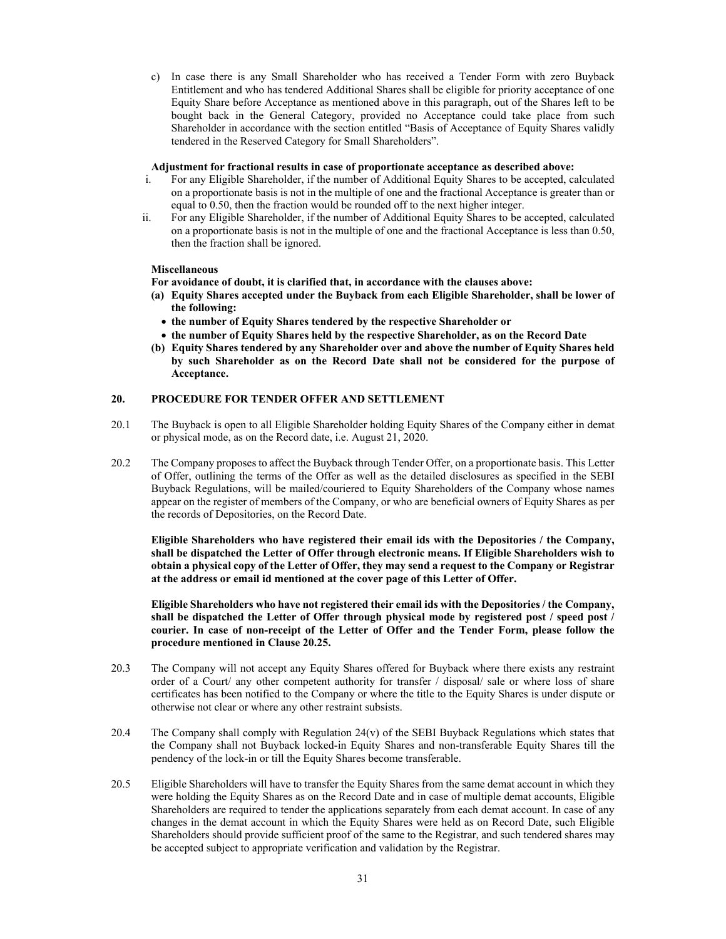c) In case there is any Small Shareholder who has received a Tender Form with zero Buyback Entitlement and who has tendered Additional Shares shall be eligible for priority acceptance of one Equity Share before Acceptance as mentioned above in this paragraph, out of the Shares left to be bought back in the General Category, provided no Acceptance could take place from such Shareholder in accordance with the section entitled "Basis of Acceptance of Equity Shares validly tendered in the Reserved Category for Small Shareholders".

#### **Adjustment for fractional results in case of proportionate acceptance as described above:**

- i. For any Eligible Shareholder, if the number of Additional Equity Shares to be accepted, calculated on a proportionate basis is not in the multiple of one and the fractional Acceptance is greater than or equal to 0.50, then the fraction would be rounded off to the next higher integer.
- ii. For any Eligible Shareholder, if the number of Additional Equity Shares to be accepted, calculated on a proportionate basis is not in the multiple of one and the fractional Acceptance is less than 0.50, then the fraction shall be ignored.

## **Miscellaneous**

**For avoidance of doubt, it is clarified that, in accordance with the clauses above:** 

- **(a) Equity Shares accepted under the Buyback from each Eligible Shareholder, shall be lower of the following:** 
	- **the number of Equity Shares tendered by the respective Shareholder or**
	- **the number of Equity Shares held by the respective Shareholder, as on the Record Date**
- **(b) Equity Shares tendered by any Shareholder over and above the number of Equity Shares held by such Shareholder as on the Record Date shall not be considered for the purpose of Acceptance.**

# **20. PROCEDURE FOR TENDER OFFER AND SETTLEMENT**

- 20.1 The Buyback is open to all Eligible Shareholder holding Equity Shares of the Company either in demat or physical mode, as on the Record date, i.e. August 21, 2020.
- 20.2 The Company proposes to affect the Buyback through Tender Offer, on a proportionate basis. This Letter of Offer, outlining the terms of the Offer as well as the detailed disclosures as specified in the SEBI Buyback Regulations, will be mailed/couriered to Equity Shareholders of the Company whose names appear on the register of members of the Company, or who are beneficial owners of Equity Shares as per the records of Depositories, on the Record Date.

**Eligible Shareholders who have registered their email ids with the Depositories / the Company, shall be dispatched the Letter of Offer through electronic means. If Eligible Shareholders wish to obtain a physical copy of the Letter of Offer, they may send a request to the Company or Registrar at the address or email id mentioned at the cover page of this Letter of Offer.** 

**Eligible Shareholders who have not registered their email ids with the Depositories / the Company, shall be dispatched the Letter of Offer through physical mode by registered post / speed post / courier. In case of non-receipt of the Letter of Offer and the Tender Form, please follow the procedure mentioned in Clause 20.25.** 

- 20.3 The Company will not accept any Equity Shares offered for Buyback where there exists any restraint order of a Court/ any other competent authority for transfer / disposal/ sale or where loss of share certificates has been notified to the Company or where the title to the Equity Shares is under dispute or otherwise not clear or where any other restraint subsists.
- 20.4 The Company shall comply with Regulation 24(v) of the SEBI Buyback Regulations which states that the Company shall not Buyback locked-in Equity Shares and non-transferable Equity Shares till the pendency of the lock-in or till the Equity Shares become transferable.
- 20.5 Eligible Shareholders will have to transfer the Equity Shares from the same demat account in which they were holding the Equity Shares as on the Record Date and in case of multiple demat accounts, Eligible Shareholders are required to tender the applications separately from each demat account. In case of any changes in the demat account in which the Equity Shares were held as on Record Date, such Eligible Shareholders should provide sufficient proof of the same to the Registrar, and such tendered shares may be accepted subject to appropriate verification and validation by the Registrar.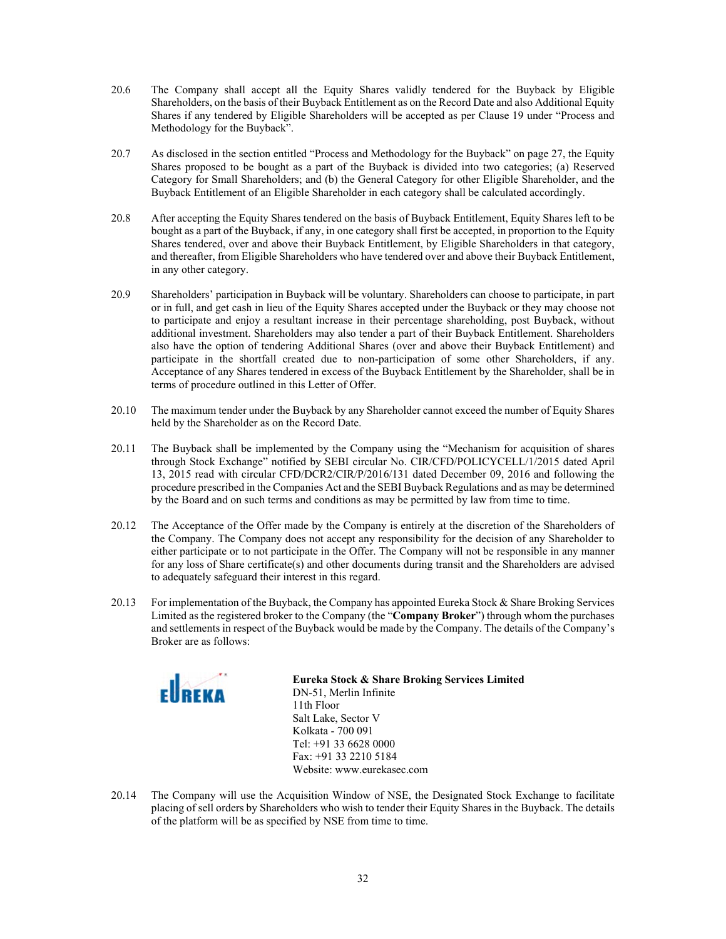- 20.6 The Company shall accept all the Equity Shares validly tendered for the Buyback by Eligible Shareholders, on the basis of their Buyback Entitlement as on the Record Date and also Additional Equity Shares if any tendered by Eligible Shareholders will be accepted as per Clause 19 under "Process and Methodology for the Buyback".
- 20.7 As disclosed in the section entitled "Process and Methodology for the Buyback" on page 27, the Equity Shares proposed to be bought as a part of the Buyback is divided into two categories; (a) Reserved Category for Small Shareholders; and (b) the General Category for other Eligible Shareholder, and the Buyback Entitlement of an Eligible Shareholder in each category shall be calculated accordingly.
- 20.8 After accepting the Equity Shares tendered on the basis of Buyback Entitlement, Equity Shares left to be bought as a part of the Buyback, if any, in one category shall first be accepted, in proportion to the Equity Shares tendered, over and above their Buyback Entitlement, by Eligible Shareholders in that category, and thereafter, from Eligible Shareholders who have tendered over and above their Buyback Entitlement, in any other category.
- 20.9 Shareholders' participation in Buyback will be voluntary. Shareholders can choose to participate, in part or in full, and get cash in lieu of the Equity Shares accepted under the Buyback or they may choose not to participate and enjoy a resultant increase in their percentage shareholding, post Buyback, without additional investment. Shareholders may also tender a part of their Buyback Entitlement. Shareholders also have the option of tendering Additional Shares (over and above their Buyback Entitlement) and participate in the shortfall created due to non-participation of some other Shareholders, if any. Acceptance of any Shares tendered in excess of the Buyback Entitlement by the Shareholder, shall be in terms of procedure outlined in this Letter of Offer.
- 20.10 The maximum tender under the Buyback by any Shareholder cannot exceed the number of Equity Shares held by the Shareholder as on the Record Date.
- 20.11 The Buyback shall be implemented by the Company using the "Mechanism for acquisition of shares through Stock Exchange" notified by SEBI circular No. CIR/CFD/POLICYCELL/1/2015 dated April 13, 2015 read with circular CFD/DCR2/CIR/P/2016/131 dated December 09, 2016 and following the procedure prescribed in the Companies Act and the SEBI Buyback Regulations and as may be determined by the Board and on such terms and conditions as may be permitted by law from time to time.
- 20.12 The Acceptance of the Offer made by the Company is entirely at the discretion of the Shareholders of the Company. The Company does not accept any responsibility for the decision of any Shareholder to either participate or to not participate in the Offer. The Company will not be responsible in any manner for any loss of Share certificate(s) and other documents during transit and the Shareholders are advised to adequately safeguard their interest in this regard.
- 20.13 For implementation of the Buyback, the Company has appointed Eureka Stock & Share Broking Services Limited as the registered broker to the Company (the "**Company Broker**") through whom the purchases and settlements in respect of the Buyback would be made by the Company. The details of the Company's Broker are as follows:



**Eureka Stock & Share Broking Services Limited** 

DN-51, Merlin Infinite 11th Floor Salt Lake, Sector V Kolkata - 700 091 Tel: +91 33 6628 0000 Fax: +91 33 2210 5184 Website: www.eurekasec.com

20.14 The Company will use the Acquisition Window of NSE, the Designated Stock Exchange to facilitate placing of sell orders by Shareholders who wish to tender their Equity Shares in the Buyback. The details of the platform will be as specified by NSE from time to time.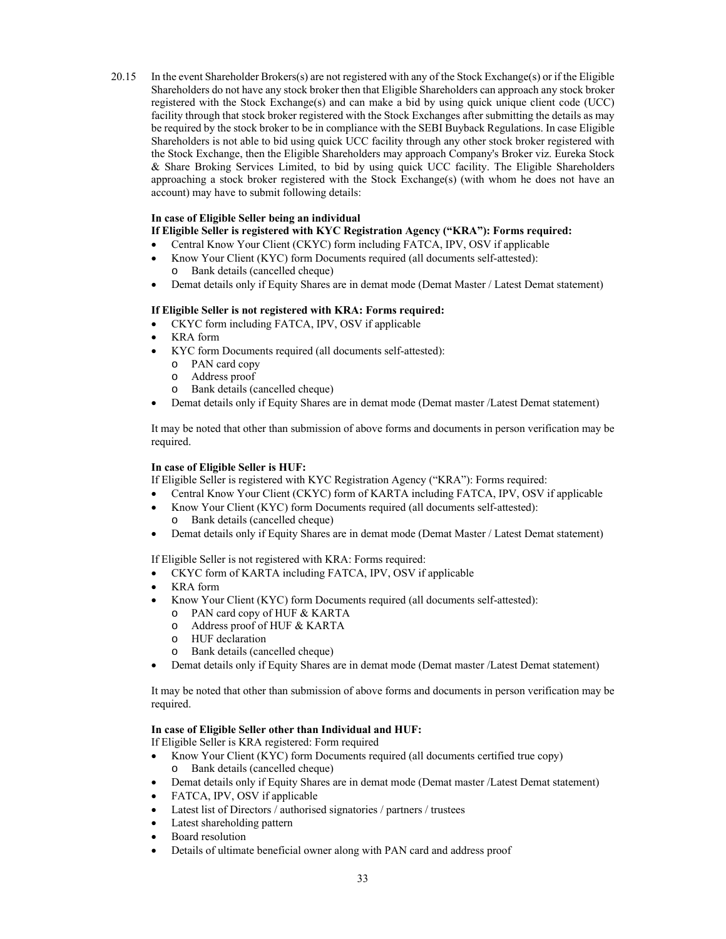20.15 In the event Shareholder Brokers(s) are not registered with any of the Stock Exchange(s) or if the Eligible Shareholders do not have any stock broker then that Eligible Shareholders can approach any stock broker registered with the Stock Exchange(s) and can make a bid by using quick unique client code (UCC) facility through that stock broker registered with the Stock Exchanges after submitting the details as may be required by the stock broker to be in compliance with the SEBI Buyback Regulations. In case Eligible Shareholders is not able to bid using quick UCC facility through any other stock broker registered with the Stock Exchange, then the Eligible Shareholders may approach Company's Broker viz. Eureka Stock & Share Broking Services Limited, to bid by using quick UCC facility. The Eligible Shareholders approaching a stock broker registered with the Stock Exchange(s) (with whom he does not have an account) may have to submit following details:

# **In case of Eligible Seller being an individual**

- **If Eligible Seller is registered with KYC Registration Agency ("KRA"): Forms required:**
- Central Know Your Client (CKYC) form including FATCA, IPV, OSV if applicable
- Know Your Client (KYC) form Documents required (all documents self-attested): o Bank details (cancelled cheque)
- Demat details only if Equity Shares are in demat mode (Demat Master / Latest Demat statement)

### **If Eligible Seller is not registered with KRA: Forms required:**

- CKYC form including FATCA, IPV, OSV if applicable
- KRA form
- KYC form Documents required (all documents self-attested):
	- o PAN card copy
	- o Address proof
	- o Bank details (cancelled cheque)
- Demat details only if Equity Shares are in demat mode (Demat master /Latest Demat statement)

It may be noted that other than submission of above forms and documents in person verification may be required.

### **In case of Eligible Seller is HUF:**

If Eligible Seller is registered with KYC Registration Agency ("KRA"): Forms required:

- Central Know Your Client (CKYC) form of KARTA including FATCA, IPV, OSV if applicable
- Know Your Client (KYC) form Documents required (all documents self-attested): o Bank details (cancelled cheque)
- Demat details only if Equity Shares are in demat mode (Demat Master / Latest Demat statement)

If Eligible Seller is not registered with KRA: Forms required:

- CKYC form of KARTA including FATCA, IPV, OSV if applicable
- KRA form
- Know Your Client (KYC) form Documents required (all documents self-attested):
	- o PAN card copy of HUF & KARTA
	- o Address proof of HUF & KARTA
	- o HUF declaration
	- o Bank details (cancelled cheque)
- Demat details only if Equity Shares are in demat mode (Demat master /Latest Demat statement)

It may be noted that other than submission of above forms and documents in person verification may be required.

# **In case of Eligible Seller other than Individual and HUF:**

If Eligible Seller is KRA registered: Form required

- Know Your Client (KYC) form Documents required (all documents certified true copy) o Bank details (cancelled cheque)
- Demat details only if Equity Shares are in demat mode (Demat master /Latest Demat statement)
- FATCA, IPV, OSV if applicable
- Latest list of Directors / authorised signatories / partners / trustees
- Latest shareholding pattern
- Board resolution
- Details of ultimate beneficial owner along with PAN card and address proof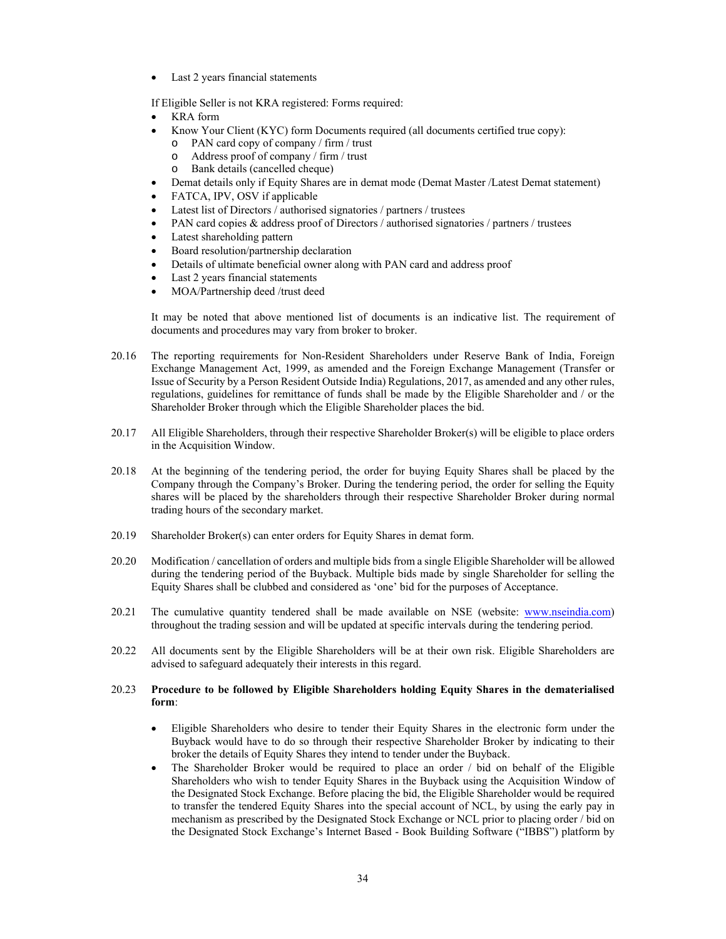Last 2 years financial statements

If Eligible Seller is not KRA registered: Forms required:

- KRA form
- Know Your Client (KYC) form Documents required (all documents certified true copy): o PAN card copy of company / firm / trust
	- o Address proof of company / firm / trust
	- o Bank details (cancelled cheque)
- Demat details only if Equity Shares are in demat mode (Demat Master /Latest Demat statement)
- FATCA, IPV, OSV if applicable
- Latest list of Directors / authorised signatories / partners / trustees
- PAN card copies & address proof of Directors / authorised signatories / partners / trustees
- Latest shareholding pattern
- Board resolution/partnership declaration
- Details of ultimate beneficial owner along with PAN card and address proof
- Last 2 years financial statements
- MOA/Partnership deed /trust deed

It may be noted that above mentioned list of documents is an indicative list. The requirement of documents and procedures may vary from broker to broker.

- 20.16 The reporting requirements for Non-Resident Shareholders under Reserve Bank of India, Foreign Exchange Management Act, 1999, as amended and the Foreign Exchange Management (Transfer or Issue of Security by a Person Resident Outside India) Regulations, 2017, as amended and any other rules, regulations, guidelines for remittance of funds shall be made by the Eligible Shareholder and / or the Shareholder Broker through which the Eligible Shareholder places the bid.
- 20.17 All Eligible Shareholders, through their respective Shareholder Broker(s) will be eligible to place orders in the Acquisition Window.
- 20.18 At the beginning of the tendering period, the order for buying Equity Shares shall be placed by the Company through the Company's Broker. During the tendering period, the order for selling the Equity shares will be placed by the shareholders through their respective Shareholder Broker during normal trading hours of the secondary market.
- 20.19 Shareholder Broker(s) can enter orders for Equity Shares in demat form.
- 20.20 Modification / cancellation of orders and multiple bids from a single Eligible Shareholder will be allowed during the tendering period of the Buyback. Multiple bids made by single Shareholder for selling the Equity Shares shall be clubbed and considered as 'one' bid for the purposes of Acceptance.
- 20.21 The cumulative quantity tendered shall be made available on NSE (website: www.nseindia.com) throughout the trading session and will be updated at specific intervals during the tendering period.
- 20.22 All documents sent by the Eligible Shareholders will be at their own risk. Eligible Shareholders are advised to safeguard adequately their interests in this regard.

# 20.23 **Procedure to be followed by Eligible Shareholders holding Equity Shares in the dematerialised form**:

- Eligible Shareholders who desire to tender their Equity Shares in the electronic form under the Buyback would have to do so through their respective Shareholder Broker by indicating to their broker the details of Equity Shares they intend to tender under the Buyback.
- The Shareholder Broker would be required to place an order / bid on behalf of the Eligible Shareholders who wish to tender Equity Shares in the Buyback using the Acquisition Window of the Designated Stock Exchange. Before placing the bid, the Eligible Shareholder would be required to transfer the tendered Equity Shares into the special account of NCL, by using the early pay in mechanism as prescribed by the Designated Stock Exchange or NCL prior to placing order / bid on the Designated Stock Exchange's Internet Based - Book Building Software ("IBBS") platform by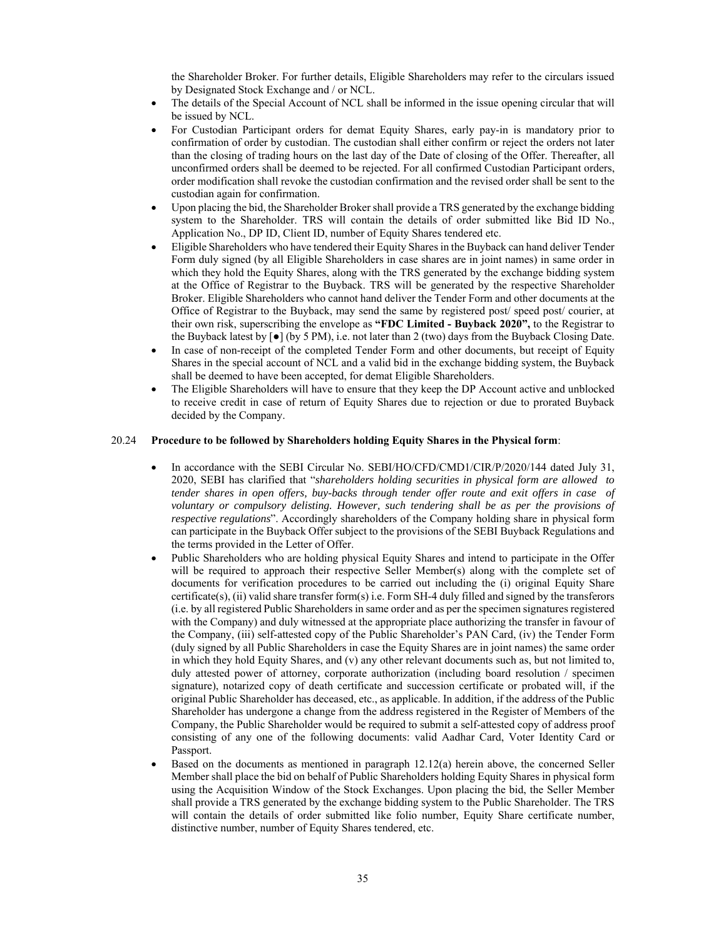the Shareholder Broker. For further details, Eligible Shareholders may refer to the circulars issued by Designated Stock Exchange and / or NCL.

- The details of the Special Account of NCL shall be informed in the issue opening circular that will be issued by NCL.
- For Custodian Participant orders for demat Equity Shares, early pay-in is mandatory prior to confirmation of order by custodian. The custodian shall either confirm or reject the orders not later than the closing of trading hours on the last day of the Date of closing of the Offer. Thereafter, all unconfirmed orders shall be deemed to be rejected. For all confirmed Custodian Participant orders, order modification shall revoke the custodian confirmation and the revised order shall be sent to the custodian again for confirmation.
- Upon placing the bid, the Shareholder Broker shall provide a TRS generated by the exchange bidding system to the Shareholder. TRS will contain the details of order submitted like Bid ID No., Application No., DP ID, Client ID, number of Equity Shares tendered etc.
- Eligible Shareholders who have tendered their Equity Shares in the Buyback can hand deliver Tender Form duly signed (by all Eligible Shareholders in case shares are in joint names) in same order in which they hold the Equity Shares, along with the TRS generated by the exchange bidding system at the Office of Registrar to the Buyback. TRS will be generated by the respective Shareholder Broker. Eligible Shareholders who cannot hand deliver the Tender Form and other documents at the Office of Registrar to the Buyback, may send the same by registered post/ speed post/ courier, at their own risk, superscribing the envelope as **"FDC Limited - Buyback 2020",** to the Registrar to the Buyback latest by  $\lceil \bullet \rceil$  (by 5 PM), i.e. not later than 2 (two) days from the Buyback Closing Date.
- In case of non-receipt of the completed Tender Form and other documents, but receipt of Equity Shares in the special account of NCL and a valid bid in the exchange bidding system, the Buyback shall be deemed to have been accepted, for demat Eligible Shareholders.
- The Eligible Shareholders will have to ensure that they keep the DP Account active and unblocked to receive credit in case of return of Equity Shares due to rejection or due to prorated Buyback decided by the Company.

#### 20.24 **Procedure to be followed by Shareholders holding Equity Shares in the Physical form**:

- In accordance with the SEBI Circular No. SEBI/HO/CFD/CMD1/CIR/P/2020/144 dated July 31, 2020, SEBI has clarified that "*shareholders holding securities in physical form are allowed to tender shares in open offers, buy-backs through tender offer route and exit offers in case of voluntary or compulsory delisting. However, such tendering shall be as per the provisions of respective regulations*". Accordingly shareholders of the Company holding share in physical form can participate in the Buyback Offer subject to the provisions of the SEBI Buyback Regulations and the terms provided in the Letter of Offer.
- Public Shareholders who are holding physical Equity Shares and intend to participate in the Offer will be required to approach their respective Seller Member(s) along with the complete set of documents for verification procedures to be carried out including the (i) original Equity Share certificate(s), (ii) valid share transfer form(s) i.e. Form SH-4 duly filled and signed by the transferors (i.e. by all registered Public Shareholders in same order and as per the specimen signatures registered with the Company) and duly witnessed at the appropriate place authorizing the transfer in favour of the Company, (iii) self-attested copy of the Public Shareholder's PAN Card, (iv) the Tender Form (duly signed by all Public Shareholders in case the Equity Shares are in joint names) the same order in which they hold Equity Shares, and (v) any other relevant documents such as, but not limited to, duly attested power of attorney, corporate authorization (including board resolution / specimen signature), notarized copy of death certificate and succession certificate or probated will, if the original Public Shareholder has deceased, etc., as applicable. In addition, if the address of the Public Shareholder has undergone a change from the address registered in the Register of Members of the Company, the Public Shareholder would be required to submit a self-attested copy of address proof consisting of any one of the following documents: valid Aadhar Card, Voter Identity Card or Passport.
- Based on the documents as mentioned in paragraph 12.12(a) herein above, the concerned Seller Member shall place the bid on behalf of Public Shareholders holding Equity Shares in physical form using the Acquisition Window of the Stock Exchanges. Upon placing the bid, the Seller Member shall provide a TRS generated by the exchange bidding system to the Public Shareholder. The TRS will contain the details of order submitted like folio number, Equity Share certificate number, distinctive number, number of Equity Shares tendered, etc.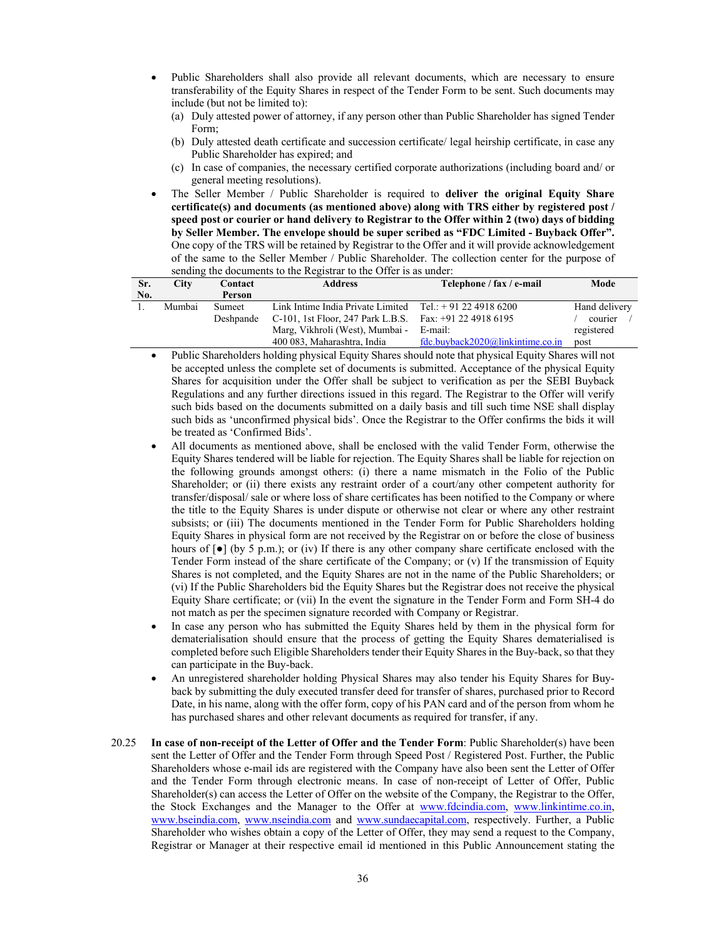- Public Shareholders shall also provide all relevant documents, which are necessary to ensure transferability of the Equity Shares in respect of the Tender Form to be sent. Such documents may include (but not be limited to):
	- (a) Duly attested power of attorney, if any person other than Public Shareholder has signed Tender Form;
	- (b) Duly attested death certificate and succession certificate/ legal heirship certificate, in case any Public Shareholder has expired; and
	- (c) In case of companies, the necessary certified corporate authorizations (including board and/ or general meeting resolutions).
- The Seller Member / Public Shareholder is required to **deliver the original Equity Share certificate(s) and documents (as mentioned above) along with TRS either by registered post / speed post or courier or hand delivery to Registrar to the Offer within 2 (two) days of bidding by Seller Member. The envelope should be super scribed as "FDC Limited - Buyback Offer".**  One copy of the TRS will be retained by Registrar to the Offer and it will provide acknowledgement of the same to the Seller Member / Public Shareholder. The collection center for the purpose of sending the documents to the Registrar to the Offer is as under:

| Sr. | City   | Contact       | <b>Address</b>                                                      | Telephone / fax / e-mail         | Mode          |
|-----|--------|---------------|---------------------------------------------------------------------|----------------------------------|---------------|
| No. |        | Person        |                                                                     |                                  |               |
|     | Mumbai | <b>Sumeet</b> | Link Intime India Private Limited $Tel_{\cdot}$ : + 91 22 4918 6200 |                                  | Hand delivery |
|     |        | Deshpande     | C-101, 1st Floor, 247 Park L.B.S. Fax: $+91$ 22 4918 6195           |                                  | courier       |
|     |        |               | Marg, Vikhroli (West), Mumbai -                                     | E-mail:                          | registered    |
|     |        |               | 400 083, Maharashtra, India                                         | fdc.buyback2020@linkintime.co.in | post          |

- Public Shareholders holding physical Equity Shares should note that physical Equity Shares will not be accepted unless the complete set of documents is submitted. Acceptance of the physical Equity Shares for acquisition under the Offer shall be subject to verification as per the SEBI Buyback Regulations and any further directions issued in this regard. The Registrar to the Offer will verify such bids based on the documents submitted on a daily basis and till such time NSE shall display such bids as 'unconfirmed physical bids'. Once the Registrar to the Offer confirms the bids it will be treated as 'Confirmed Bids'.
- All documents as mentioned above, shall be enclosed with the valid Tender Form, otherwise the Equity Shares tendered will be liable for rejection. The Equity Shares shall be liable for rejection on the following grounds amongst others: (i) there a name mismatch in the Folio of the Public Shareholder; or (ii) there exists any restraint order of a court/any other competent authority for transfer/disposal/ sale or where loss of share certificates has been notified to the Company or where the title to the Equity Shares is under dispute or otherwise not clear or where any other restraint subsists; or (iii) The documents mentioned in the Tender Form for Public Shareholders holding Equity Shares in physical form are not received by the Registrar on or before the close of business hours of  $\lceil \bullet \rceil$  (by 5 p.m.); or (iv) If there is any other company share certificate enclosed with the Tender Form instead of the share certificate of the Company; or (v) If the transmission of Equity Shares is not completed, and the Equity Shares are not in the name of the Public Shareholders; or (vi) If the Public Shareholders bid the Equity Shares but the Registrar does not receive the physical Equity Share certificate; or (vii) In the event the signature in the Tender Form and Form SH-4 do not match as per the specimen signature recorded with Company or Registrar.
- In case any person who has submitted the Equity Shares held by them in the physical form for dematerialisation should ensure that the process of getting the Equity Shares dematerialised is completed before such Eligible Shareholders tender their Equity Shares in the Buy-back, so that they can participate in the Buy-back.
- An unregistered shareholder holding Physical Shares may also tender his Equity Shares for Buyback by submitting the duly executed transfer deed for transfer of shares, purchased prior to Record Date, in his name, along with the offer form, copy of his PAN card and of the person from whom he has purchased shares and other relevant documents as required for transfer, if any.
- 20.25 **In case of non-receipt of the Letter of Offer and the Tender Form**: Public Shareholder(s) have been sent the Letter of Offer and the Tender Form through Speed Post / Registered Post. Further, the Public Shareholders whose e-mail ids are registered with the Company have also been sent the Letter of Offer and the Tender Form through electronic means. In case of non-receipt of Letter of Offer, Public Shareholder(s) can access the Letter of Offer on the website of the Company, the Registrar to the Offer, the Stock Exchanges and the Manager to the Offer at www.fdcindia.com, www.linkintime.co.in, www.bseindia.com, www.nseindia.com and www.sundaecapital.com, respectively. Further, a Public Shareholder who wishes obtain a copy of the Letter of Offer, they may send a request to the Company, Registrar or Manager at their respective email id mentioned in this Public Announcement stating the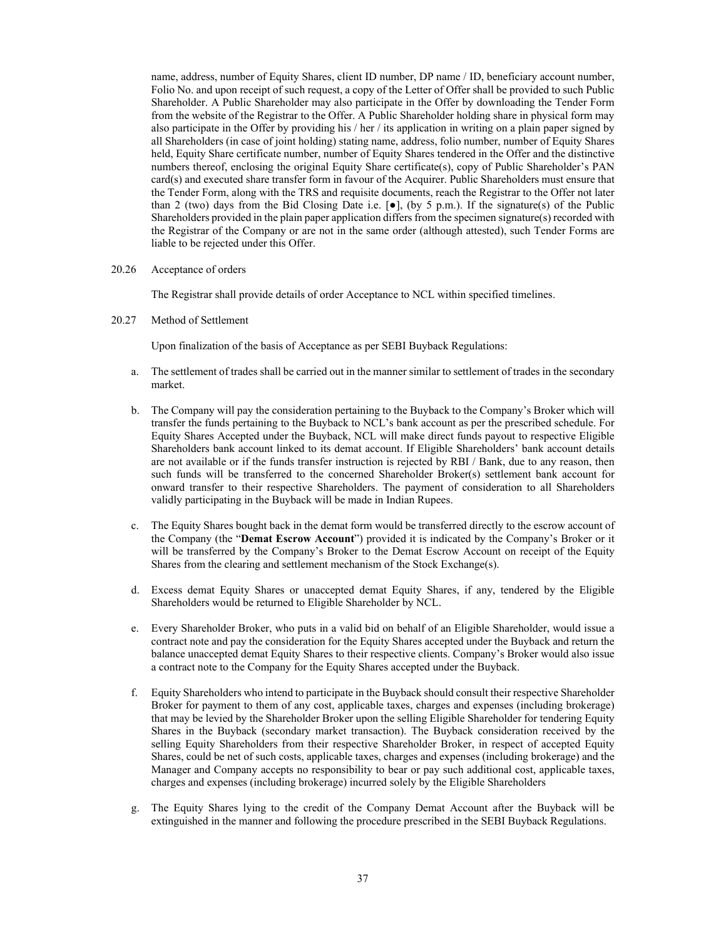name, address, number of Equity Shares, client ID number, DP name / ID, beneficiary account number, Folio No. and upon receipt of such request, a copy of the Letter of Offer shall be provided to such Public Shareholder. A Public Shareholder may also participate in the Offer by downloading the Tender Form from the website of the Registrar to the Offer. A Public Shareholder holding share in physical form may also participate in the Offer by providing his / her / its application in writing on a plain paper signed by all Shareholders (in case of joint holding) stating name, address, folio number, number of Equity Shares held, Equity Share certificate number, number of Equity Shares tendered in the Offer and the distinctive numbers thereof, enclosing the original Equity Share certificate(s), copy of Public Shareholder's PAN card(s) and executed share transfer form in favour of the Acquirer. Public Shareholders must ensure that the Tender Form, along with the TRS and requisite documents, reach the Registrar to the Offer not later than 2 (two) days from the Bid Closing Date i.e.  $[\bullet]$ , (by 5 p.m.). If the signature(s) of the Public Shareholders provided in the plain paper application differs from the specimen signature(s) recorded with the Registrar of the Company or are not in the same order (although attested), such Tender Forms are liable to be rejected under this Offer.

#### 20.26 Acceptance of orders

The Registrar shall provide details of order Acceptance to NCL within specified timelines.

20.27 Method of Settlement

Upon finalization of the basis of Acceptance as per SEBI Buyback Regulations:

- a. The settlement of trades shall be carried out in the manner similar to settlement of trades in the secondary market.
- b. The Company will pay the consideration pertaining to the Buyback to the Company's Broker which will transfer the funds pertaining to the Buyback to NCL's bank account as per the prescribed schedule. For Equity Shares Accepted under the Buyback, NCL will make direct funds payout to respective Eligible Shareholders bank account linked to its demat account. If Eligible Shareholders' bank account details are not available or if the funds transfer instruction is rejected by RBI / Bank, due to any reason, then such funds will be transferred to the concerned Shareholder Broker(s) settlement bank account for onward transfer to their respective Shareholders. The payment of consideration to all Shareholders validly participating in the Buyback will be made in Indian Rupees.
- c. The Equity Shares bought back in the demat form would be transferred directly to the escrow account of the Company (the "**Demat Escrow Account**") provided it is indicated by the Company's Broker or it will be transferred by the Company's Broker to the Demat Escrow Account on receipt of the Equity Shares from the clearing and settlement mechanism of the Stock Exchange(s).
- d. Excess demat Equity Shares or unaccepted demat Equity Shares, if any, tendered by the Eligible Shareholders would be returned to Eligible Shareholder by NCL.
- e. Every Shareholder Broker, who puts in a valid bid on behalf of an Eligible Shareholder, would issue a contract note and pay the consideration for the Equity Shares accepted under the Buyback and return the balance unaccepted demat Equity Shares to their respective clients. Company's Broker would also issue a contract note to the Company for the Equity Shares accepted under the Buyback.
- f. Equity Shareholders who intend to participate in the Buyback should consult their respective Shareholder Broker for payment to them of any cost, applicable taxes, charges and expenses (including brokerage) that may be levied by the Shareholder Broker upon the selling Eligible Shareholder for tendering Equity Shares in the Buyback (secondary market transaction). The Buyback consideration received by the selling Equity Shareholders from their respective Shareholder Broker, in respect of accepted Equity Shares, could be net of such costs, applicable taxes, charges and expenses (including brokerage) and the Manager and Company accepts no responsibility to bear or pay such additional cost, applicable taxes, charges and expenses (including brokerage) incurred solely by the Eligible Shareholders
- g. The Equity Shares lying to the credit of the Company Demat Account after the Buyback will be extinguished in the manner and following the procedure prescribed in the SEBI Buyback Regulations.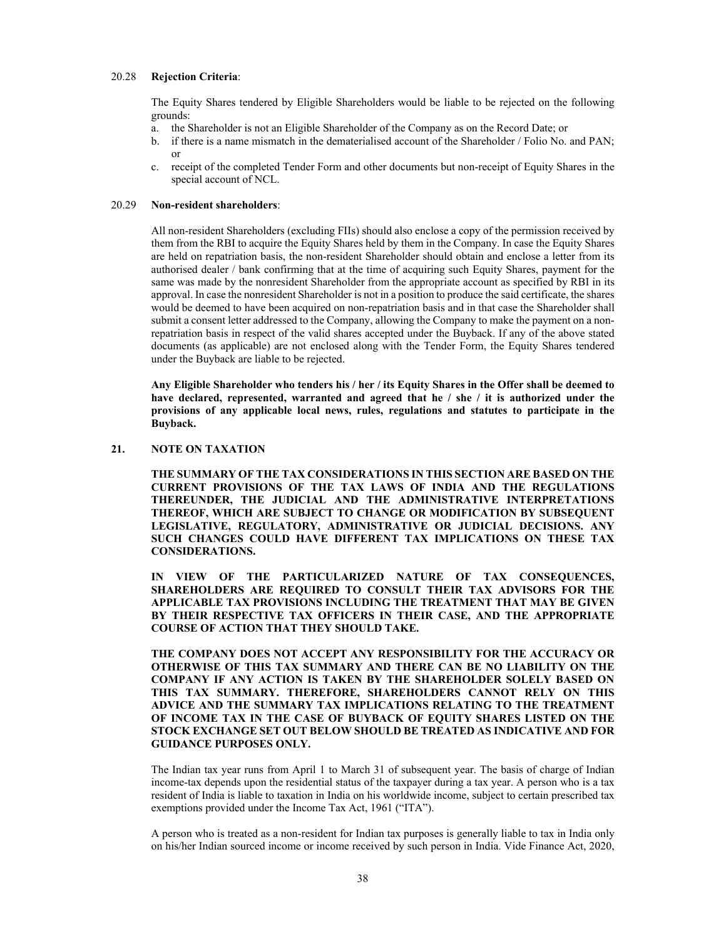### 20.28 **Rejection Criteria**:

The Equity Shares tendered by Eligible Shareholders would be liable to be rejected on the following grounds:

- a. the Shareholder is not an Eligible Shareholder of the Company as on the Record Date; or
- b. if there is a name mismatch in the dematerialised account of the Shareholder / Folio No. and PAN; or
- c. receipt of the completed Tender Form and other documents but non-receipt of Equity Shares in the special account of NCL.

#### 20.29 **Non-resident shareholders**:

All non-resident Shareholders (excluding FIIs) should also enclose a copy of the permission received by them from the RBI to acquire the Equity Shares held by them in the Company. In case the Equity Shares are held on repatriation basis, the non-resident Shareholder should obtain and enclose a letter from its authorised dealer / bank confirming that at the time of acquiring such Equity Shares, payment for the same was made by the nonresident Shareholder from the appropriate account as specified by RBI in its approval. In case the nonresident Shareholder is not in a position to produce the said certificate, the shares would be deemed to have been acquired on non-repatriation basis and in that case the Shareholder shall submit a consent letter addressed to the Company, allowing the Company to make the payment on a nonrepatriation basis in respect of the valid shares accepted under the Buyback. If any of the above stated documents (as applicable) are not enclosed along with the Tender Form, the Equity Shares tendered under the Buyback are liable to be rejected.

**Any Eligible Shareholder who tenders his / her / its Equity Shares in the Offer shall be deemed to have declared, represented, warranted and agreed that he / she / it is authorized under the provisions of any applicable local news, rules, regulations and statutes to participate in the Buyback.** 

### **21. NOTE ON TAXATION**

**THE SUMMARY OF THE TAX CONSIDERATIONS IN THIS SECTION ARE BASED ON THE CURRENT PROVISIONS OF THE TAX LAWS OF INDIA AND THE REGULATIONS THEREUNDER, THE JUDICIAL AND THE ADMINISTRATIVE INTERPRETATIONS THEREOF, WHICH ARE SUBJECT TO CHANGE OR MODIFICATION BY SUBSEQUENT LEGISLATIVE, REGULATORY, ADMINISTRATIVE OR JUDICIAL DECISIONS. ANY SUCH CHANGES COULD HAVE DIFFERENT TAX IMPLICATIONS ON THESE TAX CONSIDERATIONS.** 

**IN VIEW OF THE PARTICULARIZED NATURE OF TAX CONSEQUENCES, SHAREHOLDERS ARE REQUIRED TO CONSULT THEIR TAX ADVISORS FOR THE APPLICABLE TAX PROVISIONS INCLUDING THE TREATMENT THAT MAY BE GIVEN BY THEIR RESPECTIVE TAX OFFICERS IN THEIR CASE, AND THE APPROPRIATE COURSE OF ACTION THAT THEY SHOULD TAKE.** 

**THE COMPANY DOES NOT ACCEPT ANY RESPONSIBILITY FOR THE ACCURACY OR OTHERWISE OF THIS TAX SUMMARY AND THERE CAN BE NO LIABILITY ON THE COMPANY IF ANY ACTION IS TAKEN BY THE SHAREHOLDER SOLELY BASED ON THIS TAX SUMMARY. THEREFORE, SHAREHOLDERS CANNOT RELY ON THIS ADVICE AND THE SUMMARY TAX IMPLICATIONS RELATING TO THE TREATMENT OF INCOME TAX IN THE CASE OF BUYBACK OF EQUITY SHARES LISTED ON THE STOCK EXCHANGE SET OUT BELOW SHOULD BE TREATED AS INDICATIVE AND FOR GUIDANCE PURPOSES ONLY.** 

The Indian tax year runs from April 1 to March 31 of subsequent year. The basis of charge of Indian income-tax depends upon the residential status of the taxpayer during a tax year. A person who is a tax resident of India is liable to taxation in India on his worldwide income, subject to certain prescribed tax exemptions provided under the Income Tax Act, 1961 ("ITA").

A person who is treated as a non-resident for Indian tax purposes is generally liable to tax in India only on his/her Indian sourced income or income received by such person in India. Vide Finance Act, 2020,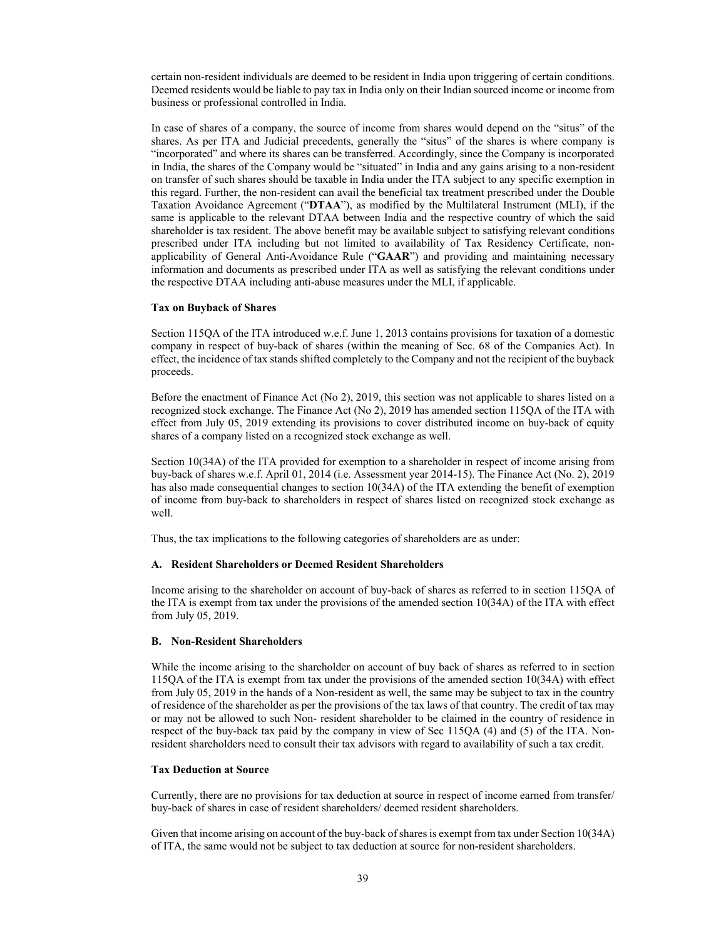certain non-resident individuals are deemed to be resident in India upon triggering of certain conditions. Deemed residents would be liable to pay tax in India only on their Indian sourced income or income from business or professional controlled in India.

In case of shares of a company, the source of income from shares would depend on the "situs" of the shares. As per ITA and Judicial precedents, generally the "situs" of the shares is where company is "incorporated" and where its shares can be transferred. Accordingly, since the Company is incorporated in India, the shares of the Company would be "situated" in India and any gains arising to a non-resident on transfer of such shares should be taxable in India under the ITA subject to any specific exemption in this regard. Further, the non-resident can avail the beneficial tax treatment prescribed under the Double Taxation Avoidance Agreement ("**DTAA**"), as modified by the Multilateral Instrument (MLI), if the same is applicable to the relevant DTAA between India and the respective country of which the said shareholder is tax resident. The above benefit may be available subject to satisfying relevant conditions prescribed under ITA including but not limited to availability of Tax Residency Certificate, nonapplicability of General Anti-Avoidance Rule ("**GAAR**") and providing and maintaining necessary information and documents as prescribed under ITA as well as satisfying the relevant conditions under the respective DTAA including anti-abuse measures under the MLI, if applicable.

#### **Tax on Buyback of Shares**

Section 115QA of the ITA introduced w.e.f. June 1, 2013 contains provisions for taxation of a domestic company in respect of buy-back of shares (within the meaning of Sec. 68 of the Companies Act). In effect, the incidence of tax stands shifted completely to the Company and not the recipient of the buyback proceeds.

Before the enactment of Finance Act (No 2), 2019, this section was not applicable to shares listed on a recognized stock exchange. The Finance Act (No 2), 2019 has amended section 115QA of the ITA with effect from July 05, 2019 extending its provisions to cover distributed income on buy-back of equity shares of a company listed on a recognized stock exchange as well.

Section 10(34A) of the ITA provided for exemption to a shareholder in respect of income arising from buy-back of shares w.e.f. April 01, 2014 (i.e. Assessment year 2014-15). The Finance Act (No. 2), 2019 has also made consequential changes to section 10(34A) of the ITA extending the benefit of exemption of income from buy-back to shareholders in respect of shares listed on recognized stock exchange as well.

Thus, the tax implications to the following categories of shareholders are as under:

#### **A. Resident Shareholders or Deemed Resident Shareholders**

Income arising to the shareholder on account of buy-back of shares as referred to in section 115QA of the ITA is exempt from tax under the provisions of the amended section 10(34A) of the ITA with effect from July 05, 2019.

#### **B. Non-Resident Shareholders**

While the income arising to the shareholder on account of buy back of shares as referred to in section 115QA of the ITA is exempt from tax under the provisions of the amended section 10(34A) with effect from July 05, 2019 in the hands of a Non-resident as well, the same may be subject to tax in the country of residence of the shareholder as per the provisions of the tax laws of that country. The credit of tax may or may not be allowed to such Non- resident shareholder to be claimed in the country of residence in respect of the buy-back tax paid by the company in view of Sec 115QA (4) and (5) of the ITA. Nonresident shareholders need to consult their tax advisors with regard to availability of such a tax credit.

### **Tax Deduction at Source**

Currently, there are no provisions for tax deduction at source in respect of income earned from transfer/ buy-back of shares in case of resident shareholders/ deemed resident shareholders.

Given that income arising on account of the buy-back of shares is exempt from tax under Section 10(34A) of ITA, the same would not be subject to tax deduction at source for non-resident shareholders.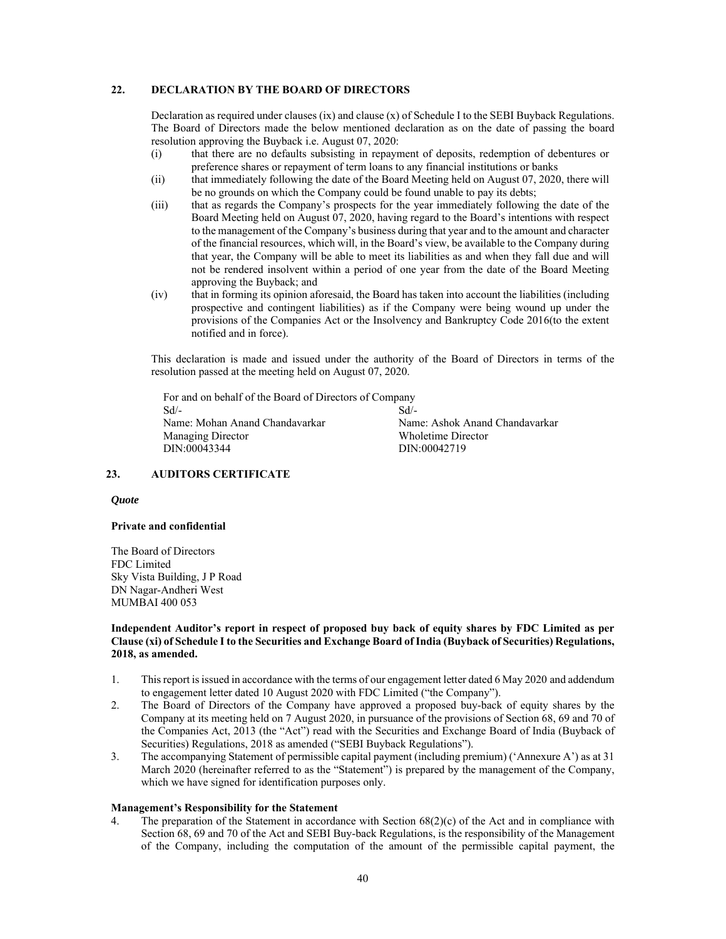### **22. DECLARATION BY THE BOARD OF DIRECTORS**

Declaration as required under clauses (ix) and clause (x) of Schedule I to the SEBI Buyback Regulations. The Board of Directors made the below mentioned declaration as on the date of passing the board resolution approving the Buyback i.e. August 07, 2020:

- (i) that there are no defaults subsisting in repayment of deposits, redemption of debentures or preference shares or repayment of term loans to any financial institutions or banks
- (ii) that immediately following the date of the Board Meeting held on August 07, 2020, there will be no grounds on which the Company could be found unable to pay its debts;
- (iii) that as regards the Company's prospects for the year immediately following the date of the Board Meeting held on August 07, 2020, having regard to the Board's intentions with respect to the management of the Company's business during that year and to the amount and character of the financial resources, which will, in the Board's view, be available to the Company during that year, the Company will be able to meet its liabilities as and when they fall due and will not be rendered insolvent within a period of one year from the date of the Board Meeting approving the Buyback; and
- (iv) that in forming its opinion aforesaid, the Board has taken into account the liabilities (including prospective and contingent liabilities) as if the Company were being wound up under the provisions of the Companies Act or the Insolvency and Bankruptcy Code 2016(to the extent notified and in force).

This declaration is made and issued under the authority of the Board of Directors in terms of the resolution passed at the meeting held on August 07, 2020.

For and on behalf of the Board of Directors of Company Sd/- Name: Mohan Anand Chandavarkar Managing Director DIN:00043344 Sd/-

Name: Ashok Anand Chandavarkar Wholetime Director DIN:00042719

### **23. AUDITORS CERTIFICATE**

#### *Quote*

#### **Private and confidential**

The Board of Directors FDC Limited Sky Vista Building, J P Road DN Nagar-Andheri West MUMBAI 400 053

### **Independent Auditor's report in respect of proposed buy back of equity shares by FDC Limited as per Clause (xi) of Schedule I to the Securities and Exchange Board of India (Buyback of Securities) Regulations, 2018, as amended.**

- 1. This report is issued in accordance with the terms of our engagement letter dated 6 May 2020 and addendum to engagement letter dated 10 August 2020 with FDC Limited ("the Company").
- 2. The Board of Directors of the Company have approved a proposed buy-back of equity shares by the Company at its meeting held on 7 August 2020, in pursuance of the provisions of Section 68, 69 and 70 of the Companies Act, 2013 (the "Act") read with the Securities and Exchange Board of India (Buyback of Securities) Regulations, 2018 as amended ("SEBI Buyback Regulations").
- 3. The accompanying Statement of permissible capital payment (including premium) ('Annexure A') as at 31 March 2020 (hereinafter referred to as the "Statement") is prepared by the management of the Company, which we have signed for identification purposes only.

### **Management's Responsibility for the Statement**

The preparation of the Statement in accordance with Section  $68(2)(c)$  of the Act and in compliance with Section 68, 69 and 70 of the Act and SEBI Buy-back Regulations, is the responsibility of the Management of the Company, including the computation of the amount of the permissible capital payment, the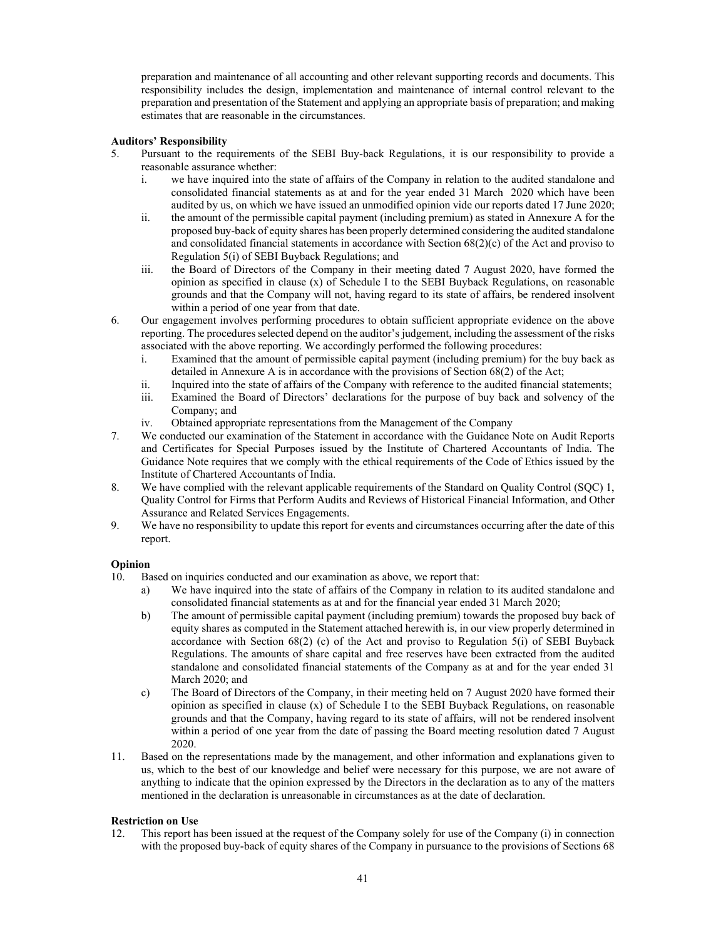preparation and maintenance of all accounting and other relevant supporting records and documents. This responsibility includes the design, implementation and maintenance of internal control relevant to the preparation and presentation of the Statement and applying an appropriate basis of preparation; and making estimates that are reasonable in the circumstances.

## **Auditors' Responsibility**

- 5. Pursuant to the requirements of the SEBI Buy-back Regulations, it is our responsibility to provide a reasonable assurance whether:
	- i. we have inquired into the state of affairs of the Company in relation to the audited standalone and consolidated financial statements as at and for the year ended 31 March 2020 which have been audited by us, on which we have issued an unmodified opinion vide our reports dated 17 June 2020;
	- ii. the amount of the permissible capital payment (including premium) as stated in Annexure A for the proposed buy-back of equity shares has been properly determined considering the audited standalone and consolidated financial statements in accordance with Section 68(2)(c) of the Act and proviso to Regulation 5(i) of SEBI Buyback Regulations; and
	- iii. the Board of Directors of the Company in their meeting dated 7 August 2020, have formed the opinion as specified in clause  $(x)$  of Schedule I to the SEBI Buyback Regulations, on reasonable grounds and that the Company will not, having regard to its state of affairs, be rendered insolvent within a period of one year from that date.
- 6. Our engagement involves performing procedures to obtain sufficient appropriate evidence on the above reporting. The procedures selected depend on the auditor's judgement, including the assessment of the risks associated with the above reporting. We accordingly performed the following procedures:
	- i. Examined that the amount of permissible capital payment (including premium) for the buy back as detailed in Annexure A is in accordance with the provisions of Section 68(2) of the Act;
	- ii. Inquired into the state of affairs of the Company with reference to the audited financial statements; iii. Examined the Board of Directors' declarations for the purpose of buy back and solvency of the Company; and
	- iv. Obtained appropriate representations from the Management of the Company
- 7. We conducted our examination of the Statement in accordance with the Guidance Note on Audit Reports and Certificates for Special Purposes issued by the Institute of Chartered Accountants of India. The Guidance Note requires that we comply with the ethical requirements of the Code of Ethics issued by the Institute of Chartered Accountants of India.
- 8. We have complied with the relevant applicable requirements of the Standard on Quality Control (SQC) 1, Quality Control for Firms that Perform Audits and Reviews of Historical Financial Information, and Other Assurance and Related Services Engagements.
- 9. We have no responsibility to update this report for events and circumstances occurring after the date of this report.

# **Opinion**

- 10. Based on inquiries conducted and our examination as above, we report that:
	- a) We have inquired into the state of affairs of the Company in relation to its audited standalone and consolidated financial statements as at and for the financial year ended 31 March 2020;
	- b) The amount of permissible capital payment (including premium) towards the proposed buy back of equity shares as computed in the Statement attached herewith is, in our view properly determined in accordance with Section  $68(2)$  (c) of the Act and proviso to Regulation  $5(i)$  of SEBI Buyback Regulations. The amounts of share capital and free reserves have been extracted from the audited standalone and consolidated financial statements of the Company as at and for the year ended 31 March 2020; and
	- c) The Board of Directors of the Company, in their meeting held on 7 August 2020 have formed their opinion as specified in clause  $(x)$  of Schedule I to the SEBI Buyback Regulations, on reasonable grounds and that the Company, having regard to its state of affairs, will not be rendered insolvent within a period of one year from the date of passing the Board meeting resolution dated 7 August 2020.
- 11. Based on the representations made by the management, and other information and explanations given to us, which to the best of our knowledge and belief were necessary for this purpose, we are not aware of anything to indicate that the opinion expressed by the Directors in the declaration as to any of the matters mentioned in the declaration is unreasonable in circumstances as at the date of declaration.

## **Restriction on Use**

12. This report has been issued at the request of the Company solely for use of the Company (i) in connection with the proposed buy-back of equity shares of the Company in pursuance to the provisions of Sections 68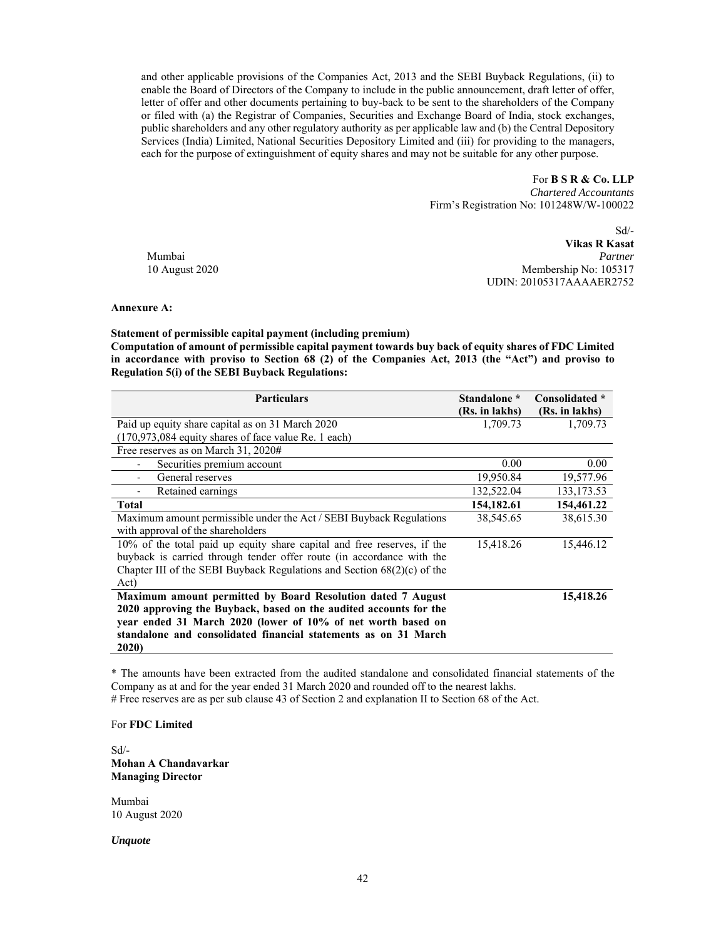and other applicable provisions of the Companies Act, 2013 and the SEBI Buyback Regulations, (ii) to enable the Board of Directors of the Company to include in the public announcement, draft letter of offer, letter of offer and other documents pertaining to buy-back to be sent to the shareholders of the Company or filed with (a) the Registrar of Companies, Securities and Exchange Board of India, stock exchanges, public shareholders and any other regulatory authority as per applicable law and (b) the Central Depository Services (India) Limited, National Securities Depository Limited and (iii) for providing to the managers, each for the purpose of extinguishment of equity shares and may not be suitable for any other purpose.

> For **B S R & Co. LLP**  *Chartered Accountants*  Firm's Registration No: 101248W/W-100022

Sd/- **Vikas R Kasat**  Mumbai *Partner*  10 August 2020 Membership No: 105317 UDIN: 20105317AAAAER2752

### **Annexure A:**

**Statement of permissible capital payment (including premium)** 

**Computation of amount of permissible capital payment towards buy back of equity shares of FDC Limited in accordance with proviso to Section 68 (2) of the Companies Act, 2013 (the "Act") and proviso to Regulation 5(i) of the SEBI Buyback Regulations:** 

| <b>Particulars</b>                                                        | Standalone *   | Consolidated * |
|---------------------------------------------------------------------------|----------------|----------------|
|                                                                           | (Rs. in lakhs) | (Rs. in lakhs) |
| Paid up equity share capital as on 31 March 2020                          | 1,709.73       | 1,709.73       |
| (170,973,084 equity shares of face value Re. 1 each)                      |                |                |
| Free reserves as on March 31, 2020#                                       |                |                |
| Securities premium account                                                | 0.00           | 0.00           |
| General reserves                                                          | 19,950.84      | 19,577.96      |
| Retained earnings                                                         | 132,522.04     | 133, 173.53    |
| <b>Total</b>                                                              | 154, 182.61    | 154,461.22     |
| Maximum amount permissible under the Act / SEBI Buyback Regulations       | 38,545.65      | 38,615.30      |
| with approval of the shareholders                                         |                |                |
| 10% of the total paid up equity share capital and free reserves, if the   | 15,418.26      | 15,446.12      |
| buyback is carried through tender offer route (in accordance with the     |                |                |
| Chapter III of the SEBI Buyback Regulations and Section $68(2)(c)$ of the |                |                |
| Act)                                                                      |                |                |
| Maximum amount permitted by Board Resolution dated 7 August               |                | 15,418.26      |
| 2020 approving the Buyback, based on the audited accounts for the         |                |                |
| year ended 31 March 2020 (lower of 10% of net worth based on              |                |                |
| standalone and consolidated financial statements as on 31 March           |                |                |
| 2020)                                                                     |                |                |

\* The amounts have been extracted from the audited standalone and consolidated financial statements of the Company as at and for the year ended 31 March 2020 and rounded off to the nearest lakhs.

# Free reserves are as per sub clause 43 of Section 2 and explanation II to Section 68 of the Act.

# For **FDC Limited**

Sd/- **Mohan A Chandavarkar Managing Director** 

Mumbai 10 August 2020

*Unquote*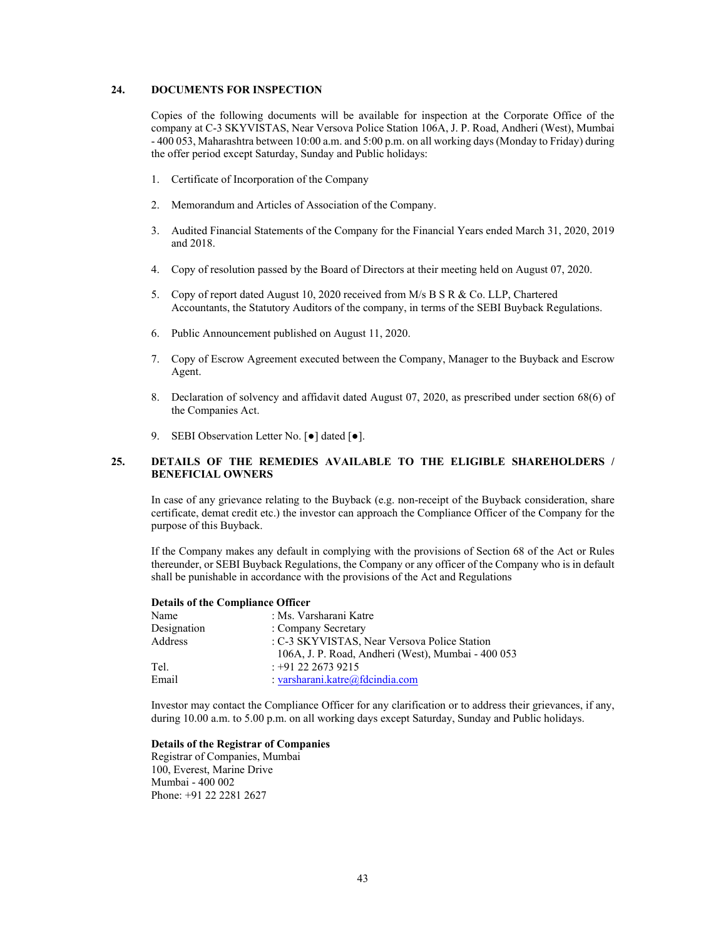#### **24. DOCUMENTS FOR INSPECTION**

Copies of the following documents will be available for inspection at the Corporate Office of the company at C-3 SKYVISTAS, Near Versova Police Station 106A, J. P. Road, Andheri (West), Mumbai - 400 053, Maharashtra between 10:00 a.m. and 5:00 p.m. on all working days (Monday to Friday) during the offer period except Saturday, Sunday and Public holidays:

- 1. Certificate of Incorporation of the Company
- 2. Memorandum and Articles of Association of the Company.
- 3. Audited Financial Statements of the Company for the Financial Years ended March 31, 2020, 2019 and 2018.
- 4. Copy of resolution passed by the Board of Directors at their meeting held on August 07, 2020.
- 5. Copy of report dated August 10, 2020 received from M/s B S R & Co. LLP, Chartered Accountants, the Statutory Auditors of the company, in terms of the SEBI Buyback Regulations.
- 6. Public Announcement published on August 11, 2020.
- 7. Copy of Escrow Agreement executed between the Company, Manager to the Buyback and Escrow Agent.
- 8. Declaration of solvency and affidavit dated August 07, 2020, as prescribed under section 68(6) of the Companies Act.
- 9. SEBI Observation Letter No. [ $\bullet$ ] dated [ $\bullet$ ].

# **25. DETAILS OF THE REMEDIES AVAILABLE TO THE ELIGIBLE SHAREHOLDERS / BENEFICIAL OWNERS**

In case of any grievance relating to the Buyback (e.g. non-receipt of the Buyback consideration, share certificate, demat credit etc.) the investor can approach the Compliance Officer of the Company for the purpose of this Buyback.

If the Company makes any default in complying with the provisions of Section 68 of the Act or Rules thereunder, or SEBI Buyback Regulations, the Company or any officer of the Company who is in default shall be punishable in accordance with the provisions of the Act and Regulations

| Details of the Compilance Officer |                                                    |  |  |  |  |  |
|-----------------------------------|----------------------------------------------------|--|--|--|--|--|
| Name                              | : Ms. Varsharani Katre                             |  |  |  |  |  |
| Designation                       | : Company Secretary                                |  |  |  |  |  |
| Address                           | : C-3 SKYVISTAS, Near Versova Police Station       |  |  |  |  |  |
|                                   | 106A, J. P. Road, Andheri (West), Mumbai - 400 053 |  |  |  |  |  |
| Tel.                              | $: +912226739215$                                  |  |  |  |  |  |
| Email                             | : varsharani.katre@fdeindia.com                    |  |  |  |  |  |

Investor may contact the Compliance Officer for any clarification or to address their grievances, if any, during 10.00 a.m. to 5.00 p.m. on all working days except Saturday, Sunday and Public holidays.

### **Details of the Registrar of Companies**

Registrar of Companies, Mumbai 100, Everest, Marine Drive Mumbai - 400 002 Phone: +91 22 2281 2627

**Details of the Compliance Officer**